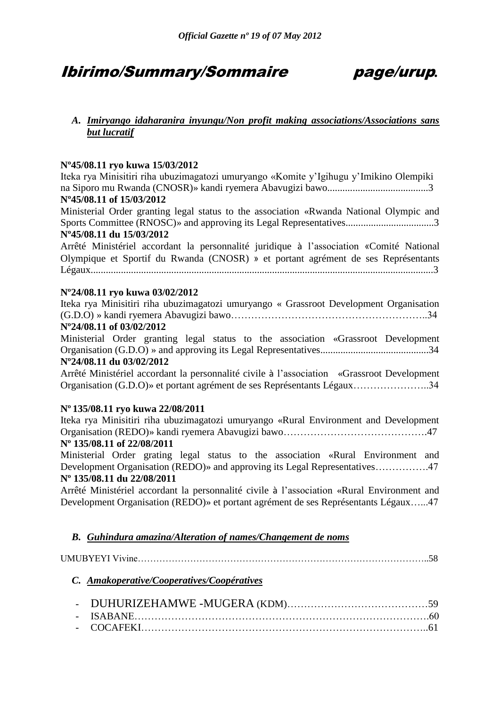### Ibirimo/Summary/Sommaire page/urup*.*

### *A. Imiryango idaharanira inyungu/Non profit making associations/Associations sans but lucratif*

#### **Nº45/08.11 ryo kuwa 15/03/2012**

Iteka rya Minisitiri riha ubuzimagatozi umuryango «Komite y'Igihugu y'Imikino Olempiki na Siporo mu Rwanda (CNOSR)» kandi ryemera Abavugizi bawo........................................3 **Nº45/08.11 of 15/03/2012**

Ministerial Order granting legal status to the association «Rwanda National Olympic and Sports Committee (RNOSC)» and approving its Legal Representatives...................................3 **Nº45/08.11 du 15/03/2012**

Arrêté Ministériel accordant la personnalité juridique à l'association «Comité National Olympique et Sportif du Rwanda (CNOSR) » et portant agrément de ses Représentants Légaux........................................................................................................................................3

#### **Nº24/08.11 ryo kuwa 03/02/2012**

Iteka rya Minisitiri riha ubuzimagatozi umuryango « Grassroot Development Organisation (G.D.O) » kandi ryemera Abavugizi bawo…………………………………………………..34

#### **Nº24/08.11 of 03/02/2012**

Ministerial Order granting legal status to the association «Grassroot Development Organisation (G.D.O) » and approving its Legal Representatives...........................................34 **Nº24/08.11 du 03/02/2012**

Arrêté Ministériel accordant la personnalité civile à l'association «Grassroot Development Organisation (G.D.O)» et portant agrément de ses Représentants Légaux…………………..34

#### **Nº 135/08.11 ryo kuwa 22/08/2011**

Iteka rya Minisitiri riha ubuzimagatozi umuryango «Rural Environment and Development Organisation (REDO)» kandi ryemera Abavugizi bawo…………………………………….47

#### **Nº 135/08.11 of 22/08/2011**

Ministerial Order grating legal status to the association «Rural Environment and Development Organisation (REDO)» and approving its Legal Representatives…………….47 **Nº 135/08.11 du 22/08/2011**

Arrêté Ministériel accordant la personnalité civile à l'association «Rural Environment and Development Organisation (REDO)» et portant agrément de ses Représentants Légaux…...47

### *B. Guhindura amazina/Alteration of names/Changement de noms*

UMUBYEYI Vivine…………………………………………………………………………………..58

#### *C. Amakoperative/Cooperatives/Coopératives*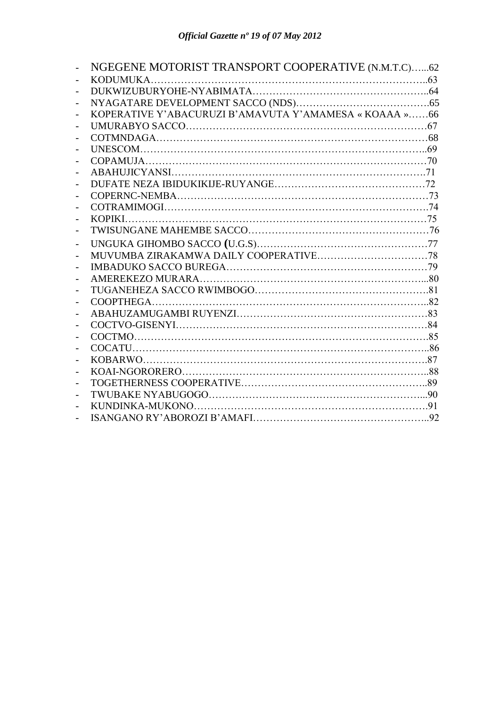|                          | NGEGENE MOTORIST TRANSPORT COOPERATIVE (N.M.T.C)62     |  |
|--------------------------|--------------------------------------------------------|--|
|                          |                                                        |  |
| $\overline{\phantom{a}}$ |                                                        |  |
| $\overline{\phantom{a}}$ |                                                        |  |
| $\overline{\phantom{a}}$ | KOPERATIVE Y'ABACURUZI B'AMAVUTA Y'AMAMESA « KOAAA »66 |  |
| $\overline{\phantom{a}}$ |                                                        |  |
| $\overline{\phantom{a}}$ |                                                        |  |
| $\overline{\phantom{a}}$ |                                                        |  |
| $\overline{\phantom{a}}$ |                                                        |  |
| $\overline{\phantom{a}}$ |                                                        |  |
| $\overline{\phantom{a}}$ |                                                        |  |
| $\overline{\phantom{a}}$ |                                                        |  |
| $\overline{\phantom{a}}$ |                                                        |  |
| $\overline{\phantom{a}}$ | KOPIKI                                                 |  |
| $\overline{\phantom{a}}$ |                                                        |  |
| $\overline{a}$           |                                                        |  |
| $\overline{a}$           |                                                        |  |
| $\overline{a}$           |                                                        |  |
| $\overline{\phantom{a}}$ |                                                        |  |
| $\overline{\phantom{a}}$ |                                                        |  |
| $\overline{a}$           |                                                        |  |
| $\overline{\phantom{a}}$ |                                                        |  |
|                          |                                                        |  |
| $\overline{\phantom{a}}$ | COCTMO                                                 |  |
| $\overline{\phantom{a}}$ |                                                        |  |
| $\overline{a}$           |                                                        |  |
| $\overline{a}$           |                                                        |  |
|                          |                                                        |  |
| $\overline{\phantom{a}}$ |                                                        |  |
| $\overline{\phantom{a}}$ |                                                        |  |
|                          |                                                        |  |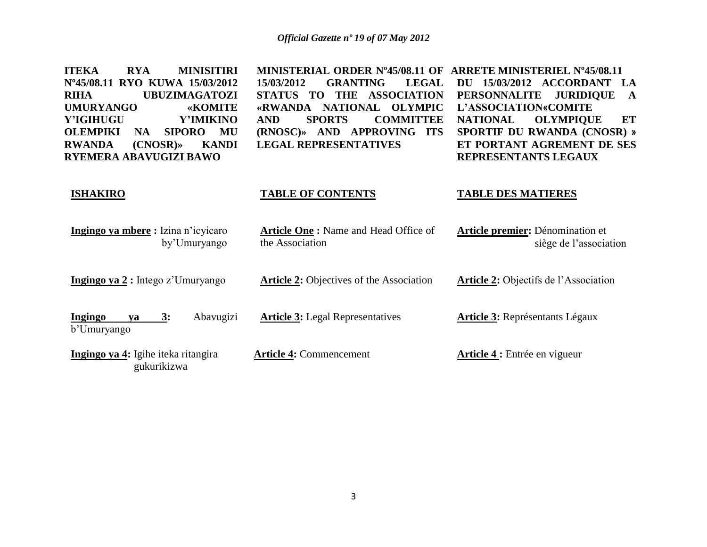| <b>MINISITIRI</b><br><b>ITEKA</b><br><b>RYA</b><br>N°45/08.11 RYO KUWA 15/03/2012<br><b>RIHA</b><br><b>UBUZIMAGATOZI</b><br><b>UMURYANGO</b><br><b>«KOMITE</b><br><b>Y'IGIHUGU</b><br><b>Y'IMIKINO</b><br><b>OLEMPIKI</b><br><b>SIPORO</b><br>MU<br><b>NA</b><br><b>RWANDA</b><br>(CNOSR)<br><b>KANDI</b><br>RYEMERA ABAVUGIZI BAWO | MINISTERIAL ORDER N°45/08.11 OF<br><b>GRANTING</b><br>15/03/2012<br><b>LEGAL</b><br>THE ASSOCIATION<br>STATUS TO<br>NATIONAL OLYMPIC<br><b>«RWANDA</b><br><b>SPORTS</b><br><b>COMMITTEE</b><br><b>AND</b><br>(RNOSC)» AND APPROVING<br><b>ITS</b><br><b>LEGAL REPRESENTATIVES</b> | <b>ARRETE MINISTERIEL Nº45/08.11</b><br>15/03/2012<br><b>ACCORDANT</b><br>DU<br>LA<br><b>PERSONNALITE</b><br><b>JURIDIQUE</b><br>$\mathbf{A}$<br>L'ASSOCIATION«COMITE<br><b>OLYMPIQUE</b><br>ET<br><b>NATIONAL</b><br><b>SPORTIF DU RWANDA (CNOSR) »</b><br>ET PORTANT AGREMENT DE SES<br>REPRESENTANTS LEGAUX |
|-------------------------------------------------------------------------------------------------------------------------------------------------------------------------------------------------------------------------------------------------------------------------------------------------------------------------------------|-----------------------------------------------------------------------------------------------------------------------------------------------------------------------------------------------------------------------------------------------------------------------------------|----------------------------------------------------------------------------------------------------------------------------------------------------------------------------------------------------------------------------------------------------------------------------------------------------------------|
| <b>ISHAKIRO</b>                                                                                                                                                                                                                                                                                                                     | <b>TABLE OF CONTENTS</b>                                                                                                                                                                                                                                                          | <b>TABLE DES MATIERES</b>                                                                                                                                                                                                                                                                                      |
| Ingingo ya mbere: Izina n'icyicaro<br>by'Umuryango                                                                                                                                                                                                                                                                                  | <b>Article One:</b> Name and Head Office of<br>the Association                                                                                                                                                                                                                    | <b>Article premier:</b> Dénomination et<br>siège de l'association                                                                                                                                                                                                                                              |
| Ingingo ya 2 : Intego z'Umuryango                                                                                                                                                                                                                                                                                                   | <b>Article 2:</b> Objectives of the Association                                                                                                                                                                                                                                   | <b>Article 2:</b> Objectifs de l'Association                                                                                                                                                                                                                                                                   |
| Abavugizi<br>Ingingo<br>3:<br>ya<br>b'Umuryango                                                                                                                                                                                                                                                                                     | <b>Article 3:</b> Legal Representatives                                                                                                                                                                                                                                           | <b>Article 3:</b> Représentants Légaux                                                                                                                                                                                                                                                                         |
| Ingingo ya 4: Igihe iteka ritangira<br>gukurikizwa                                                                                                                                                                                                                                                                                  | <b>Article 4: Commencement</b>                                                                                                                                                                                                                                                    | Article 4 : Entrée en vigueur                                                                                                                                                                                                                                                                                  |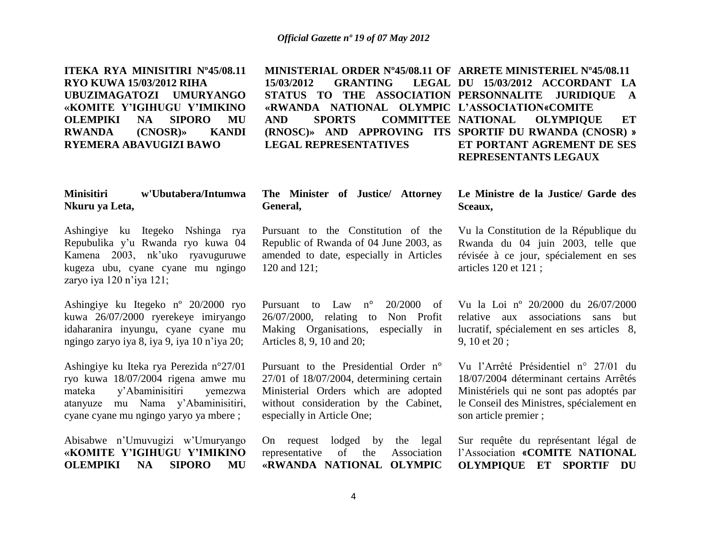**ITEKA RYA MINISITIRI Nº45/08.11 RYO KUWA 15/03/2012 RIHA UBUZIMAGATOZI UMURYANGO «KOMITE Y'IGIHUGU Y'IMIKINO OLEMPIKI NA SIPORO MU RWANDA (CNOSR)» KANDI RYEMERA ABAVUGIZI BAWO**

**MINISTERIAL ORDER Nº45/08.11 OF ARRETE MINISTERIEL Nº45/08.11 15/03/2012 GRANTING STATUS TO THE ASSOCIATION PERSONNALITE JURIDIQUE A «RWANDA NATIONAL OLYMPIC L'ASSOCIATION«COMITE**  AND SPORTS COMMITTEE NATIONAL **(RNOSC)» AND APPROVING ITS SPORTIF DU RWANDA (CNOSR) » LEGAL REPRESENTATIVES DU 15/03/2012 ACCORDANT LA NATIONAL OLYMPIQUE ET ET PORTANT AGREMENT DE SES REPRESENTANTS LEGAUX** 

#### **Minisitiri w'Ubutabera/Intumwa Nkuru ya Leta,**

Ashingiye ku Itegeko Nshinga rya Repubulika y'u Rwanda ryo kuwa 04 Kamena 2003, nk'uko ryavuguruwe kugeza ubu, cyane cyane mu ngingo zaryo iya 120 n'iya 121;

Ashingiye ku Itegeko nº 20/2000 ryo kuwa 26/07/2000 ryerekeye imiryango idaharanira inyungu, cyane cyane mu ngingo zaryo iya 8, iya 9, iya 10 n'iya 20;

Ashingiye ku Iteka rya Perezida n°27/01 ryo kuwa 18/07/2004 rigena amwe mu mateka y'Abaminisitiri yemezwa atanyuze mu Nama y'Abaminisitiri, cyane cyane mu ngingo yaryo ya mbere ;

Abisabwe n'Umuvugizi w'Umuryango **«KOMITE Y'IGIHUGU Y'IMIKINO OLEMPIKI NA SIPORO MU** 

#### **The Minister of Justice/ Attorney General,**

Pursuant to the Constitution of the Republic of Rwanda of 04 June 2003, as amended to date, especially in Articles 120 and 121;

Pursuant to Law n° 20/2000 of 26/07/2000, relating to Non Profit Making Organisations, especially in Articles 8, 9, 10 and 20;

Pursuant to the Presidential Order n° 27/01 of 18/07/2004, determining certain Ministerial Orders which are adopted without consideration by the Cabinet, especially in Article One;

On request lodged by the legal representative of the Association **«RWANDA NATIONAL OLYMPIC** 

#### **Le Ministre de la Justice/ Garde des Sceaux,**

Vu la Constitution de la République du Rwanda du 04 juin 2003, telle que révisée à ce jour, spécialement en ses articles 120 et 121 ;

Vu la Loi nº 20/2000 du 26/07/2000 relative aux associations sans but lucratif, spécialement en ses articles 8, 9, 10 et 20 ;

Vu l'Arrêté Présidentiel n° 27/01 du 18/07/2004 déterminant certains Arrêtés Ministériels qui ne sont pas adoptés par le Conseil des Ministres, spécialement en son article premier ;

Sur requête du représentant légal de l'Association **«COMITE NATIONAL OLYMPIQUE ET SPORTIF DU**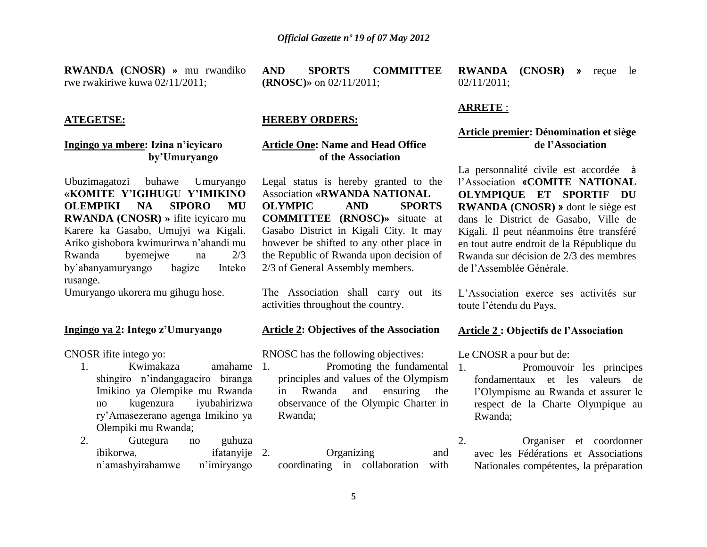**RWANDA (CNOSR) »** mu rwandiko rwe rwakiriwe kuwa 02/11/2011;

**AND SPORTS COMMITTEE (RNOSC)»** on 02/11/2011;

#### **ATEGETSE:**

#### **Ingingo ya mbere: Izina n'icyicaro by'Umuryango**

Ubuzimagatozi buhawe Umuryango **«KOMITE Y'IGIHUGU Y'IMIKINO OLEMPIKI NA SIPORO MU RWANDA (CNOSR) »** ifite icyicaro mu Karere ka Gasabo, Umujyi wa Kigali. Ariko gishobora kwimurirwa n'ahandi mu Rwanda byemejwe na 2/3 by'abanyamuryango bagize Inteko rusange.

Umuryango ukorera mu gihugu hose.

#### **Ingingo ya 2: Intego z'Umuryango**

CNOSR ifite intego yo:

- 1. Kwimakaza amahame shingiro n'indangagaciro biranga Imikino ya Olempike mu Rwanda no kugenzura iyubahirizwa ry'Amasezerano agenga Imikino ya Olempiki mu Rwanda;
- 2. Gutegura no guhuza ibikorwa, ifatanyije 2. n'amashyirahamwe n'imiryango

### **HEREBY ORDERS:**

#### **Article One: Name and Head Office of the Association**

Legal status is hereby granted to the Association **«RWANDA NATIONAL OLYMPIC AND SPORTS COMMITTEE (RNOSC)»** situate at Gasabo District in Kigali City. It may however be shifted to any other place in the Republic of Rwanda upon decision of 2/3 of General Assembly members.

The Association shall carry out its activities throughout the country.

#### **Article 2: Objectives of the Association**

RNOSC has the following objectives:

1. Promoting the fundamental principles and values of the Olympism in Rwanda and ensuring the observance of the Olympic Charter in Rwanda;

2. Organizing and coordinating in collaboration with

**RWANDA (CNOSR) »** reçue le 02/11/2011;

#### **ARRETE** :

#### **Article premier: Dénomination et siège de l'Association**

La personnalité civile est accordée à l'Association **«COMITE NATIONAL OLYMPIQUE ET SPORTIF DU RWANDA (CNOSR) »** dont le siège est dans le District de Gasabo, Ville de Kigali. Il peut néanmoins être transféré en tout autre endroit de la République du Rwanda sur décision de 2/3 des membres de l'Assemblée Générale.

L'Association exerce ses activités sur toute l'étendu du Pays.

#### **Article 2 : Objectifs de l'Association**

Le CNOSR a pour but de:

- Promouvoir les principes fondamentaux et les valeurs de l'Olympisme au Rwanda et assurer le respect de la Charte Olympique au Rwanda;
- 2. Organiser et coordonner avec les Fédérations et Associations Nationales compétentes, la préparation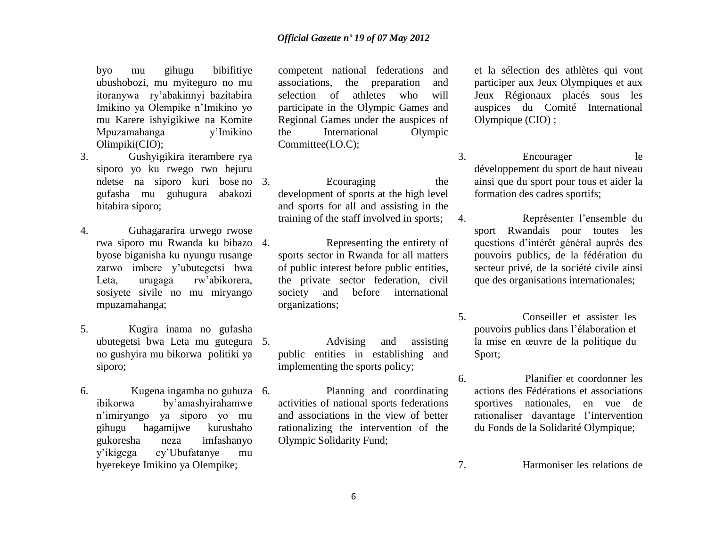byo mu gihugu bibifitiye ubushobozi, mu myiteguro no mu itoranywa ry'abakinnyi bazitabira Imikino ya Olempike n'Imikino yo mu Karere ishyigikiwe na Komite Mpuzamahanga y'Imikino Olimpiki(CIO);

- 3. Gushyigikira iterambere rya siporo yo ku rwego rwo hejuru ndetse na siporo kuri bose no gufasha mu guhugura abakozi bitabira siporo;
- 4. Guhagararira urwego rwose rwa siporo mu Rwanda ku bibazo byose biganisha ku nyungu rusange zarwo imbere y'ubutegetsi bwa Leta, urugaga rw'abikorera, sosiyete sivile no mu miryango mpuzamahanga;
- 5. Kugira inama no gufasha ubutegetsi bwa Leta mu gutegura no gushyira mu bikorwa politiki ya siporo;
- 6. Kugena ingamba no guhuza ibikorwa by'amashyirahamwe n'imiryango ya siporo yo mu gihugu hagamijwe kurushaho gukoresha neza imfashanyo y'ikigega cy'Ubufatanye mu byerekeye Imikino ya Olempike;

competent national federations and associations, the preparation and selection of athletes who will participate in the Olympic Games and Regional Games under the auspices of the International Olympic Committee(I.O.C);

Ecouraging the development of sports at the high level and sports for all and assisting in the training of the staff involved in sports; 4.

Representing the entirety of sports sector in Rwanda for all matters of public interest before public entities, the private sector federation, civil society and before international organizations;

5. Advising and assisting public entities in establishing and implementing the sports policy;

6. Planning and coordinating activities of national sports federations and associations in the view of better rationalizing the intervention of the Olympic Solidarity Fund;

et la sélection des athlètes qui vont participer aux Jeux Olympiques et aux Jeux Régionaux placés sous les auspices du Comité International Olympique (CIO) ;

- 3. Encourager le développement du sport de haut niveau ainsi que du sport pour tous et aider la formation des cadres sportifs;
- 4. Représenter l'ensemble du sport Rwandais pour toutes les questions d'intérêt général auprès des pouvoirs publics, de la fédération du secteur privé, de la société civile ainsi que des organisations internationales;
- 5. Conseiller et assister les pouvoirs publics dans l'élaboration et la mise en œuvre de la politique du Sport;
- 6. Planifier et coordonner les actions des Fédérations et associations sportives nationales, en vue de rationaliser davantage l'intervention du Fonds de la Solidarité Olympique;

7. Harmoniser les relations de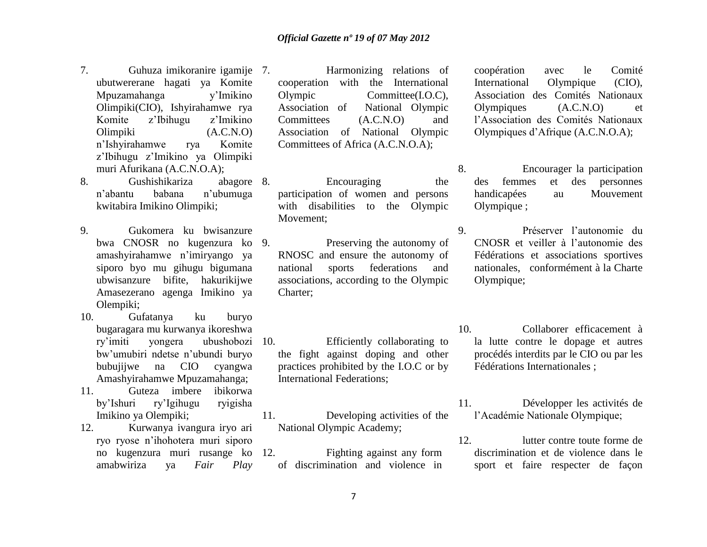- 7. Guhuza imikoranire igamije ubutwererane hagati ya Komite Mpuzamahanga y'Imikino Olimpiki(CIO), Ishyirahamwe rya Komite z'Ibihugu z'Imikino Olimpiki (A.C.N.O) n'Ishyirahamwe rya Komite z'Ibihugu z'Imikino ya Olimpiki muri Afurikana (A.C.N.O.A);
- 8. Gushishikariza abagore n'abantu babana n'ubumuga kwitabira Imikino Olimpiki;
- 9. Gukomera ku bwisanzure bwa CNOSR no kugenzura ko amashyirahamwe n'imiryango ya siporo byo mu gihugu bigumana ubwisanzure bifite, hakurikijwe Amasezerano agenga Imikino ya Olempiki;
- 10. Gufatanya ku buryo bugaragara mu kurwanya ikoreshwa ry'imiti yongera ubushobozi bw'umubiri ndetse n'ubundi buryo bubujijwe na CIO cyangwa Amashyirahamwe Mpuzamahanga;
- 11. Guteza imbere ibikorwa by'Ishuri ry'Igihugu ryigisha Imikino ya Olempiki;
- 12. Kurwanya ivangura iryo ari ryo ryose n'ihohotera muri siporo no kugenzura muri rusange ko amabwiriza ya *Fair Play*

Harmonizing relations of cooperation with the International Olympic Committee(I.O.C), Association of National Olympic Committees (A.C.N.O) and Association of National Olympic Committees of Africa (A.C.N.O.A);

Encouraging the participation of women and persons with disabilities to the Olympic Movement;

Preserving the autonomy of RNOSC and ensure the autonomy of national sports federations and associations, according to the Olympic Charter;

- Efficiently collaborating to the fight against doping and other practices prohibited by the I.O.C or by International Federations;
- 11. Developing activities of the National Olympic Academy;
- Fighting against any form of discrimination and violence in

coopération avec le Comité International Olympique (CIO), Association des Comités Nationaux Olympiques (A.C.N.O) et l'Association des Comités Nationaux Olympiques d'Afrique (A.C.N.O.A);

- 8. Encourager la participation des femmes et des personnes handicapées au Mouvement Olympique ;
- 9. Préserver l'autonomie du CNOSR et veiller à l'autonomie des Fédérations et associations sportives nationales, conformément à la Charte Olympique;

10. Collaborer efficacement à la lutte contre le dopage et autres procédés interdits par le CIO ou par les Fédérations Internationales ;

- 11. Développer les activités de l'Académie Nationale Olympique;
- 12. lutter contre toute forme de discrimination et de violence dans le sport et faire respecter de façon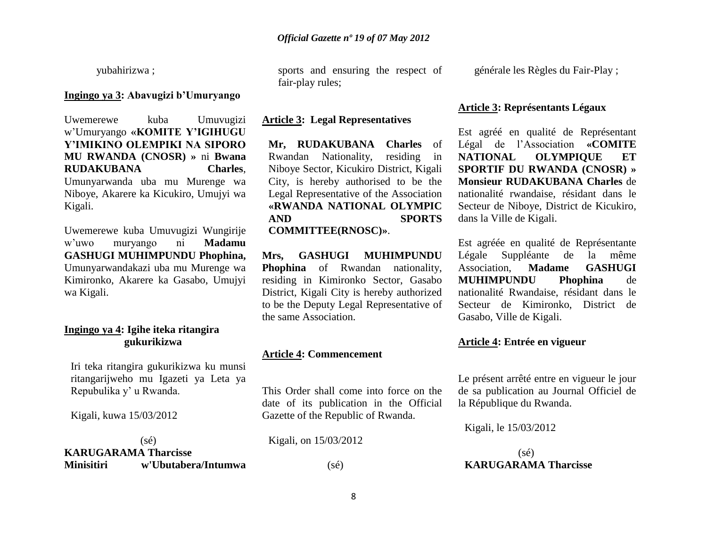yubahirizwa ;

#### **Ingingo ya 3: Abavugizi b'Umuryango**

Uwemerewe kuba Umuvugizi w'Umuryango **«KOMITE Y'IGIHUGU Y'IMIKINO OLEMPIKI NA SIPORO MU RWANDA (CNOSR) »** ni **Bwana RUDAKUBANA Charles**, Umunyarwanda uba mu Murenge wa Niboye, Akarere ka Kicukiro, Umujyi wa Kigali.

Uwemerewe kuba Umuvugizi Wungirije w'uwo muryango ni **Madamu GASHUGI MUHIMPUNDU Phophina,**  Umunyarwandakazi uba mu Murenge wa Kimironko, Akarere ka Gasabo, Umujyi wa Kigali.

#### **Ingingo ya 4: Igihe iteka ritangira gukurikizwa**

Iri teka ritangira gukurikizwa ku munsi ritangarijweho mu Igazeti ya Leta ya Repubulika y' u Rwanda.

Kigali, kuwa 15/03/2012

 $(s\acute{e})$ **KARUGARAMA Tharcisse Minisitiri w'Ubutabera/Intumwa**  sports and ensuring the respect of fair-play rules;

#### **Article 3: Legal Representatives**

**Mr, RUDAKUBANA Charles** of Rwandan Nationality, residing in Niboye Sector, Kicukiro District, Kigali City, is hereby authorised to be the Legal Representative of the Association **«RWANDA NATIONAL OLYMPIC AND SPORTS COMMITTEE(RNOSC)»**.

**Mrs, GASHUGI MUHIMPUNDU Phophina** of Rwandan nationality, residing in Kimironko Sector, Gasabo District, Kigali City is hereby authorized to be the Deputy Legal Representative of the same Association.

#### **Article 4: Commencement**

This Order shall come into force on the date of its publication in the Official Gazette of the Republic of Rwanda.

Kigali, on 15/03/2012

(sé)

générale les Règles du Fair-Play ;

#### **Article 3: Représentants Légaux**

Est agréé en qualité de Représentant Légal de l'Association **«COMITE NATIONAL OLYMPIQUE ET SPORTIF DU RWANDA (CNOSR) » Monsieur RUDAKUBANA Charles** de nationalité rwandaise, résidant dans le Secteur de Niboye, District de Kicukiro, dans la Ville de Kigali.

Est agréée en qualité de Représentante Légale Suppléante de la même Association, **Madame GASHUGI MUHIMPUNDU Phophina** de nationalité Rwandaise, résidant dans le Secteur de Kimironko, District de Gasabo, Ville de Kigali.

#### **Article 4: Entrée en vigueur**

Le présent arrêté entre en vigueur le jour de sa publication au Journal Officiel de la République du Rwanda.

Kigali, le 15/03/2012

 $(sé)$ **KARUGARAMA Tharcisse**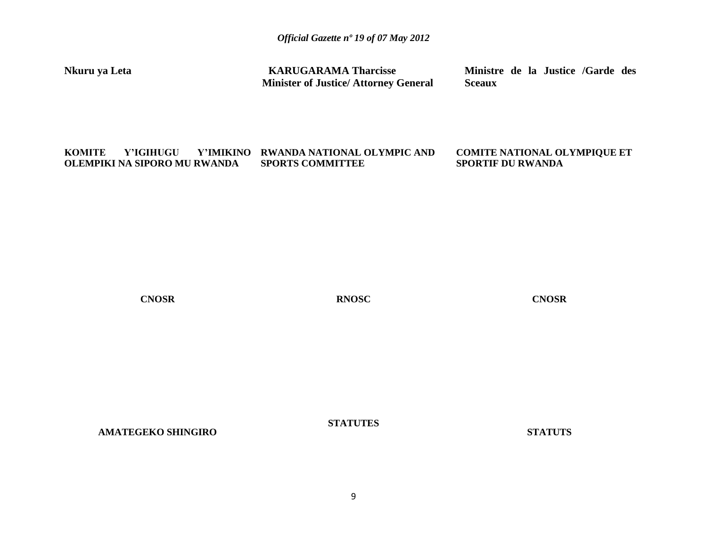**Nkuru ya Leta KARUGARAMA Tharcisse Minister of Justice/ Attorney General** **Ministre de la Justice /Garde des Sceaux**

| <b>KOMITE</b> | Y'IGHUGU                            | Y'IMIKINO RWANDA NATIONAL OLYMPIC AND | <b>COMITE NATIONAL OLYMPIQUE ET</b> |
|---------------|-------------------------------------|---------------------------------------|-------------------------------------|
|               | <b>OLEMPIKI NA SIPORO MU RWANDA</b> | <b>SPORTS COMMITTEE</b>               | <b>SPORTIF DU RWANDA</b>            |

**CNOSR**

**RNOSC**

**CNOSR**

**AMATEGEKO SHINGIRO**

**STATUTES**

**STATUTS**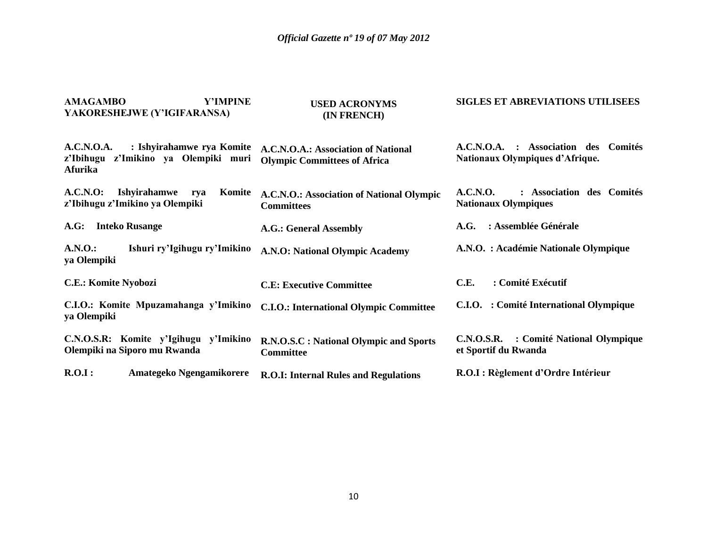#### **AMAGAMBO Y'IMPINE YAKORESHEJWE (Y'IGIFARANSA) USED ACRONYMS (IN FRENCH) SIGLES ET ABREVIATIONS UTILISEES**

| A.C.N.O.A.<br>: Ishyirahamwe rya Komite<br>z'Ibihugu z'Imikino ya Olempiki muri<br>Afurika | A.C.N.O.A.: Association of National<br><b>Olympic Committees of Africa</b> | Association des Comités<br>A.C.N.O.A.<br>Nationaux Olympiques d'Afrique.    |
|--------------------------------------------------------------------------------------------|----------------------------------------------------------------------------|-----------------------------------------------------------------------------|
| <b>A.C.N.O:</b><br><b>Ishyirahamwe</b><br>Komite<br>rya<br>z'Ibihugu z'Imikino ya Olempiki | A.C.N.O.: Association of National Olympic<br><b>Committees</b>             | <b>A.C.N.O.</b><br>: Association des Comités<br><b>Nationaux Olympiques</b> |
| $A.G$ :<br><b>Inteko Rusange</b>                                                           | <b>A.G.: General Assembly</b>                                              | : Assemblée Générale<br>A.G.                                                |
| A.N.O.<br>Ishuri ry'Igihugu ry'Imikino<br>ya Olempiki                                      | A.N.O: National Olympic Academy                                            | A.N.O. : Académie Nationale Olympique                                       |
| C.E.: Komite Nyobozi                                                                       | <b>C.E: Executive Committee</b>                                            | : Comité Exécutif<br>C.E.                                                   |
| C.I.O.: Komite Mpuzamahanga y'Imikino<br>ya Olempiki                                       | <b>C.I.O.: International Olympic Committee</b>                             | C.I.O. : Comité International Olympique                                     |
| C.N.O.S.R: Komite y'Igihugu y'Imikino<br>Olempiki na Siporo mu Rwanda                      | R.N.O.S.C : National Olympic and Sports<br><b>Committee</b>                | : Comité National Olympique<br>C.N.O.S.R.<br>et Sportif du Rwanda           |
| R.O.I:<br>Amategeko Ngengamikorere                                                         | <b>R.O.I: Internal Rules and Regulations</b>                               | R.O.I : Règlement d'Ordre Intérieur                                         |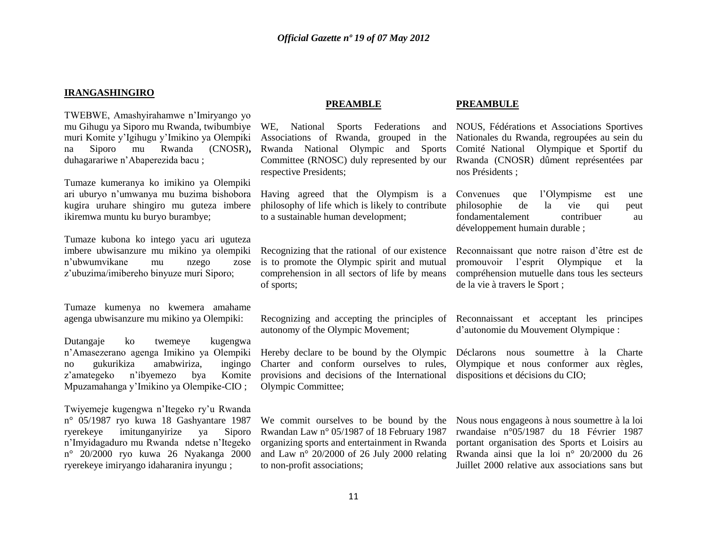#### **IRANGASHINGIRO**

TWEBWE, Amashyirahamwe n'Imiryango yo mu Gihugu ya Siporo mu Rwanda, twibumbiye muri Komite y'Igihugu y'Imikino ya Olempiki na Siporo mu Rwanda (CNOSR)**,**  duhagarariwe n'Abaperezida bacu ;

Tumaze kumeranya ko imikino ya Olempiki ari uburyo n'umwanya mu buzima bishobora kugira uruhare shingiro mu guteza imbere ikiremwa muntu ku buryo burambye;

Tumaze kubona ko intego yacu ari uguteza imbere ubwisanzure mu mikino ya olempiki n'ubwumvikane mu nzego zose z'ubuzima/imibereho binyuze muri Siporo;

Tumaze kumenya no kwemera amahame agenga ubwisanzure mu mikino ya Olempiki:

Dutangaje ko twemeye kugengwa n'Amasezerano agenga Imikino ya Olempiki no gukurikiza amabwiriza, ingingo z'amategeko n'ibyemezo bya Komite Mpuzamahanga y'Imikino ya Olempike-CIO ;

Twiyemeje kugengwa n'Itegeko ry'u Rwanda n° 05/1987 ryo kuwa 18 Gashyantare 1987 ryerekeye imitunganyirize ya Siporo n'Imyidagaduro mu Rwanda ndetse n'Itegeko n° 20/2000 ryo kuwa 26 Nyakanga 2000 ryerekeye imiryango idaharanira inyungu ;

#### **PREAMBLE**

WE, National Sports Federations Associations of Rwanda, grouped in the respective Presidents;

Having agreed that the Olympism is a philosophy of life which is likely to contribute to a sustainable human development;

Recognizing that the rational of our existence is to promote the Olympic spirit and mutual comprehension in all sectors of life by means of sports;

Recognizing and accepting the principles of Reconnaissant et acceptant les principes autonomy of the Olympic Movement;

Hereby declare to be bound by the Olympic Charter and conform ourselves to rules, provisions and decisions of the International Olympic Committee;

We commit ourselves to be bound by the Rwandan Law n° 05/1987 of 18 February 1987 organizing sports and entertainment in Rwanda and Law n° 20/2000 of 26 July 2000 relating to non-profit associations;

#### **PREAMBULE**

Rwanda National Olympic and Sports Comité National Olympique et Sportif du Committee (RNOSC) duly represented by our Rwanda (CNOSR) dûment représentées par NOUS, Fédérations et Associations Sportives Nationales du Rwanda, regroupées au sein du nos Présidents ;

> Convenues que l'Olympisme est une philosophie de la vie qui peut fondamentalement contribuer au développement humain durable ;

> Reconnaissant que notre raison d'être est de promouvoir l'esprit Olympique et la compréhension mutuelle dans tous les secteurs de la vie à travers le Sport ;

d'autonomie du Mouvement Olympique :

Déclarons nous soumettre à la Charte Olympique et nous conformer aux règles, dispositions et décisions du CIO;

Nous nous engageons à nous soumettre à la loi rwandaise n°05/1987 du 18 Février 1987 portant organisation des Sports et Loisirs au Rwanda ainsi que la loi n° 20/2000 du 26 Juillet 2000 relative aux associations sans but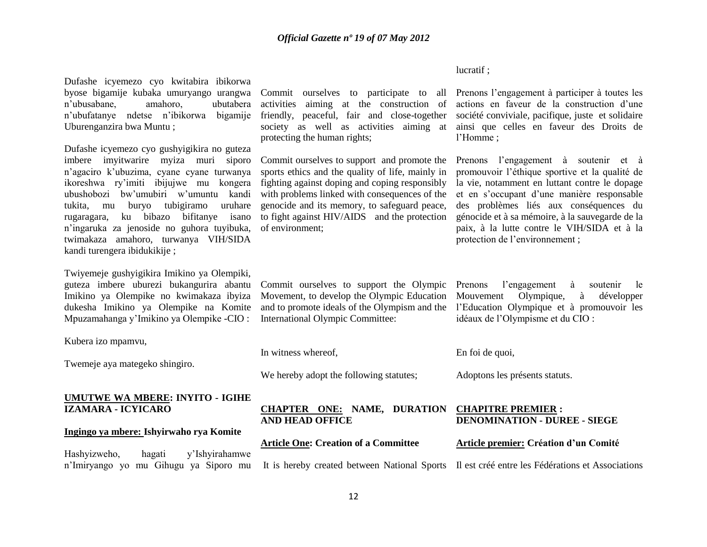lucratif ;

| Dufashe icyemezo cyo kwitabira ibikorwa<br>byose bigamije kubaka umuryango urangwa<br>n'ubusabane,<br>amahoro,<br>ubutabera<br>n'ubufatanye ndetse n'ibikorwa<br>bigamije<br>Uburenganzira bwa Muntu;                                                                                                                                                                                                                                         | Commit ourselves to participate to all Prenons l'engagement à participer à toutes les<br>activities aiming at the construction of<br>friendly, peaceful, fair and close-together<br>society as well as activities aiming at<br>protecting the human rights;                                                           | actions en faveur de la construction d'une<br>société conviviale, pacifique, juste et solidaire<br>ainsi que celles en faveur des Droits de<br>l'Homme;                                                                                                                                                                                                             |
|-----------------------------------------------------------------------------------------------------------------------------------------------------------------------------------------------------------------------------------------------------------------------------------------------------------------------------------------------------------------------------------------------------------------------------------------------|-----------------------------------------------------------------------------------------------------------------------------------------------------------------------------------------------------------------------------------------------------------------------------------------------------------------------|---------------------------------------------------------------------------------------------------------------------------------------------------------------------------------------------------------------------------------------------------------------------------------------------------------------------------------------------------------------------|
| Dufashe icyemezo cyo gushyigikira no guteza<br>imbere imyitwarire myiza muri siporo<br>n'agaciro k'ubuzima, cyane cyane turwanya<br>ikoreshwa ry'imiti ibijujwe mu kongera<br>ubushobozi bw'umubiri w'umuntu kandi<br>tukita,<br>buryo<br>tubigiramo<br>uruhare<br>mu<br>ku bibazo<br>bifitanye<br>isano<br>rugaragara,<br>n'ingaruka za jenoside no guhora tuyibuka,<br>twimakaza amahoro, turwanya VIH/SIDA<br>kandi turengera ibidukikije; | Commit ourselves to support and promote the<br>sports ethics and the quality of life, mainly in<br>fighting against doping and coping responsibly<br>with problems linked with consequences of the<br>genocide and its memory, to safeguard peace,<br>to fight against HIV/AIDS and the protection<br>of environment; | Prenons l'engagement à soutenir et à<br>promouvoir l'éthique sportive et la qualité de<br>la vie, notamment en luttant contre le dopage<br>et en s'occupant d'une manière responsable<br>des problèmes liés aux conséquences du<br>génocide et à sa mémoire, à la sauvegarde de la<br>paix, à la lutte contre le VIH/SIDA et à la<br>protection de l'environnement; |
| Twiyemeje gushyigikira Imikino ya Olempiki,<br>guteza imbere uburezi bukangurira abantu<br>Imikino ya Olempike no kwimakaza ibyiza<br>dukesha Imikino ya Olempike na Komite<br>Mpuzamahanga y'Imikino ya Olempike -CIO :                                                                                                                                                                                                                      | Commit ourselves to support the Olympic<br>Movement, to develop the Olympic Education<br>and to promote ideals of the Olympism and the<br><b>International Olympic Committee:</b>                                                                                                                                     | l'engagement à<br>Prenons<br>soutenir<br>le<br>Olympique,<br>Mouvement<br>à<br>développer<br>l'Education Olympique et à promouvoir les<br>idéaux de l'Olympisme et du CIO :                                                                                                                                                                                         |
| Kubera izo mpamvu,                                                                                                                                                                                                                                                                                                                                                                                                                            | In witness whereof,                                                                                                                                                                                                                                                                                                   | En foi de quoi,                                                                                                                                                                                                                                                                                                                                                     |
| Twemeje aya mategeko shingiro.                                                                                                                                                                                                                                                                                                                                                                                                                | We hereby adopt the following statutes;                                                                                                                                                                                                                                                                               | Adoptons les présents statuts.                                                                                                                                                                                                                                                                                                                                      |
| <b>UMUTWE WA MBERE: INYITO - IGIHE</b><br><b>IZAMARA - ICYICARO</b>                                                                                                                                                                                                                                                                                                                                                                           | CHAPTER ONE: NAME, DURATION CHAPITRE PREMIER :<br><b>AND HEAD OFFICE</b>                                                                                                                                                                                                                                              | <b>DENOMINATION - DUREE - SIEGE</b>                                                                                                                                                                                                                                                                                                                                 |
| Ingingo ya mbere: Ishyirwaho rya Komite                                                                                                                                                                                                                                                                                                                                                                                                       | <b>Article One: Creation of a Committee</b>                                                                                                                                                                                                                                                                           | Article premier: Création d'un Comité                                                                                                                                                                                                                                                                                                                               |
| Hashyizweho,<br>y'Ishyirahamwe<br>hagati                                                                                                                                                                                                                                                                                                                                                                                                      |                                                                                                                                                                                                                                                                                                                       |                                                                                                                                                                                                                                                                                                                                                                     |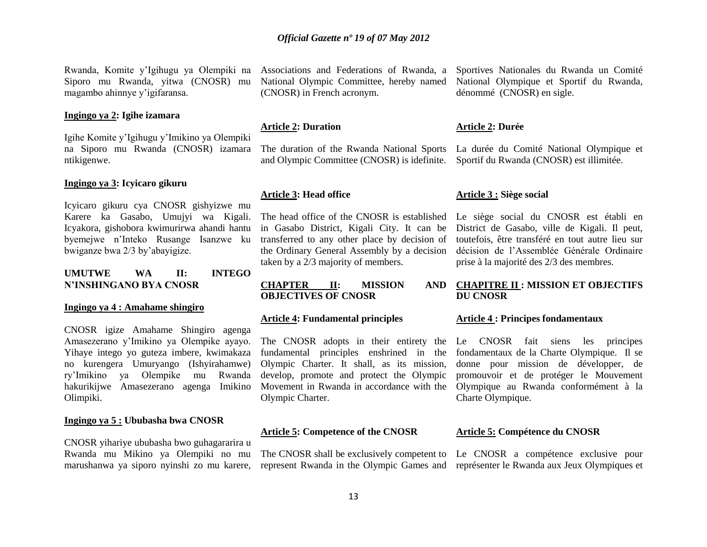Rwanda, Komite y'Igihugu ya Olempiki na Siporo mu Rwanda, yitwa (CNOSR) mu magambo ahinnye y'igifaransa.

#### **Ingingo ya 2: Igihe izamara**

Igihe Komite y'Igihugu y'Imikino ya Olempiki na Siporo mu Rwanda (CNOSR) izamara ntikigenwe.

#### **Ingingo ya 3: Icyicaro gikuru**

Icyicaro gikuru cya CNOSR gishyizwe mu Karere ka Gasabo, Umujyi wa Kigali. Icyakora, gishobora kwimurirwa ahandi hantu byemejwe n'Inteko Rusange Isanzwe ku bwiganze bwa 2/3 by'abayigize.

#### **UMUTWE WA II: INTEGO N'INSHINGANO BYA CNOSR**

#### **Ingingo ya 4 : Amahame shingiro**

CNOSR igize Amahame Shingiro agenga Amasezerano y'Imikino ya Olempike ayayo. Yihaye intego yo guteza imbere, kwimakaza no kurengera Umuryango (Ishyirahamwe) ry'Imikino ya Olempike mu Rwanda hakurikijwe Amasezerano agenga Imikino Olimpiki.

#### **Ingingo ya 5 : Ububasha bwa CNOSR**

CNOSR yihariye ububasha bwo guhagararira u Rwanda mu Mikino ya Olempiki no mu marushanwa ya siporo nyinshi zo mu karere,

Associations and Federations of Rwanda, a National Olympic Committee, hereby named (CNOSR) in French acronym.

#### **Article 2: Duration**

The duration of the Rwanda National Sports La durée du Comité National Olympique et and Olympic Committee (CNOSR) is idefinite. Sportif du Rwanda (CNOSR) est illimitée.

#### **Article 3: Head office**

in Gasabo District, Kigali City. It can be transferred to any other place by decision of the Ordinary General Assembly by a decision taken by a 2/3 majority of members.

#### **CHAPTER II: MISSION OBJECTIVES OF CNOSR**

#### **Article 4: Fundamental principles**

develop, promote and protect the Olympic Olympic Charter.

#### **Article 5: Competence of the CNOSR**

The CNOSR shall be exclusively competent to Le CNOSR a compétence exclusive pour

Sportives Nationales du Rwanda un Comité National Olympique et Sportif du Rwanda, dénommé (CNOSR) en sigle.

#### **Article 2: Durée**

#### **Article 3 : Siège social**

The head office of the CNOSR is established Le siège social du CNOSR est établi en District de Gasabo, ville de Kigali. Il peut, toutefois, être transféré en tout autre lieu sur décision de l'Assemblée Générale Ordinaire prise à la majorité des 2/3 des membres.

#### **CHAPITRE II : MISSION ET OBJECTIFS DU CNOSR**

#### **Article 4 : Principes fondamentaux**

The CNOSR adopts in their entirety the Le CNOSR fait siens les principes fundamental principles enshrined in the fondamentaux de la Charte Olympique. Il se Olympic Charter. It shall, as its mission, donne pour mission de développer, de Movement in Rwanda in accordance with the Olympique au Rwanda conformément à la promouvoir et de protéger le Mouvement Charte Olympique.

#### **Article 5: Compétence du CNOSR**

represent Rwanda in the Olympic Games and représenter le Rwanda aux Jeux Olympiques et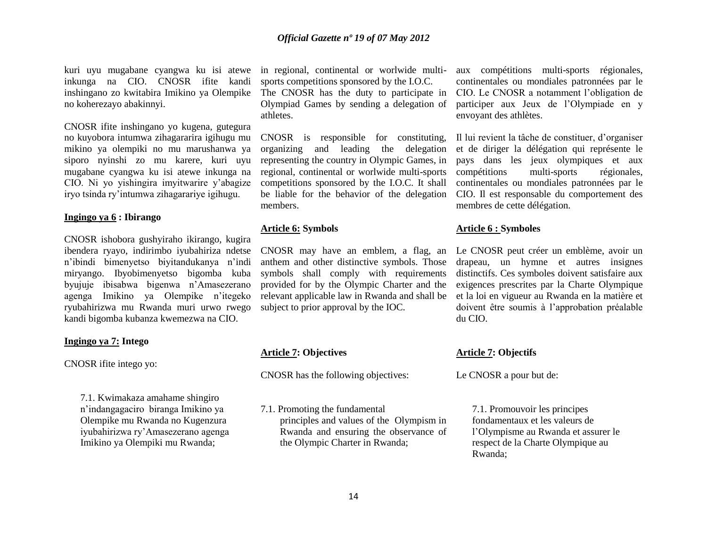kuri uyu mugabane cyangwa ku isi atewe in regional, continental or worlwide multiinkunga na CIO. CNOSR ifite kandi inshingano zo kwitabira Imikino ya Olempike no koherezayo abakinnyi.

CNOSR ifite inshingano yo kugena, gutegura no kuyobora intumwa zihagararira igihugu mu mikino ya olempiki no mu marushanwa ya siporo nyinshi zo mu karere, kuri uyu mugabane cyangwa ku isi atewe inkunga na CIO. Ni yo yishingira imyitwarire y'abagize iryo tsinda ry'intumwa zihagarariye igihugu.

#### **Ingingo ya 6 : Ibirango**

CNOSR ishobora gushyiraho ikirango, kugira ibendera ryayo, indirimbo iyubahiriza ndetse n'ibindi bimenyetso biyitandukanya n'indi miryango. Ibyobimenyetso bigomba kuba byujuje ibisabwa bigenwa n'Amasezerano agenga Imikino ya Olempike n'itegeko ryubahirizwa mu Rwanda muri urwo rwego kandi bigomba kubanza kwemezwa na CIO.

#### **Ingingo ya 7: Intego**

CNOSR ifite intego yo:

7.1. Kwimakaza amahame shingiro n'indangagaciro biranga Imikino ya Olempike mu Rwanda no Kugenzura iyubahirizwa ry'Amasezerano agenga Imikino ya Olempiki mu Rwanda;

sports competitions sponsored by the I.O.C. The CNOSR has the duty to participate in Olympiad Games by sending a delegation of athletes.

CNOSR is responsible for constituting, organizing and leading the delegation representing the country in Olympic Games, in regional, continental or worlwide multi-sports competitions sponsored by the I.O.C. It shall be liable for the behavior of the delegation members.

#### **Article 6: Symbols**

CNOSR may have an emblem, a flag, an anthem and other distinctive symbols. Those symbols shall comply with requirements provided for by the Olympic Charter and the relevant applicable law in Rwanda and shall be subject to prior approval by the IOC.

aux compétitions multi-sports régionales, continentales ou mondiales patronnées par le CIO. Le CNOSR a notamment l'obligation de participer aux Jeux de l'Olympiade en y envoyant des athlètes.

Il lui revient la tâche de constituer, d'organiser et de diriger la délégation qui représente le pays dans les jeux olympiques et aux compétitions multi-sports régionales, continentales ou mondiales patronnées par le CIO. Il est responsable du comportement des membres de cette délégation.

#### **Article 6 : Symboles**

Le CNOSR peut créer un emblème, avoir un drapeau, un hymne et autres insignes distinctifs. Ces symboles doivent satisfaire aux exigences prescrites par la Charte Olympique et la loi en vigueur au Rwanda en la matière et doivent être soumis à l'approbation préalable du CIO.

| <b>Article 7: Objectives</b>        | Articl |
|-------------------------------------|--------|
| CNOSR has the following objectives: | Le CN  |
| 7.1. Promoting the fundamental      |        |

principles and values of the Olympism in Rwanda and ensuring the observance of the Olympic Charter in Rwanda;

#### le 7: Objectifs

VOSR a pour but de:

7.1. Promouvoir les principes fondamentaux et les valeurs de l'Olympisme au Rwanda et assurer le respect de la Charte Olympique au Rwanda;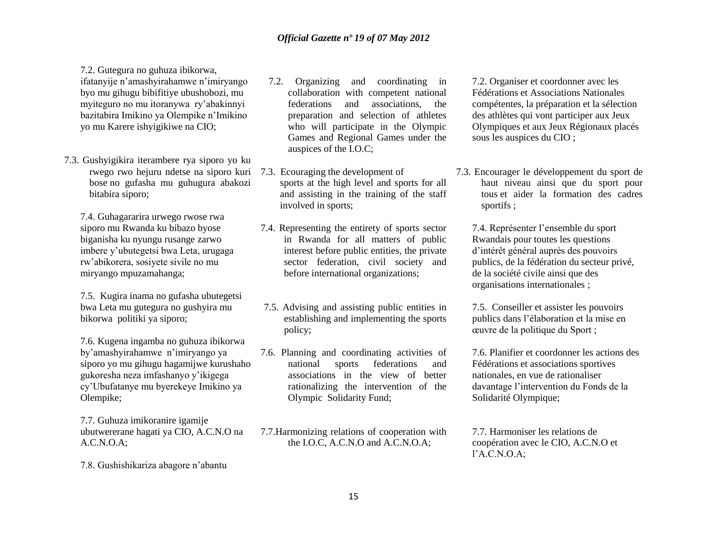7.2. Gutegura no guhuza ibikorwa, ifatanyije n'amashyirahamwe n'imiryango byo mu gihugu bibifitiye ubushobozi, mu myiteguro no mu itoranywa ry'abakinnyi bazitabira Imikino ya Olempike n'Imikino yo mu Karere ishyigikiwe na CIO;

7.3. Gushyigikira iterambere rya siporo yo ku rwego rwo hejuru ndetse na siporo kuri 7.3. Ecouraging the development of bose no gufasha mu guhugura abakozi bitabira siporo;

7.4. Guhagararira urwego rwose rwa siporo mu Rwanda ku bibazo byose biganisha ku nyungu rusange zarwo imbere y'ubutegetsi bwa Leta, urugaga rw'abikorera, sosiyete sivile no mu miryango mpuzamahanga;

7.5. Kugira inama no gufasha ubutegetsi bwa Leta mu gutegura no gushyira mu bikorwa politiki ya siporo;

7.6. Kugena ingamba no guhuza ibikorwa by'amashyirahamwe n'imiryango ya siporo yo mu gihugu hagamijwe kurushaho gukoresha neza imfashanyo y'ikigega cy'Ubufatanye mu byerekeye Imikino ya Olempike;

7.7. Guhuza imikoranire igamije ubutwererane hagati ya CIO, A.C.N.O na A.C.N.O.A;

7.8. Gushishikariza abagore n'abantu

- 7.2. Organizing and coordinating in collaboration with competent national federations and associations, the preparation and selection of athletes who will participate in the Olympic Games and Regional Games under the auspices of the I.O.C;
- sports at the high level and sports for all and assisting in the training of the staff involved in sports;
- 7.4. Representing the entirety of sports sector in Rwanda for all matters of public interest before public entities, the private sector federation, civil society and before international organizations;
- 7.5. Advising and assisting public entities in establishing and implementing the sports policy;
- 7.6. Planning and coordinating activities of national sports federations and associations in the view of better rationalizing the intervention of the Olympic Solidarity Fund;
- 7.7.Harmonizing relations of cooperation with the I.O.C, A.C.N.O and A.C.N.O.A;

7.2. Organiser et coordonner avec les Fédérations et Associations Nationales compétentes, la préparation et la sélection des athlètes qui vont participer aux Jeux Olympiques et aux Jeux Régionaux placés sous les auspices du CIO ;

7.3. Encourager le développement du sport de haut niveau ainsi que du sport pour tous et aider la formation des cadres sportifs ;

7.4. Représenter l'ensemble du sport Rwandais pour toutes les questions d'intérêt général auprès des pouvoirs publics, de la fédération du secteur privé, de la société civile ainsi que des organisations internationales ;

7.5. Conseiller et assister les pouvoirs publics dans l'élaboration et la mise en œuvre de la politique du Sport ;

7.6. Planifier et coordonner les actions des Fédérations et associations sportives nationales, en vue de rationaliser davantage l'intervention du Fonds de la Solidarité Olympique;

7.7. Harmoniser les relations de coopération avec le CIO, A.C.N.O et l'A.C.N.O.A;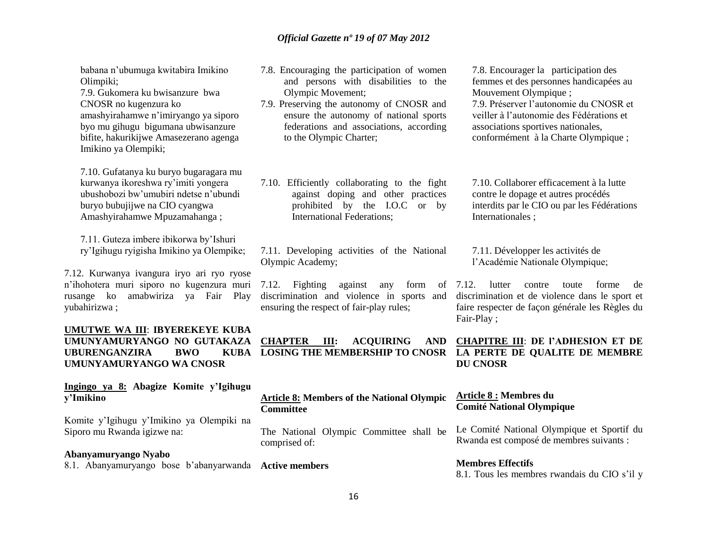babana n'ubumuga kwitabira Imikino Olimpiki;

7.9. Gukomera ku bwisanzure bwa CNOSR no kugenzura ko amashyirahamwe n'imiryango ya siporo byo mu gihugu bigumana ubwisanzure bifite, hakurikijwe Amasezerano agenga Imikino ya Olempiki;

7.10. Gufatanya ku buryo bugaragara mu kurwanya ikoreshwa ry'imiti yongera ubushobozi bw'umubiri ndetse n'ubundi buryo bubujijwe na CIO cyangwa Amashyirahamwe Mpuzamahanga ;

7.11. Guteza imbere ibikorwa by'Ishuri ry'Igihugu ryigisha Imikino ya Olempike;

7.12. Kurwanya ivangura iryo ari ryo ryose n'ihohotera muri siporo no kugenzura muri 7.12. Fighting against any form of 7.12. lutter contre toute forme de rusange ko amabwiriza ya Fair Play yubahirizwa ;

#### **UMUTWE WA III**: **IBYEREKEYE KUBA UMUNYAMURYANGO NO GUTAKAZA**  UBURENGANZIRA BWO **UMUNYAMURYANGO WA CNOSR**

#### **Ingingo ya 8: Abagize Komite y'Igihugu y'Imikino**

Komite y'Igihugu y'Imikino ya Olempiki na Siporo mu Rwanda igizwe na:

#### **Abanyamuryango Nyabo**

8.1. Abanyamuryango bose b'abanyarwanda **Active members**

- 7.8. Encouraging the participation of women and persons with disabilities to the Olympic Movement;
- 7.9. Preserving the autonomy of CNOSR and ensure the autonomy of national sports federations and associations, according to the Olympic Charter;
- 7.10. Efficiently collaborating to the fight against doping and other practices prohibited by the I.O.C or by International Federations;

7.11. Developing activities of the National Olympic Academy;

discrimination and violence in sports and ensuring the respect of fair-play rules;

**CHAPTER III: ACQUIRING AND LOSING THE MEMBERSHIP TO CNOSR LA PERTE DE QUALITE DE MEMBRE** 

**Article 8: Members of the National Olympic Committee**

The National Olympic Committee shall be comprised of:

16

#### **Membres Effectifs**

**Article 8 : Membres du Comité National Olympique**

8.1. Tous les membres rwandais du CIO s'il y

Le Comité National Olympique et Sportif du Rwanda est composé de membres suivants :

femmes et des personnes handicapées au Mouvement Olympique ; 7.9. Préserver l'autonomie du CNOSR et veiller à l'autonomie des Fédérations et associations sportives nationales, conformément à la Charte Olympique ;

7.8. Encourager la participation des

7.10. Collaborer efficacement à la lutte contre le dopage et autres procédés interdits par le CIO ou par les Fédérations Internationales ;

7.11. Développer les activités de l'Académie Nationale Olympique;

discrimination et de violence dans le sport et faire respecter de façon générale les Règles du Fair-Play ;

### **CHAPITRE III**: **DE l'ADHESION ET DE DU CNOSR**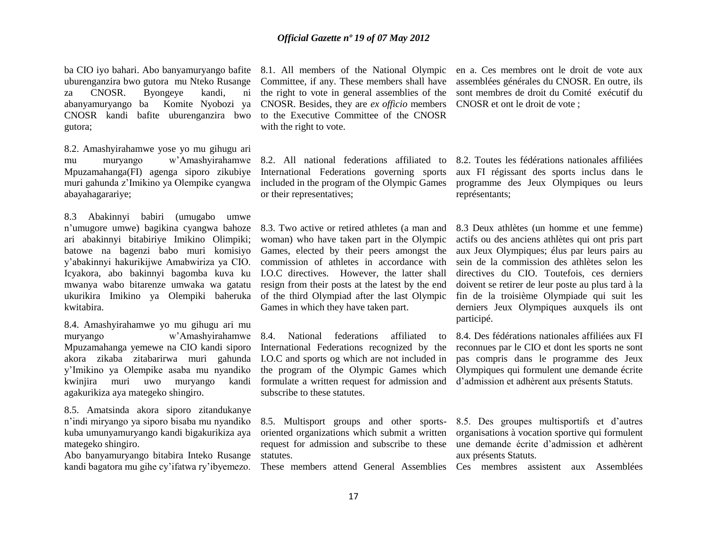#### *Official Gazette nº 19 of 07 May 2012*

ba CIO iyo bahari. Abo banyamuryango bafite 8.1. All members of the National Olympic uburenganzira bwo gutora mu Nteko Rusange za CNOSR. Byongeye kandi, ni abanyamuryango ba Komite Nyobozi ya CNOSR kandi bafite uburenganzira bwo gutora;

8.2. Amashyirahamwe yose yo mu gihugu ari mu muryango w'Amashyirahamwe Mpuzamahanga(FI) agenga siporo zikubiye muri gahunda z'Imikino ya Olempike cyangwa abayahagarariye;

8.3 Abakinnyi babiri (umugabo umwe n'umugore umwe) bagikina cyangwa bahoze ari abakinnyi bitabiriye Imikino Olimpiki; batowe na bagenzi babo muri komisiyo y'abakinnyi hakurikijwe Amabwiriza ya CIO. Icyakora, abo bakinnyi bagomba kuva ku mwanya wabo bitarenze umwaka wa gatatu ukurikira Imikino ya Olempiki baheruka kwitabira.

8.4. Amashyirahamwe yo mu gihugu ari mu muryango w'Amashyirahamwe Mpuzamahanga yemewe na CIO kandi siporo akora zikaba zitabarirwa muri gahunda y'Imikino ya Olempike asaba mu nyandiko kwinjira muri uwo muryango kandi agakurikiza aya mategeko shingiro.

8.5. Amatsinda akora siporo zitandukanye n'indi miryango ya siporo bisaba mu nyandiko kuba umunyamuryango kandi bigakurikiza aya mategeko shingiro.

Abo banyamuryango bitabira Inteko Rusange kandi bagatora mu gihe cy'ifatwa ry'ibyemezo.

Committee, if any. These members shall have the right to vote in general assemblies of the CNOSR. Besides, they are *ex officio* members to the Executive Committee of the CNOSR with the right to vote.

8.2. All national federations affiliated to International Federations governing sports included in the program of the Olympic Games or their representatives;

8.3. Two active or retired athletes (a man and woman) who have taken part in the Olympic Games, elected by their peers amongst the commission of athletes in accordance with I.O.C directives. However, the latter shall resign from their posts at the latest by the end of the third Olympiad after the last Olympic Games in which they have taken part.

8.4. National federations affiliated to International Federations recognized by the I.O.C and sports og which are not included in the program of the Olympic Games which formulate a written request for admission and subscribe to these statutes.

8.5. Multisport groups and other sportsoriented organizations which submit a written request for admission and subscribe to these statutes.

These members attend General Assemblies Ces membres assistent aux Assemblées

en a. Ces membres ont le droit de vote aux assemblées générales du CNOSR. En outre, ils sont membres de droit du Comité exécutif du CNOSR et ont le droit de vote ;

8.2. Toutes les fédérations nationales affiliées aux FI régissant des sports inclus dans le programme des Jeux Olympiques ou leurs représentants;

8.3 Deux athlètes (un homme et une femme) actifs ou des anciens athlètes qui ont pris part aux Jeux Olympiques; élus par leurs pairs au sein de la commission des athlètes selon les directives du CIO. Toutefois, ces derniers doivent se retirer de leur poste au plus tard à la fin de la troisième Olympiade qui suit les derniers Jeux Olympiques auxquels ils ont participé.

8.4. Des fédérations nationales affiliées aux FI reconnues par le CIO et dont les sports ne sont pas compris dans le programme des Jeux Olympiques qui formulent une demande écrite d'admission et adhèrent aux présents Statuts.

8.5. Des groupes multisportifs et d'autres organisations à vocation sportive qui formulent une demande écrite d'admission et adhèrent aux présents Statuts.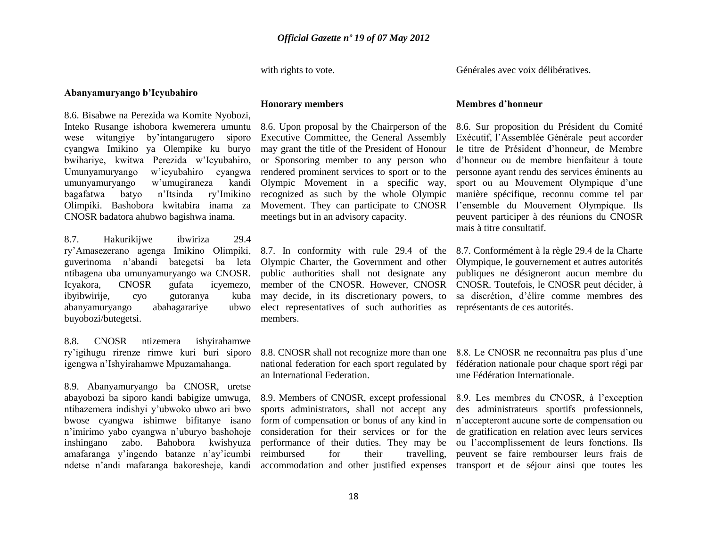with rights to vote.

Générales avec voix délibératives.

#### **Abanyamuryango b'Icyubahiro**

8.6. Bisabwe na Perezida wa Komite Nyobozi, Inteko Rusange ishobora kwemerera umuntu wese witangiye by'intangarugero siporo cyangwa Imikino ya Olempike ku buryo bwihariye, kwitwa Perezida w'Icyubahiro, Umunyamuryango w'icyubahiro cyangwa umunyamuryango w'umugiraneza kandi bagafatwa batyo n'Itsinda ry'Imikino Olimpiki. Bashobora kwitabira inama za CNOSR badatora ahubwo bagishwa inama.

8.7. Hakurikijwe ibwiriza 29.4 ry'Amasezerano agenga Imikino Olimpiki, guverinoma n'abandi bategetsi ba leta ntibagena uba umunyamuryango wa CNOSR. Icyakora, CNOSR gufata icyemezo, ibyibwirije, cyo gutoranya abanyamuryango abahagarariye ubwo buyobozi/butegetsi.

8.8. CNOSR ntizemera ishyirahamwe ry'igihugu rirenze rimwe kuri buri siporo igengwa n'Ishyirahamwe Mpuzamahanga.

8.9. Abanyamuryango ba CNOSR, uretse abayobozi ba siporo kandi babigize umwuga, ntibazemera indishyi y'ubwoko ubwo ari bwo bwose cyangwa ishimwe bifitanye isano n'imirimo yabo cyangwa n'uburyo bashohoje inshingano zabo. Bahobora kwishyuza amafaranga y'ingendo batanze n'ay'icumbi ndetse n'andi mafaranga bakoresheje, kandi

#### **Honorary members**

8.6. Upon proposal by the Chairperson of the Executive Committee, the General Assembly may grant the title of the President of Honour or Sponsoring member to any person who rendered prominent services to sport or to the Olympic Movement in a specific way, recognized as such by the whole Olympic Movement. They can participate to CNOSR meetings but in an advisory capacity.

8.7. In conformity with rule 29.4 of the Olympic Charter, the Government and other public authorities shall not designate any member of the CNOSR. However, CNOSR may decide, in its discretionary powers, to elect representatives of such authorities as members.

> 8.8. CNOSR shall not recognize more than one national federation for each sport regulated by an International Federation.

> 8.9. Members of CNOSR, except professional sports administrators, shall not accept any form of compensation or bonus of any kind in consideration for their services or for the performance of their duties. They may be reimbursed for their travelling, accommodation and other justified expenses

#### **Membres d'honneur**

8.6. Sur proposition du Président du Comité Exécutif, l'Assemblée Générale peut accorder le titre de Président d'honneur, de Membre d'honneur ou de membre bienfaiteur à toute personne ayant rendu des services éminents au sport ou au Mouvement Olympique d'une manière spécifique, reconnu comme tel par l'ensemble du Mouvement Olympique. Ils peuvent participer à des réunions du CNOSR mais à titre consultatif.

8.7. Conformément à la règle 29.4 de la Charte Olympique, le gouvernement et autres autorités publiques ne désigneront aucun membre du CNOSR. Toutefois, le CNOSR peut décider, à sa discrétion, d'élire comme membres des représentants de ces autorités.

8.8. Le CNOSR ne reconnaîtra pas plus d'une fédération nationale pour chaque sport régi par une Fédération Internationale.

8.9. Les membres du CNOSR, à l'exception des administrateurs sportifs professionnels, n'accepteront aucune sorte de compensation ou de gratification en relation avec leurs services ou l'accomplissement de leurs fonctions. Ils peuvent se faire rembourser leurs frais de transport et de séjour ainsi que toutes les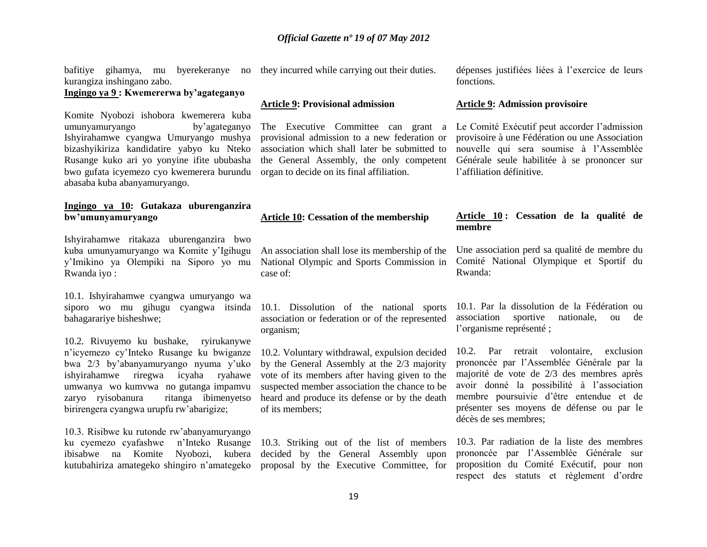bafitiye gihamya, mu byerekeranye no kurangiza inshingano zabo.

#### **Ingingo ya 9 : Kwemererwa by'agateganyo**

Komite Nyobozi ishobora kwemerera kuba umunyamuryango by'agateganyo Ishyirahamwe cyangwa Umuryango mushya bizashyikiriza kandidatire yabyo ku Nteko Rusange kuko ari yo yonyine ifite ububasha bwo gufata icyemezo cyo kwemerera burundu abasaba kuba abanyamuryango.

#### **Ingingo ya 10: Gutakaza uburenganzira bw'umunyamuryango**

Ishyirahamwe ritakaza uburenganzira bwo kuba umunyamuryango wa Komite y'Igihugu y'Imikino ya Olempiki na Siporo yo mu Rwanda iyo :

10.1. Ishyirahamwe cyangwa umuryango wa siporo wo mu gihugu cyangwa itsinda bahagarariye bisheshwe;

10.2. Rivuyemo ku bushake, ryirukanywe n'icyemezo cy'Inteko Rusange ku bwiganze bwa 2/3 by'abanyamuryango nyuma y'uko ishyirahamwe riregwa icyaha ryahawe umwanya wo kumvwa no gutanga impamvu zaryo ryisobanura ritanga ibimenyetso birirengera cyangwa urupfu rw'abarigize;

10.3. Risibwe ku rutonde rw'abanyamuryango ku cyemezo cyafashwe n'Inteko Rusange 10.3. Striking out of the list of members ibisabwe na Komite Nyobozi, kubera

they incurred while carrying out their duties.

#### **Article 9: Provisional admission**

The Executive Committee can grant a provisional admission to a new federation or association which shall later be submitted to organ to decide on its final affiliation.

#### **Article 10: Cessation of the membership**

An association shall lose its membership of the National Olympic and Sports Commission in case of:

10.1. Dissolution of the national sports association or federation or of the represented organism;

10.2. Voluntary withdrawal, expulsion decided by the General Assembly at the 2/3 majority vote of its members after having given to the suspected member association the chance to be heard and produce its defense or by the death of its members;

kutubahiriza amategeko shingiro n'amategeko proposal by the Executive Committee, for decided by the General Assembly upon

dépenses justifiées liées à l'exercice de leurs fonctions.

#### **Article 9: Admission provisoire**

the General Assembly, the only competent Générale seule habilitée à se prononcer sur Le Comité Exécutif peut accorder l'admission provisoire à une Fédération ou une Association nouvelle qui sera soumise à l'Assemblée l'affiliation définitive.

#### **Article 10 : Cessation de la qualité de membre**

Une association perd sa qualité de membre du Comité National Olympique et Sportif du Rwanda:

10.1. Par la dissolution de la Fédération ou association sportive nationale, ou de l'organisme représenté ;

10.2. Par retrait volontaire, exclusion prononcée par l'Assemblée Générale par la majorité de vote de 2/3 des membres après avoir donné la possibilité à l'association membre poursuivie d'être entendue et de présenter ses moyens de défense ou par le décès de ses membres;

10.3. Par radiation de la liste des membres prononcée par l'Assemblée Générale sur proposition du Comité Exécutif, pour non respect des statuts et règlement d'ordre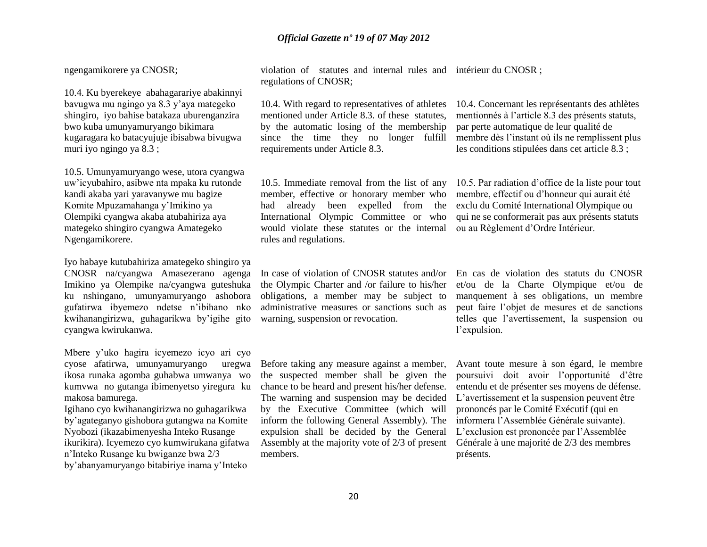#### *Official Gazette nº 19 of 07 May 2012*

ngengamikorere ya CNOSR;

10.4. Ku byerekeye abahagarariye abakinnyi bavugwa mu ngingo ya 8.3 y'aya mategeko shingiro, iyo bahise batakaza uburenganzira bwo kuba umunyamuryango bikimara kugaragara ko batacyujuje ibisabwa bivugwa muri iyo ngingo ya 8.3 ;

10.5. Umunyamuryango wese, utora cyangwa uw'icyubahiro, asibwe nta mpaka ku rutonde kandi akaba yari yaravanywe mu bagize Komite Mpuzamahanga y'Imikino ya Olempiki cyangwa akaba atubahiriza aya mategeko shingiro cyangwa Amategeko Ngengamikorere.

Iyo habaye kutubahiriza amategeko shingiro ya CNOSR na/cyangwa Amasezerano agenga Imikino ya Olempike na/cyangwa guteshuka ku nshingano, umunyamuryango ashobora gufatirwa ibyemezo ndetse n'ibihano nko kwihanangirizwa, guhagarikwa by'igihe gito cyangwa kwirukanwa.

Mbere y'uko hagira icyemezo icyo ari cyo cyose afatirwa, umunyamuryango uregwa ikosa runaka agomba guhabwa umwanya wo kumvwa no gutanga ibimenyetso yiregura ku makosa bamurega.

Igihano cyo kwihanangirizwa no guhagarikwa by'agateganyo gishobora gutangwa na Komite Nyobozi (ikazabimenyesha Inteko Rusange ikurikira). Icyemezo cyo kumwirukana gifatwa n'Inteko Rusange ku bwiganze bwa 2/3 by'abanyamuryango bitabiriye inama y'Inteko

violation of statutes and internal rules and intérieur du CNOSR ; regulations of CNOSR;

10.4. With regard to representatives of athletes mentioned under Article 8.3. of these statutes, by the automatic losing of the membership since the time they no longer fulfill requirements under Article 8.3.

10.5. Immediate removal from the list of any member, effective or honorary member who had already been expelled from the International Olympic Committee or who would violate these statutes or the internal rules and regulations.

the Olympic Charter and /or failure to his/her obligations, a member may be subject to administrative measures or sanctions such as warning, suspension or revocation.

Before taking any measure against a member, the suspected member shall be given the chance to be heard and present his/her defense. The warning and suspension may be decided by the Executive Committee (which will inform the following General Assembly). The expulsion shall be decided by the General Assembly at the majority vote of 2/3 of present members.

10.4. Concernant les représentants des athlètes mentionnés à l'article 8.3 des présents statuts, par perte automatique de leur qualité de membre dès l'instant où ils ne remplissent plus les conditions stipulées dans cet article 8.3 ;

10.5. Par radiation d'office de la liste pour tout membre, effectif ou d'honneur qui aurait été exclu du Comité International Olympique ou qui ne se conformerait pas aux présents statuts ou au Règlement d'Ordre Intérieur.

In case of violation of CNOSR statutes and/or En cas de violation des statuts du CNOSR et/ou de la Charte Olympique et/ou de manquement à ses obligations, un membre peut faire l'objet de mesures et de sanctions telles que l'avertissement, la suspension ou l'expulsion.

> Avant toute mesure à son égard, le membre poursuivi doit avoir l'opportunité d'être entendu et de présenter ses moyens de défense. L'avertissement et la suspension peuvent être prononcés par le Comité Exécutif (qui en informera l'Assemblée Générale suivante). L'exclusion est prononcée par l'Assemblée Générale à une majorité de 2/3 des membres présents.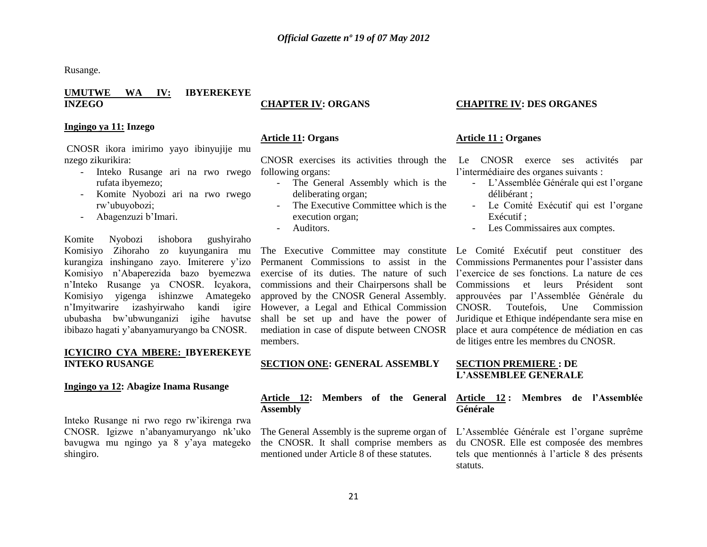Rusange.

#### **UMUTWE WA IV: IBYEREKEYE INZEGO**

#### **Ingingo ya 11: Inzego**

CNOSR ikora imirimo yayo ibinyujije mu nzego zikurikira:

- Inteko Rusange ari na rwo rwego rufata ibyemezo;
- Komite Nyobozi ari na rwo rwego rw'ubuyobozi;
- Abagenzuzi b'Imari.

Komite Nyobozi ishobora gushyiraho Komisiyo Zihoraho zo kuyunganira mu kurangiza inshingano zayo. Imiterere y'izo Komisiyo n'Abaperezida bazo byemezwa n'Inteko Rusange ya CNOSR. Icyakora, Komisiyo yigenga ishinzwe Amategeko n'Imyitwarire izashyirwaho kandi igire ububasha bw'ubwunganizi igihe havutse ibibazo hagati y'abanyamuryango ba CNOSR.

#### **ICYICIRO CYA MBERE: IBYEREKEYE INTEKO RUSANGE**

#### **Ingingo ya 12: Abagize Inama Rusange**

Inteko Rusange ni rwo rego rw'ikirenga rwa CNOSR. Igizwe n'abanyamuryango nk'uko bavugwa mu ngingo ya 8 y'aya mategeko shingiro.

**CHAPTER IV: ORGANS**

#### **Article 11: Organs**

following organs:

- The General Assembly which is the deliberating organ;
- The Executive Committee which is the execution organ;
- Auditors.

approved by the CNOSR General Assembly. However, a Legal and Ethical Commission shall be set up and have the power of mediation in case of dispute between CNOSR members.

**SECTION ONE: GENERAL ASSEMBLY**

**Article 12: Members of the General Article 12 : Membres de l'Assemblée Assembly**

the CNOSR. It shall comprise members as mentioned under Article 8 of these statutes.

#### **CHAPITRE IV: DES ORGANES**

#### **Article 11 : Organes**

CNOSR exercises its activities through the Le CNOSR exerce ses activités par l'intermédiaire des organes suivants :

- L'Assemblée Générale qui est l'organe délibérant ;
- Le Comité Exécutif qui est l'organe Exécutif ;
- Les Commissaires aux comptes.

The Executive Committee may constitute Le Comité Exécutif peut constituer des Permanent Commissions to assist in the Commissions Permanentes pour l'assister dans exercise of its duties. The nature of such l'exercice de ses fonctions. La nature de ces commissions and their Chairpersons shall be Commissions et leurs Président sont approuvées par l'Assemblée Générale du CNOSR. Toutefois, Une Commission Juridique et Ethique indépendante sera mise en place et aura compétence de médiation en cas de litiges entre les membres du CNOSR.

#### **SECTION PREMIERE : DE L'ASSEMBLEE GENERALE**

## **Générale**

The General Assembly is the supreme organ of L'Assemblée Générale est l'organe suprême du CNOSR. Elle est composée des membres tels que mentionnés à l'article 8 des présents statuts.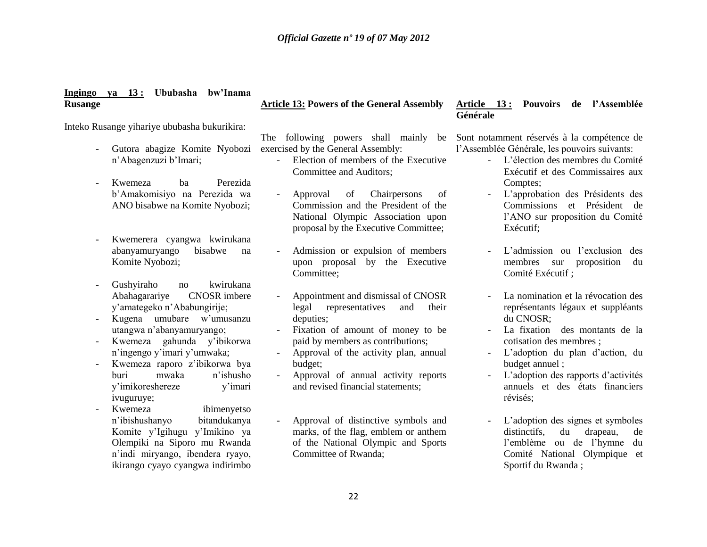#### **Ingingo ya 13 : Ububasha bw'Inama Rusange**

Inteko Rusange yihariye ububasha bukurikira:

- Gutora abagize Komite Nyobozi n'Abagenzuzi b'Imari;
- Kwemeza ba Perezida b'Amakomisiyo na Perezida wa ANO bisabwe na Komite Nyobozi;
- Kwemerera cyangwa kwirukana abanyamuryango bisabwe na Komite Nyobozi;
- Gushyiraho no kwirukana Abahagarariye CNOSR imbere y'amategeko n'Ababungirije;
- Kugena umubare w'umusanzu utangwa n'abanyamuryango;
- Kwemeza gahunda y'ibikorwa n'ingengo y'imari y'umwaka;
- Kwemeza raporo z'ibikorwa bya buri mwaka n'ishusho y'imikoreshereze y'imari ivuguruye;
- Kwemeza ibimenyetso n'ibishushanyo bitandukanya Komite y'Igihugu y'Imikino ya Olempiki na Siporo mu Rwanda n'indi miryango, ibendera ryayo, ikirango cyayo cyangwa indirimbo

**Article 13: Powers of the General Assembly**

The following powers shall mainly be exercised by the General Assembly:

- Election of members of the Executive Committee and Auditors;
- Approval of Chairpersons of Commission and the President of the National Olympic Association upon proposal by the Executive Committee;
- Admission or expulsion of members upon proposal by the Executive Committee;
- Appointment and dismissal of CNOSR legal representatives and their deputies;
- Fixation of amount of money to be paid by members as contributions;
- Approval of the activity plan, annual budget;
- Approval of annual activity reports and revised financial statements;
- Approval of distinctive symbols and marks, of the flag, emblem or anthem of the National Olympic and Sports Committee of Rwanda;

#### **Article 13 : Pouvoirs de l'Assemblée Générale**

Sont notamment réservés à la compétence de l'Assemblée Générale, les pouvoirs suivants:

- L'élection des membres du Comité Exécutif et des Commissaires aux Comptes;
- L'approbation des Présidents des Commissions et Président de l'ANO sur proposition du Comité Exécutif;
- L'admission ou l'exclusion des membres sur proposition du Comité Exécutif ;
- La nomination et la révocation des représentants légaux et suppléants du CNOSR;
- La fixation des montants de la cotisation des membres ;
- L'adoption du plan d'action, du budget annuel ;
- L'adoption des rapports d'activités annuels et des états financiers révisés;
- L'adoption des signes et symboles distinctifs, du drapeau, de l'emblème ou de l'hymne du Comité National Olympique et Sportif du Rwanda ;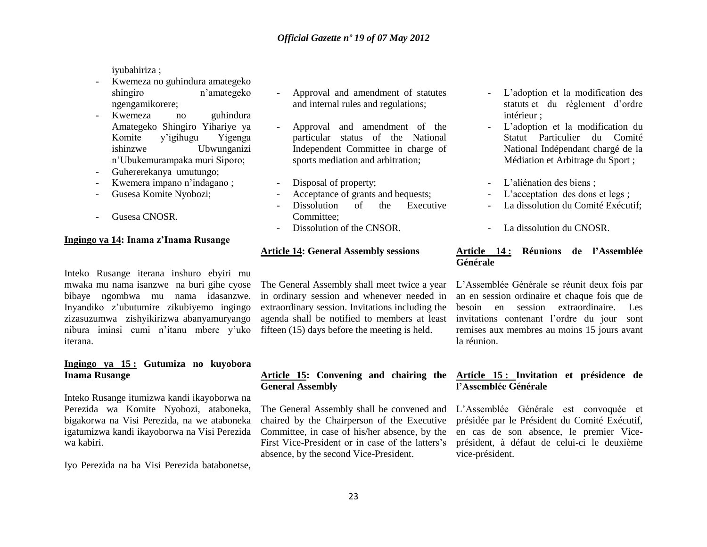iyubahiriza ;

- Kwemeza no guhindura amategeko shingiro n'amategeko ngengamikorere;
- Kwemeza no guhindura Amategeko Shingiro Yihariye ya Komite y'igihugu Yigenga ishinzwe Ubwunganizi n'Ubukemurampaka muri Siporo;
- Guhererekanya umutungo;
- Kwemera impano n'indagano ;
- Gusesa Komite Nyobozi;
- Gusesa CNOSR.

#### **Ingingo ya 14: Inama z'Inama Rusange**

Inteko Rusange iterana inshuro ebyiri mu mwaka mu nama isanzwe na buri gihe cyose bibaye ngombwa mu nama idasanzwe. Inyandiko z'ubutumire zikubiyemo ingingo zizasuzumwa zishyikirizwa abanyamuryango nibura iminsi cumi n'itanu mbere y'uko iterana.

#### **Ingingo ya 15 : Gutumiza no kuyobora Inama Rusange**

Inteko Rusange itumizwa kandi ikayoborwa na Perezida wa Komite Nyobozi, ataboneka, bigakorwa na Visi Perezida, na we ataboneka igatumizwa kandi ikayoborwa na Visi Perezida wa kabiri.

Iyo Perezida na ba Visi Perezida batabonetse,

- Approval and amendment of statutes and internal rules and regulations;
- Approval and amendment of the particular status of the National Independent Committee in charge of sports mediation and arbitration;
- Disposal of property;
- Acceptance of grants and bequests;
- Dissolution of the Executive Committee;
- Dissolution of the CNSOR.

#### **Article 14: General Assembly sessions**

The General Assembly shall meet twice a year in ordinary session and whenever needed in extraordinary session. Invitations including the agenda shall be notified to members at least fifteen (15) days before the meeting is held.

### **General Assembly**

The General Assembly shall be convened and chaired by the Chairperson of the Executive Committee, in case of his/her absence, by the First Vice-President or in case of the latters's absence, by the second Vice-President.

- L'adoption et la modification des statuts et du règlement d'ordre intérieur ;
- L'adoption et la modification du Statut Particulier du Comité National Indépendant chargé de la Médiation et Arbitrage du Sport ;
- L'aliénation des biens :
- L'acceptation des dons et legs;
- La dissolution du Comité Exécutif;
- La dissolution du CNOSR.

#### **Article 14 : Réunions de l'Assemblée Générale**

L'Assemblée Générale se réunit deux fois par an en session ordinaire et chaque fois que de besoin en session extraordinaire. Les invitations contenant l'ordre du jour sont remises aux membres au moins 15 jours avant la réunion.

#### **Article 15: Convening and chairing the Article 15 : Invitation et présidence de l'Assemblée Générale**

L'Assemblée Générale est convoquée et présidée par le Président du Comité Exécutif, en cas de son absence, le premier Viceprésident, à défaut de celui-ci le deuxième vice-président.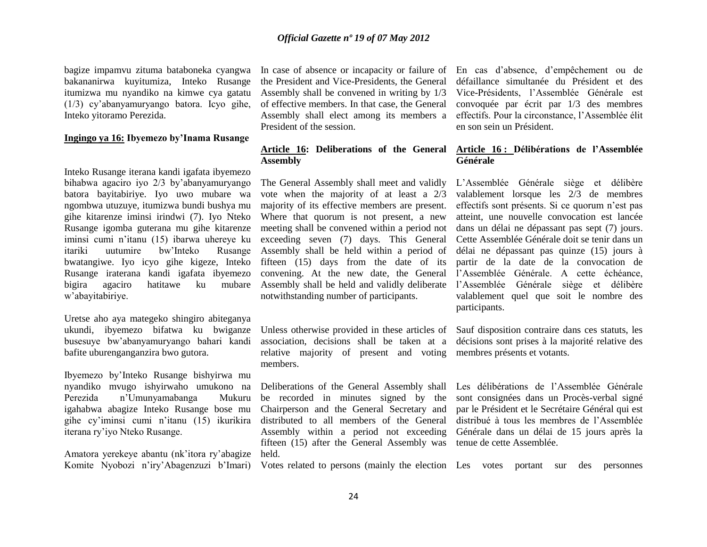bagize impamvu zituma bataboneka cyangwa bakananirwa kuyitumiza, Inteko Rusange itumizwa mu nyandiko na kimwe cya gatatu (1/3) cy'abanyamuryango batora. Icyo gihe, Inteko yitoramo Perezida.

#### **Ingingo ya 16: Ibyemezo by'Inama Rusange**

Inteko Rusange iterana kandi igafata ibyemezo bihabwa agaciro iyo 2/3 by'abanyamuryango batora bayitabiriye. Iyo uwo mubare wa ngombwa utuzuye, itumizwa bundi bushya mu gihe kitarenze iminsi irindwi (7). Iyo Nteko Rusange igomba guterana mu gihe kitarenze iminsi cumi n'itanu (15) ibarwa uhereye ku itariki uutumire bw'Inteko Rusange bwatangiwe. Iyo icyo gihe kigeze, Inteko Rusange iraterana kandi igafata ibyemezo bigira agaciro hatitawe ku mubare w'abayitabiriye.

Uretse aho aya mategeko shingiro abiteganya ukundi, ibyemezo bifatwa ku bwiganze busesuye bw'abanyamuryango bahari kandi bafite uburenganganzira bwo gutora.

Ibyemezo by'Inteko Rusange bishyirwa mu nyandiko mvugo ishyirwaho umukono na Perezida n'Umunyamabanga Mukuru igahabwa abagize Inteko Rusange bose mu gihe cy'iminsi cumi n'itanu (15) ikurikira iterana ry'iyo Nteko Rusange.

Amatora yerekeye abantu (nk'itora ry'abagize

the President and Vice-Presidents, the General Assembly shall be convened in writing by 1/3 of effective members. In that case, the General Assembly shall elect among its members a President of the session.

### **Assembly**

The General Assembly shall meet and validly vote when the majority of at least a 2/3 majority of its effective members are present. Where that quorum is not present, a new meeting shall be convened within a period not exceeding seven (7) days. This General Assembly shall be held within a period of fifteen (15) days from the date of its convening. At the new date, the General Assembly shall be held and validly deliberate notwithstanding number of participants.

relative majority of present and voting membres présents et votants. members.

be recorded in minutes signed by the Chairperson and the General Secretary and distributed to all members of the General Assembly within a period not exceeding fifteen (15) after the General Assembly was tenue de cette Assemblée. held.

Komite Nyobozi n'iry'Abagenzuzi b'Imari) Votes related to persons (mainly the election Les votes portant sur des personnes

In case of absence or incapacity or failure of En cas d'absence, d'empêchement ou de défaillance simultanée du Président et des Vice-Présidents, l'Assemblée Générale est convoquée par écrit par 1/3 des membres effectifs. Pour la circonstance, l'Assemblée élit en son sein un Président.

#### **Article 16: Deliberations of the General Article 16 : Délibérations de l'Assemblée Générale**

L'Assemblée Générale siège et délibère valablement lorsque les 2/3 de membres effectifs sont présents. Si ce quorum n'est pas atteint, une nouvelle convocation est lancée dans un délai ne dépassant pas sept (7) jours. Cette Assemblée Générale doit se tenir dans un délai ne dépassant pas quinze (15) jours à partir de la date de la convocation de l'Assemblée Générale. A cette échéance, l'Assemblée Générale siège et délibère valablement quel que soit le nombre des participants.

Unless otherwise provided in these articles of Sauf disposition contraire dans ces statuts, les association, decisions shall be taken at a décisions sont prises à la majorité relative des

Deliberations of the General Assembly shall Les délibérations de l'Assemblée Générale sont consignées dans un Procès-verbal signé par le Président et le Secrétaire Général qui est distribué à tous les membres de l'Assemblée Générale dans un délai de 15 jours après la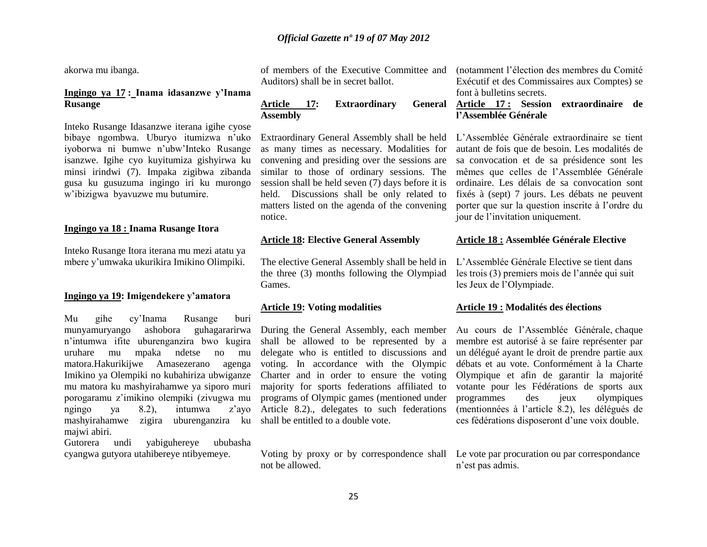akorwa mu ibanga.

#### **Ingingo ya 17 : Inama idasanzwe y'Inama Rusange**

Inteko Rusange Idasanzwe iterana igihe cyose bibaye ngombwa. Uburyo itumizwa n'uko iyoborwa ni bumwe n'ubw'Inteko Rusange isanzwe. Igihe cyo kuyitumiza gishyirwa ku minsi irindwi (7). Impaka zigibwa zibanda gusa ku gusuzuma ingingo iri ku murongo w'ibizigwa byavuzwe mu butumire.

#### **Ingingo ya 18 : Inama Rusange Itora**

Inteko Rusange Itora iterana mu mezi atatu ya mbere y'umwaka ukurikira Imikino Olimpiki.

#### **Ingingo ya 19: Imigendekere y'amatora**

Mu gihe cy'Inama Rusange buri munyamuryango ashobora guhagararirwa n'intumwa ifite uburenganzira bwo kugira uruhare mu mpaka ndetse no mu matora.Hakurikijwe Amasezerano agenga Imikino ya Olempiki no kubahiriza ubwiganze mu matora ku mashyirahamwe ya siporo muri porogaramu z'imikino olempiki (zivugwa mu ngingo ya 8.2), intumwa z'ayo mashyirahamwe zigira uburenganzira ku majwi abiri.

Gutorera undi yabiguhereye ububasha cyangwa gutyora utahibereye ntibyemeye.

of members of the Executive Committee and Auditors) shall be in secret ballot.

#### **Article 17: Extraordinary General Assembly**

Extraordinary General Assembly shall be held as many times as necessary. Modalities for convening and presiding over the sessions are similar to those of ordinary sessions. The session shall be held seven (7) days before it is held. Discussions shall be only related to matters listed on the agenda of the convening notice.

#### **Article 18: Elective General Assembly**

The elective General Assembly shall be held in the three (3) months following the Olympiad Games.

#### **Article 19: Voting modalities**

During the General Assembly, each member shall be allowed to be represented by a delegate who is entitled to discussions and voting. In accordance with the Olympic Charter and in order to ensure the voting majority for sports federations affiliated to programs of Olympic games (mentioned under Article 8.2)., delegates to such federations shall be entitled to a double vote.

Voting by proxy or by correspondence shall Le vote par procuration ou par correspondance not be allowed.

(notamment l'élection des membres du Comité Exécutif et des Commissaires aux Comptes) se font à bulletins secrets.

#### **Article 17 : Session extraordinaire de l'Assemblée Générale**

L'Assemblée Générale extraordinaire se tient autant de fois que de besoin. Les modalités de sa convocation et de sa présidence sont les mêmes que celles de l'Assemblée Générale ordinaire. Les délais de sa convocation sont fixés à (sept) 7 jours. Les débats ne peuvent porter que sur la question inscrite à l'ordre du jour de l'invitation uniquement.

#### **Article 18 : Assemblée Générale Elective**

L'Assemblée Générale Elective se tient dans les trois (3) premiers mois de l'année qui suit les Jeux de l'Olympiade.

#### **Article 19 : Modalités des élections**

Au cours de l'Assemblée Générale, chaque membre est autorisé à se faire représenter par un délégué ayant le droit de prendre partie aux débats et au vote. Conformément à la Charte Olympique et afin de garantir la majorité votante pour les Fédérations de sports aux programmes des jeux olympiques (mentionnées à l'article 8.2), les délégués de ces fédérations disposeront d'une voix double.

n'est pas admis.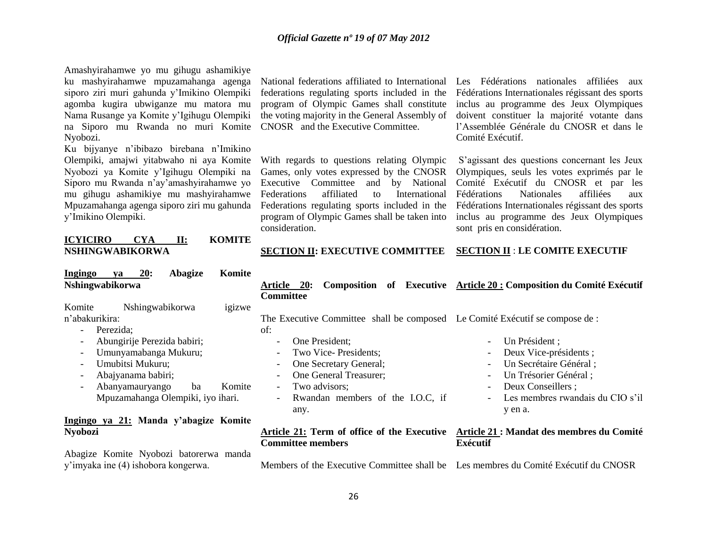Amashyirahamwe yo mu gihugu ashamikiye ku mashyirahamwe mpuzamahanga agenga siporo ziri muri gahunda y'Imikino Olempiki agomba kugira ubwiganze mu matora mu Nama Rusange ya Komite y'Igihugu Olempiki na Siporo mu Rwanda no muri Komite Nyobozi.

Ku bijyanye n'ibibazo birebana n'Imikino Olempiki, amajwi yitabwaho ni aya Komite Nyobozi ya Komite y'Igihugu Olempiki na Siporo mu Rwanda n'ay'amashyirahamwe yo mu gihugu ashamikiye mu mashyirahamwe Mpuzamahanga agenga siporo ziri mu gahunda y'Imikino Olempiki.

#### **ICYICIRO CYA II: KOMITE NSHINGWABIKORWA**

| Ingingo         | va | 20: | Abagize | Komite |
|-----------------|----|-----|---------|--------|
| Nshingwabikorwa |    |     |         |        |

Komite Nshingwabikorwa igizwe n'abakurikira:

- Perezida;
- Abungirije Perezida babiri;
- Umunyamabanga Mukuru;
- Umubitsi Mukuru;
- Abajyanama babiri;
- Abanyamauryango ba Komite Mpuzamahanga Olempiki, iyo ihari.

#### **Ingingo ya 21: Manda y'abagize Komite Nyobozi**

Abagize Komite Nyobozi batorerwa manda y'imyaka ine (4) ishobora kongerwa.

federations regulating sports included in the program of Olympic Games shall constitute the voting majority in the General Assembly of CNOSR and the Executive Committee.

With regards to questions relating Olympic Games, only votes expressed by the CNOSR Executive Committee and by National Federations regulating sports included in the program of Olympic Games shall be taken into consideration.

#### **SECTION II: EXECUTIVE COMMITTEE**

National federations affiliated to International Les Fédérations nationales affiliées aux Fédérations Internationales régissant des sports inclus au programme des Jeux Olympiques doivent constituer la majorité votante dans l'Assemblée Générale du CNOSR et dans le Comité Exécutif.

Federations affiliated to International Fédérations Nationales affiliées aux S'agissant des questions concernant les Jeux Olympiques, seuls les votes exprimés par le Comité Exécutif du CNOSR et par les Fédérations Internationales régissant des sports inclus au programme des Jeux Olympiques sont pris en considération.

#### **SECTION II** : **LE COMITE EXECUTIF**

**Article 20: Composition of Executive Article 20 : Composition du Comité Exécutif Committee**

The Executive Committee shall be composed Le Comité Exécutif se compose de : of:

- One President;
- Two Vice- Presidents:
- One Secretary General;
- One General Treasurer;
- Two advisors:
- Rwandan members of the I.O.C, if any.

#### **Article 21: Term of office of the Executive Article 21 : Mandat des membres du Comité Committee members**

- Un Président :
- Deux Vice-présidents ;
- Un Secrétaire Général ;
- Un Trésorier Général ;
- Deux Conseillers ;
- Les membres rwandais du CIO s'il y en a.

### **Exécutif**

Members of the Executive Committee shall be Les membres du Comité Exécutif du CNOSR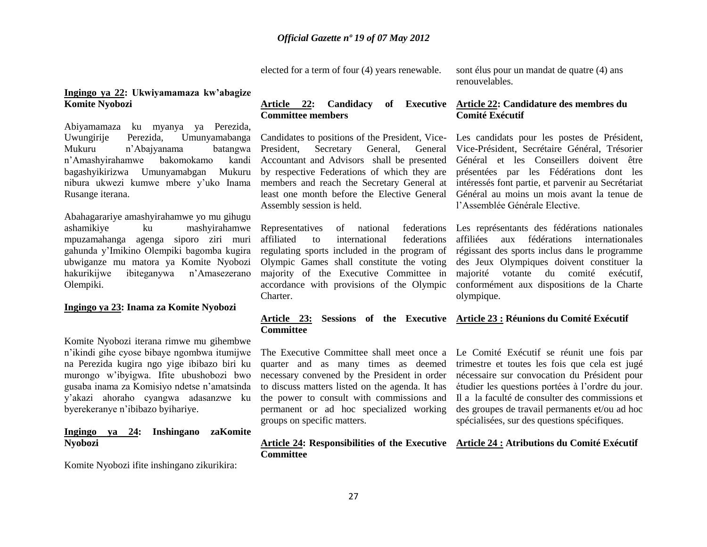elected for a term of four (4) years renewable.

sont élus pour un mandat de quatre (4) ans renouvelables.

#### **Ingingo ya 22: Ukwiyamamaza kw'abagize Komite Nyobozi**

Abiyamamaza ku myanya ya Perezida, Uwungirije Perezida, Umunyamabanga Mukuru n'Abajyanama batangwa n'Amashyirahamwe bakomokamo kandi bagashyikirizwa Umunyamabgan Mukuru nibura ukwezi kumwe mbere y'uko Inama Rusange iterana.

Abahagarariye amashyirahamwe yo mu gihugu ashamikiye ku mashyirahamwe mpuzamahanga agenga siporo ziri muri gahunda y'Imikino Olempiki bagomba kugira ubwiganze mu matora ya Komite Nyobozi hakurikijwe ibiteganywa n'Amasezerano Olempiki.

#### **Ingingo ya 23: Inama za Komite Nyobozi**

Komite Nyobozi iterana rimwe mu gihembwe n'ikindi gihe cyose bibaye ngombwa itumijwe na Perezida kugira ngo yige ibibazo biri ku murongo w'ibyigwa. Ifite ubushobozi bwo gusaba inama za Komisiyo ndetse n'amatsinda y'akazi ahoraho cyangwa adasanzwe ku byerekeranye n'ibibazo byihariye.

#### **Ingingo ya 24: Inshingano zaKomite Nyobozi**

Komite Nyobozi ifite inshingano zikurikira:

#### **Article 22: Candidacy of Executive Article 22: Candidature des membres du Committee members**

President, Secretary General, General Accountant and Advisors shall be presented by respective Federations of which they are least one month before the Elective General Assembly session is held.

Representatives of national affiliated to international federations regulating sports included in the program of majority of the Executive Committee in accordance with provisions of the Olympic Charter.

### **Comité Exécutif**

Candidates to positions of the President, Vice-Les candidats pour les postes de Président, members and reach the Secretary General at intéressés font partie, et parvenir au Secrétariat Vice-Président, Secrétaire Général, Trésorier Général et les Conseillers doivent être présentées par les Fédérations dont les Général au moins un mois avant la tenue de l'Assemblée Générale Elective.

Olympic Games shall constitute the voting des Jeux Olympiques doivent constituer la Les représentants des fédérations nationales affiliées aux fédérations internationales régissant des sports inclus dans le programme majorité votante du comité exécutif, conformément aux dispositions de la Charte olympique.

#### **Article 23: Sessions of the Executive Article 23 : Réunions du Comité Exécutif Committee**

The Executive Committee shall meet once a quarter and as many times as deemed necessary convened by the President in order to discuss matters listed on the agenda. It has the power to consult with commissions and permanent or ad hoc specialized working groups on specific matters.

**Article 24: Responsibilities of the Executive Article 24 : Atributions du Comité Exécutif Committee**

Le Comité Exécutif se réunit une fois par trimestre et toutes les fois que cela est jugé nécessaire sur convocation du Président pour étudier les questions portées à l'ordre du jour. Il a la faculté de consulter des commissions et des groupes de travail permanents et/ou ad hoc spécialisées, sur des questions spécifiques.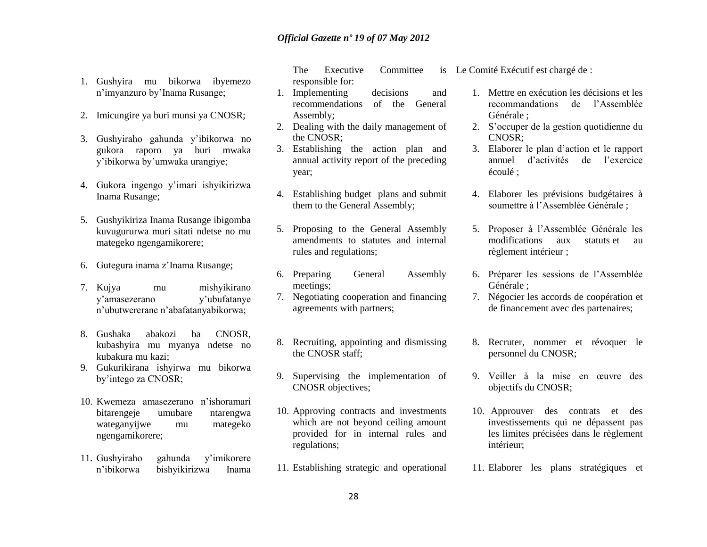- 1. Gushyira mu bikorwa ibyemezo n'imyanzuro by'Inama Rusange;
- 2. Imicungire ya buri munsi ya CNOSR;
- 3. Gushyiraho gahunda y'ibikorwa no gukora raporo ya buri mwaka y'ibikorwa by'umwaka urangiye;
- 4. Gukora ingengo y'imari ishyikirizwa Inama Rusange;
- 5. Gushyikiriza Inama Rusange ibigomba kuvugururwa muri sitati ndetse no mu mategeko ngengamikorere;
- 6. Gutegura inama z'Inama Rusange;
- 7. Kujya mu mishyikirano y'amasezerano y'ubufatanye n'ubutwererane n'abafatanyabikorwa;
- 8. Gushaka abakozi ba CNOSR, kubashyira mu myanya ndetse no kubakura mu kazi;
- 9. Gukurikirana ishyirwa mu bikorwa by'intego za CNOSR;
- 10. Kwemeza amasezerano n'ishoramari bitarengeje umubare ntarengwa wateganyijwe mu mategeko ngengamikorere;
- 11. Gushyiraho gahunda y'imikorere n'ibikorwa bishyikirizwa Inama

The Executive Committee responsible for:

- 1. Implementing decisions and recommendations of the General Assembly;
- 2. Dealing with the daily management of the CNOSR;
- 3. Establishing the action plan and annual activity report of the preceding year;
- 4. Establishing budget plans and submit them to the General Assembly;
- 5. Proposing to the General Assembly amendments to statutes and internal rules and regulations;
- 6. Preparing General Assembly meetings;
- 7. Negotiating cooperation and financing agreements with partners;
- 8. Recruiting, appointing and dismissing the CNOSR staff;
- 9. Supervising the implementation of CNOSR objectives;
- 10. Approving contracts and investments which are not beyond ceiling amount provided for in internal rules and regulations;
- 11. Establishing strategic and operational

Le Comité Exécutif est chargé de :

- 1. Mettre en exécution les décisions et les recommandations de l'Assemblée Générale ;
- 2. S'occuper de la gestion quotidienne du CNOSR;
- 3. Elaborer le plan d'action et le rapport annuel d'activités de l'exercice écoulé ;
- 4. Elaborer les prévisions budgétaires à soumettre à l'Assemblée Générale ;
- 5. Proposer à l'Assemblée Générale les modifications aux statuts et au règlement intérieur ;
- 6. Préparer les sessions de l'Assemblée Générale ;
- 7. Négocier les accords de coopération et de financement avec des partenaires;
- 8. Recruter, nommer et révoquer le personnel du CNOSR;
- 9. Veiller à la mise en œuvre des objectifs du CNOSR;
- 10. Approuver des contrats et des investissements qui ne dépassent pas les limites précisées dans le règlement intérieur;
- 11. Elaborer les plans stratégiques et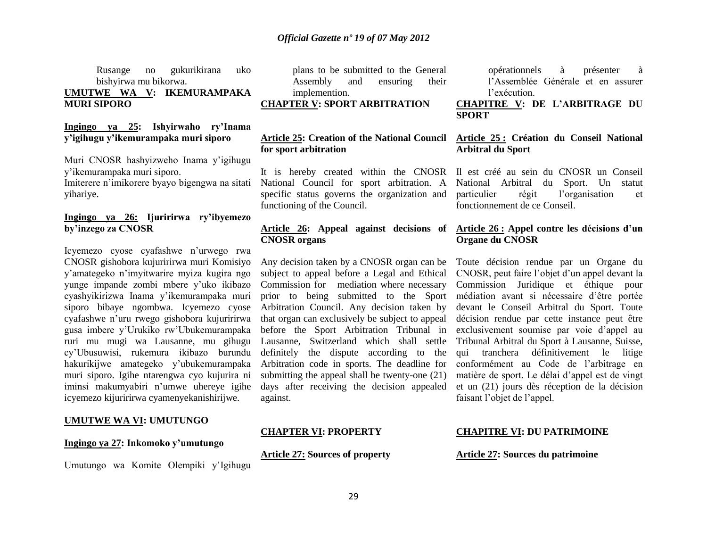Rusange no gukurikirana uko bishyirwa mu bikorwa. **UMUTWE WA V: IKEMURAMPAKA** 

### **MURI SIPORO**

#### **Ingingo ya 25: Ishyirwaho ry'Inama y'igihugu y'ikemurampaka muri siporo**

Muri CNOSR hashyizweho Inama y'igihugu y'ikemurampaka muri siporo. Imiterere n'imikorere byayo bigengwa na sitati yihariye.

#### **Ingingo ya 26: Ijuririrwa ry'ibyemezo by'inzego za CNOSR**

Icyemezo cyose cyafashwe n'urwego rwa CNOSR gishobora kujuririrwa muri Komisiyo y'amategeko n'imyitwarire myiza kugira ngo yunge impande zombi mbere y'uko ikibazo cyashyikirizwa Inama y'ikemurampaka muri siporo bibaye ngombwa. Icyemezo cyose cyafashwe n'uru rwego gishobora kujuririrwa gusa imbere y'Urukiko rw'Ubukemurampaka ruri mu mugi wa Lausanne, mu gihugu cy'Ubusuwisi, rukemura ikibazo burundu hakurikijwe amategeko y'ubukemurampaka muri siporo. Igihe ntarengwa cyo kujurira ni iminsi makumyabiri n'umwe uhereye igihe icyemezo kijuririrwa cyamenyekanishirijwe.

#### **UMUTWE WA VI: UMUTUNGO**

#### **Ingingo ya 27: Inkomoko y'umutungo**

Umutungo wa Komite Olempiki y'Igihugu

plans to be submitted to the General Assembly and ensuring their implemention. **CHAPTER V: SPORT ARBITRATION**

### **for sport arbitration**

It is hereby created within the CNOSR Il est créé au sein du CNOSR un Conseil specific status governs the organization and functioning of the Council.

### **CNOSR organs**

Any decision taken by a CNOSR organ can be Toute décision rendue par un Organe du subject to appeal before a Legal and Ethical Commission for mediation where necessary Arbitration Council. Any decision taken by that organ can exclusively be subject to appeal before the Sport Arbitration Tribunal in Lausanne, Switzerland which shall settle definitely the dispute according to the Arbitration code in sports. The deadline for submitting the appeal shall be twenty-one (21) days after receiving the decision appealed against.

#### **CHAPTER VI: PROPERTY**

**Article 27: Sources of property**

opérationnels à présenter à l'Assemblée Générale et en assurer l'exécution.

#### **CHAPITRE V: DE L'ARBITRAGE DU SPORT**

#### **Article 25: Creation of the National Council Article 25 : Création du Conseil National Arbitral du Sport**

National Council for sport arbitration. A National Arbitral du Sport. Un statut particulier régit l'organisation et fonctionnement de ce Conseil.

#### **Article 26: Appeal against decisions of Article 26 : Appel contre les décisions d'un Organe du CNOSR**

prior to being submitted to the Sport médiation avant si nécessaire d'être portée CNOSR, peut faire l'objet d'un appel devant la Commission Juridique et éthique pour devant le Conseil Arbitral du Sport. Toute décision rendue par cette instance peut être exclusivement soumise par voie d'appel au Tribunal Arbitral du Sport à Lausanne, Suisse, qui tranchera définitivement le litige conformément au Code de l'arbitrage en matière de sport. Le délai d'appel est de vingt et un (21) jours dès réception de la décision faisant l'objet de l'appel.

#### **CHAPITRE VI: DU PATRIMOINE**

#### **Article 27: Sources du patrimoine**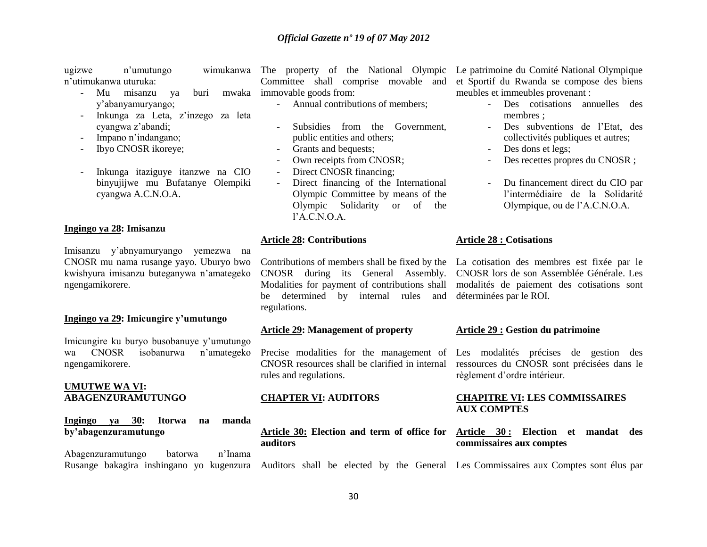n'utimukanwa uturuka:

- Mu misanzu ya y'abanyamuryango;
- Inkunga za Leta, z'inzego za leta cyangwa z'abandi;
- Impano n'indangano;
- Ibyo CNOSR ikoreye;
- Inkunga itaziguye itanzwe na CIO binyujijwe mu Bufatanye Olempiki cyangwa A.C.N.O.A.

#### **Ingingo ya 28: Imisanzu**

Imisanzu y'abnyamuryango yemezwa na CNOSR mu nama rusange yayo. Uburyo bwo kwishyura imisanzu buteganywa n'amategeko ngengamikorere.

#### **Ingingo ya 29: Imicungire y'umutungo**

Imicungire ku buryo busobanuye y'umutungo wa CNOSR isobanurwa n'amategeko ngengamikorere.

#### **UMUTWE WA VI: ABAGENZURAMUTUNGO**

|                      |  | Ingingo ya 30: Itorwa na manda |  |
|----------------------|--|--------------------------------|--|
| by'abagenzuramutungo |  |                                |  |

buri mwaka immovable goods from:

- Annual contributions of members;
- Subsidies from the Government, public entities and others;
- Grants and bequests;
- Own receipts from CNOSR;
- Direct CNOSR financing;
- Direct financing of the International Olympic Committee by means of the Olympic Solidarity or of the l'A.C.N.O.A.

#### **Article 28: Contributions**

be determined by internal rules and déterminées par le ROI. regulations.

#### **Article 29: Management of property**

CNOSR resources shall be clarified in internal rules and regulations.

#### **CHAPTER VI: AUDITORS**

**auditors**

Abagenzuramutungo batorwa n'Inama Rusange bakagira inshingano yo kugenzura Auditors shall be elected by the General Les Commissaires aux Comptes sont élus par

ugizwe n'umutungo wimukanwa The property of the National Olympic Le patrimoine du Comité National Olympique Committee shall comprise movable and et Sportif du Rwanda se compose des biens meubles et immeubles provenant :

- Des cotisations annuelles des membres ;
- Des subventions de l'Etat, des collectivités publiques et autres;
- Des dons et legs;
- Des recettes propres du CNOSR ;
- Du financement direct du CIO par l'intermédiaire de la Solidarité Olympique, ou de l'A.C.N.O.A.

#### **Article 28 : Cotisations**

Contributions of members shall be fixed by the La cotisation des membres est fixée par le CNOSR during its General Assembly. CNOSR lors de son Assemblée Générale. Les Modalities for payment of contributions shall modalités de paiement des cotisations sont

#### **Article 29 : Gestion du patrimoine**

Precise modalities for the management of Les modalités précises de gestion des ressources du CNOSR sont précisées dans le règlement d'ordre intérieur.

#### **CHAPITRE VI: LES COMMISSAIRES AUX COMPTES**

#### **Article 30: Election and term of office for Article 30 : Election et mandat des commissaires aux comptes**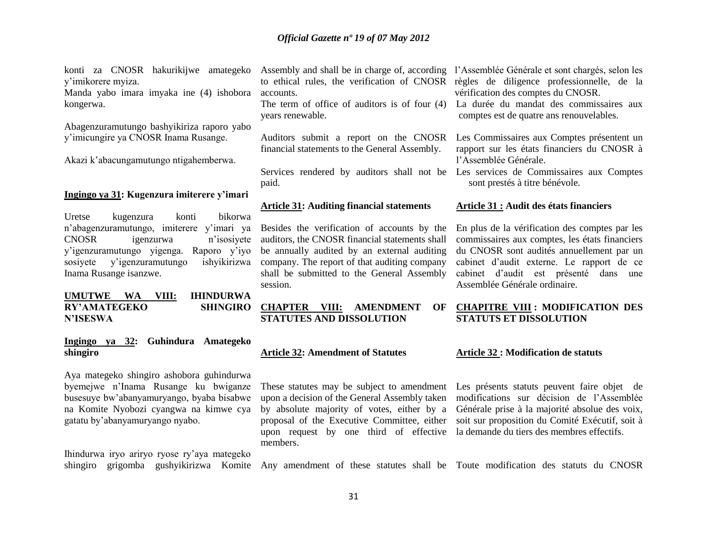#### *Official Gazette nº 19 of 07 May 2012*

konti za CNOSR hakurikijwe amategeko y'imikorere myiza.

Manda yabo imara imyaka ine (4) ishobora kongerwa.

Abagenzuramutungo bashyikiriza raporo yabo y'imicungire ya CNOSR Inama Rusange.

Akazi k'abacungamutungo ntigahemberwa.

#### **Ingingo ya 31: Kugenzura imiterere y'imari**

Uretse kugenzura konti bikorwa n'abagenzuramutungo, imiterere y'imari ya CNOSR igenzurwa n'isosiyete y'igenzuramutungo yigenga. Raporo y'iyo sosiyete y'igenzuramutungo ishyikirizwa Inama Rusange isanzwe.

#### **UMUTWE WA VIII: IHINDURWA RY'AMATEGEKO SHINGIRO N'ISESWA**

#### **Ingingo ya 32: Guhindura Amategeko shingiro**

Aya mategeko shingiro ashobora guhindurwa byemejwe n'Inama Rusange ku bwiganze busesuye bw'abanyamuryango, byaba bisabwe na Komite Nyobozi cyangwa na kimwe cya gatatu by'abanyamuryango nyabo.

Ihindurwa iryo ariryo ryose ry'aya mategeko

accounts.

years renewable.

Auditors submit a report on the CNOSR Les Commissaires aux Comptes présentent un financial statements to the General Assembly.

paid.

#### **Article 31: Auditing financial statements**

Besides the verification of accounts by the auditors, the CNOSR financial statements shall be annually audited by an external auditing company. The report of that auditing company shall be submitted to the General Assembly session.

**CHAPTER VIII: AMENDMENT STATUTES AND DISSOLUTION**

**Article 32: Amendment of Statutes**

These statutes may be subject to amendment Les présents statuts peuvent faire objet de upon request by one third of effective la demande du tiers des membres effectifs. members.

shingiro grigomba gushyikirizwa Komite Any amendment of these statutes shall be Toute modification des statuts du CNOSR

Assembly and shall be in charge of, according l'Assemblée Générale et sont chargés, selon les to ethical rules, the verification of CNOSR règles de diligence professionnelle, de la vérification des comptes du CNOSR.

The term of office of auditors is of four (4) La durée du mandat des commissaires aux comptes est de quatre ans renouvelables.

> rapport sur les états financiers du CNOSR à l'Assemblée Générale.

Services rendered by auditors shall not be Les services de Commissaires aux Comptes sont prestés à titre bénévole.

#### **Article 31 : Audit des états financiers**

En plus de la vérification des comptes par les commissaires aux comptes, les états financiers du CNOSR sont audités annuellement par un cabinet d'audit externe. Le rapport de ce cabinet d'audit est présenté dans une Assemblée Générale ordinaire.

#### **CHAPITRE VIII : MODIFICATION DES STATUTS ET DISSOLUTION**

#### **Article 32 : Modification de statuts**

upon a decision of the General Assembly taken modifications sur décision de l'Assemblée by absolute majority of votes, either by a Générale prise à la majorité absolue des voix, proposal of the Executive Committee, either soit sur proposition du Comité Exécutif, soit à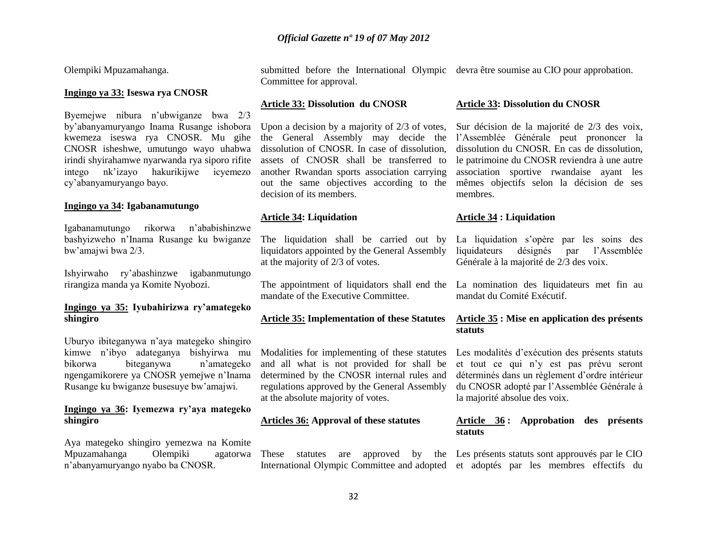Olempiki Mpuzamahanga.

#### **Ingingo ya 33: Iseswa rya CNOSR**

Byemejwe nibura n'ubwiganze bwa 2/3 by'abanyamuryango Inama Rusange ishobora kwemeza iseswa rya CNOSR. Mu gihe CNOSR isheshwe, umutungo wayo uhabwa irindi shyirahamwe nyarwanda rya siporo rifite intego nk'izayo hakurikijwe icyemezo cy'abanyamuryango bayo.

#### **Ingingo ya 34: Igabanamutungo**

Igabanamutungo rikorwa n'ababishinzwe bashyizweho n'Inama Rusange ku bwiganze bw'amajwi bwa 2/3.

Ishyirwaho ry'abashinzwe igabanmutungo rirangiza manda ya Komite Nyobozi.

#### **Ingingo ya 35: Iyubahirizwa ry'amategeko shingiro**

Uburyo ibiteganywa n'aya mategeko shingiro kimwe n'ibyo adateganya bishyirwa mu bikorwa biteganywa n'amategeko ngengamikorere ya CNOSR yemejwe n'Inama Rusange ku bwiganze busesuye bw'amajwi.

#### **Ingingo ya 36: Iyemezwa ry'aya mategeko shingiro**

Aya mategeko shingiro yemezwa na Komite Mpuzamahanga Olempiki agatorwa n'abanyamuryango nyabo ba CNOSR.

submitted before the International Olympic devra être soumise au CIO pour approbation. Committee for approval.

#### **Article 33: Dissolution du CNOSR**

Upon a decision by a majority of 2/3 of votes, the General Assembly may decide the dissolution of CNOSR. In case of dissolution, assets of CNOSR shall be transferred to another Rwandan sports association carrying out the same objectives according to the decision of its members.

#### **Article 34: Liquidation**

liquidators appointed by the General Assembly at the majority of 2/3 of votes.

mandate of the Executive Committee.

### **Article 35: Implementation of these Statutes**

Modalities for implementing of these statutes and all what is not provided for shall be determined by the CNOSR internal rules and regulations approved by the General Assembly at the absolute majority of votes.

#### **Articles 36: Approval of these statutes**

These statutes are approved by the Les présents statuts sont approuvés par le CIO

#### **Article 33: Dissolution du CNOSR**

Sur décision de la majorité de 2/3 des voix, l'Assemblée Générale peut prononcer la dissolution du CNOSR. En cas de dissolution, le patrimoine du CNOSR reviendra à une autre association sportive rwandaise ayant les mêmes objectifs selon la décision de ses membres.

#### **Article 34 : Liquidation**

The liquidation shall be carried out by La liquidation s'opère par les soins des liquidateurs désignés par l'Assemblée Générale à la majorité de 2/3 des voix.

The appointment of liquidators shall end the La nomination des liquidateurs met fin au mandat du Comité Exécutif.

#### **Article 35 : Mise en application des présents statuts**

Les modalités d'exécution des présents statuts et tout ce qui n'y est pas prévu seront déterminés dans un règlement d'ordre intérieur du CNOSR adopté par l'Assemblée Générale à la majorité absolue des voix.

#### **Article 36 : Approbation des présents statuts**

International Olympic Committee and adopted et adoptés par les membres effectifs du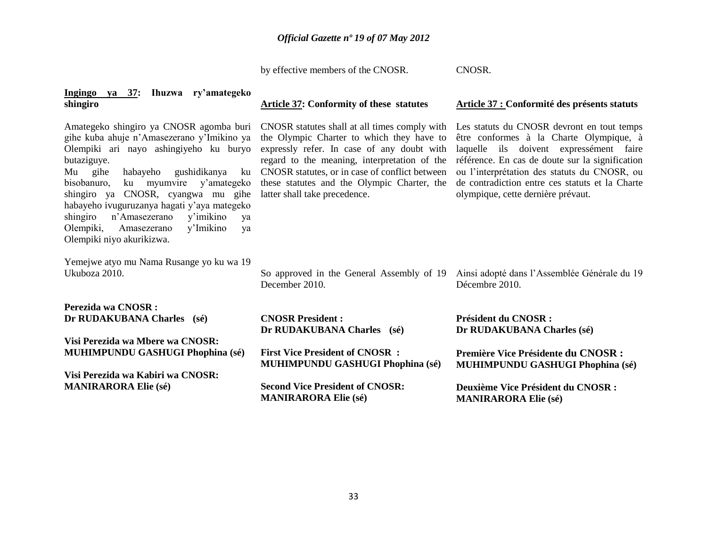by effective members of the CNOSR.

CNOSR.

#### **Ingingo ya 37: Ihuzwa ry'amategeko shingiro**

#### **Article 37: Conformity of these statutes**

Amategeko shingiro ya CNOSR agomba buri gihe kuba ahuje n'Amasezerano y'Imikino ya Olempiki ari nayo ashingiyeho ku buryo butaziguye. Mu gihe habayeho bisobanuro, ku myumvire y'amategeko shingiro ya CNOSR, cyangwa mu gihe habayeho ivuguruzanya hagati y'aya mategeko shingiro n'Amasezerano y'imikino ya Olempiki, Amasezerano y'Imikino ya Olempiki niyo akurikizwa.

Yemejwe atyo mu Nama Rusange yo ku wa 19 Ukuboza 2010.

the Olympic Charter to which they have to expressly refer. In case of any doubt with regard to the meaning, interpretation of the CNOSR statutes, or in case of conflict between these statutes and the Olympic Charter, the latter shall take precedence.

CNOSR statutes shall at all times comply with

## December 2010.

# **Article 37 : Conformité des présents statuts**

Les statuts du CNOSR devront en tout temps être conformes à la Charte Olympique, à laquelle ils doivent expressément faire référence. En cas de doute sur la signification ou l'interprétation des statuts du CNOSR, ou de contradiction entre ces statuts et la Charte olympique, cette dernière prévaut.

So approved in the General Assembly of 19 Ainsi adopté dans l'Assemblée Générale du 19 Décembre 2010.

| Perezida wa CNOSR :                     |                                                                                  |                                                                                       |
|-----------------------------------------|----------------------------------------------------------------------------------|---------------------------------------------------------------------------------------|
| Dr RUDAKUBANA Charles (sé)              | <b>CNOSR President :</b>                                                         | Président du CNOSR :                                                                  |
|                                         | Dr RUDAKUBANA Charles (sé)                                                       | Dr RUDAKUBANA Charles (sé)                                                            |
| Visi Perezida wa Mbere wa CNOSR:        |                                                                                  |                                                                                       |
| <b>MUHIMPUNDU GASHUGI Phophina (sé)</b> | <b>First Vice President of CNOSR:</b><br><b>MUHIMPUNDU GASHUGI Phophina (sé)</b> | <b>Première Vice Présidente du CNOSR :</b><br><b>MUHIMPUNDU GASHUGI Phophina (sé)</b> |
| Visi Perezida wa Kabiri wa CNOSR:       |                                                                                  |                                                                                       |
| <b>MANIRARORA Elie (sé)</b>             | <b>Second Vice President of CNOSR:</b>                                           | Deuxième Vice Président du CNOSR :                                                    |
|                                         | <b>MANIRARORA Elie (sé)</b>                                                      | <b>MANIRARORA Elie (sé)</b>                                                           |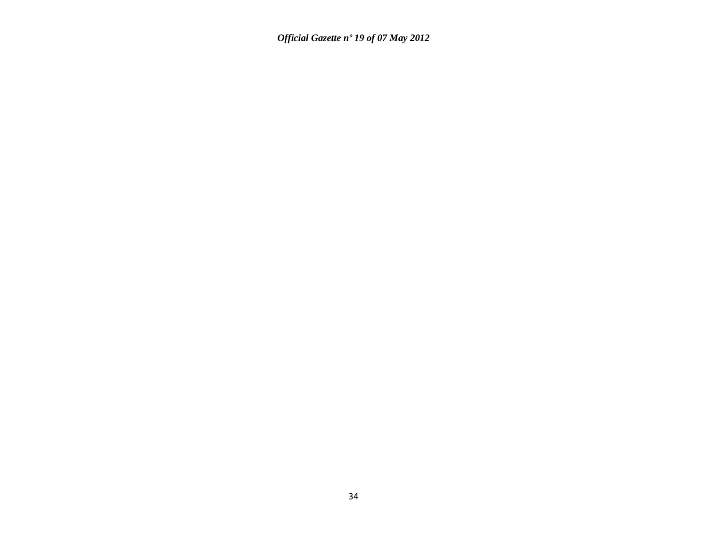*Official Gazette nº 19 of 07 May 2012*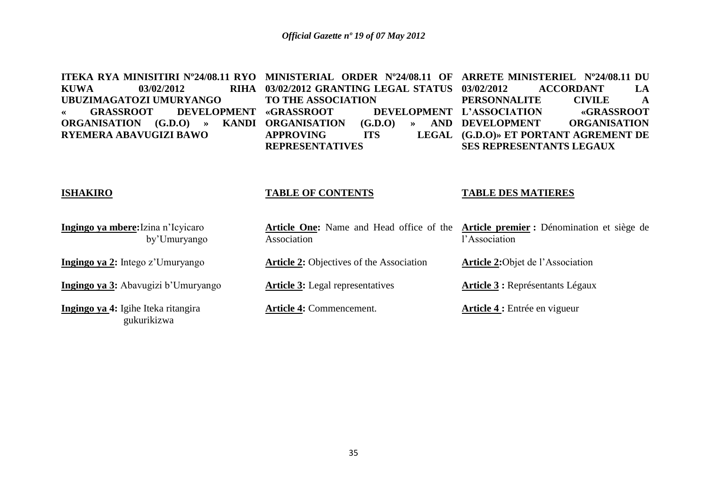**ITEKA RYA MINISITIRI Nº24/08.11 RYO MINISTERIAL ORDER Nº24/08.11 OF ARRETE MINISTERIEL Nº24/08.11 DU KUWA 03/02/2012 UBUZIMAGATOZI UMURYANGO « GRASSROOT DEVELOPMENT ORGANISATION (G.D.O) » KANDI RYEMERA ABAVUGIZI BAWO 03/02/2012 GRANTING LEGAL STATUS TO THE ASSOCIATION «GRASSROOT DEVELOPMENT L'ASSOCIATION «GRASSROOT (G.D.O) » AND DEVELOPMENT** APPROVING **ITS REPRESENTATIVES 03/02/2012 ACCORDANT LA PERSONNALITE CIVILE A ORGANISATION (G.D.O)» ET PORTANT AGREMENT DE SES REPRESENTANTS LEGAUX** 

**ISHAKIRO**

#### **TABLE OF CONTENTS**

#### **TABLE DES MATIERES**

| Ingingo ya mbere: Izina n'Icyicaro<br>by'Umuryango | Association                                     | Article One: Name and Head office of the Article premier : Dénomination et siège de<br>l'Association |  |
|----------------------------------------------------|-------------------------------------------------|------------------------------------------------------------------------------------------------------|--|
| Ingingo ya 2: Intego z'Umuryango                   | <b>Article 2:</b> Objectives of the Association | <b>Article 2:</b> Objet de l'Association                                                             |  |
| Ingingo ya 3: Abavugizi b'Umuryango                | <b>Article 3:</b> Legal representatives         | <b>Article 3 : Représentants Légaux</b>                                                              |  |
| Ingingo ya 4: Igihe Iteka ritangira<br>gukurikizwa | Article 4: Commencement.                        | Article 4 : Entrée en vigueur                                                                        |  |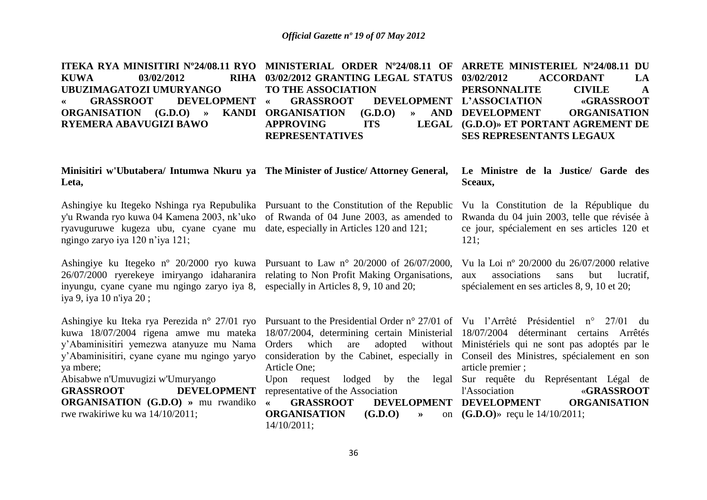**ITEKA RYA MINISITIRI Nº24/08.11 RYO MINISTERIAL ORDER Nº24/08.11 OF ARRETE MINISTERIEL Nº24/08.11 DU KUWA 03/02/2012 UBUZIMAGATOZI UMURYANGO « GRASSROOT DEVELOPMENT ORGANISATION (G.D.O) » KANDI ORGANISATION (G.D.O) » AND RYEMERA ABAVUGIZI BAWO 03/02/2012 GRANTING LEGAL STATUS TO THE ASSOCIATION « GRASSROOT DEVELOPMENT L'ASSOCIATION «GRASSROOT APPROVING ITS REPRESENTATIVES 03/02/2012 ACCORDANT LA PERSONNALITE CIVILE A**  » AND DEVELOPMENT ORGANISATION **(G.D.O)» ET PORTANT AGREMENT DE SES REPRESENTANTS LEGAUX** 

**Minisitiri w'Ubutabera/ Intumwa Nkuru ya The Minister of Justice/ Attorney General, Leta,**

Ashingiye ku Itegeko Nshinga rya Repubulika Pursuant to the Constitution of the Republic y'u Rwanda ryo kuwa 04 Kamena 2003, nk'uko ryavuguruwe kugeza ubu, cyane cyane mu ngingo zaryo iya 120 n'iya 121;

Ashingiye ku Itegeko nº 20/2000 ryo kuwa Pursuant to Law n° 20/2000 of 26/07/2000, 26/07/2000 ryerekeye imiryango idaharanira relating to Non Profit Making Organisations, inyungu, cyane cyane mu ngingo zaryo iya 8, especially in Articles 8, 9, 10 and 20; iya 9, iya 10 n'iya 20 ;

Ashingiye ku Iteka rya Perezida n° 27/01 ryo Pursuant to the Presidential Order n° 27/01 of Vu l'Arrêté Présidentiel n° 27/01 du kuwa 18/07/2004 rigena amwe mu mateka 18/07/2004, determining certain Ministerial 18/07/2004 déterminant certains Arrêtés y'Abaminisitiri yemezwa atanyuze mu Nama y'Abaminisitiri, cyane cyane mu ngingo yaryo ya mbere;

Abisabwe n'Umuvugizi w'Umuryango **GRASSROOT DEVELOPMENT ORGANISATION (G.D.O) »** mu rwandiko rwe rwakiriwe ku wa 14/10/2011;

of Rwanda of 04 June 2003, as amended to date, especially in Articles 120 and 121;

Article One;

Upon request lodged by the representative of the Association

**« GRASSROOT DEVELOPMENT ORGANISATION (G.D.O) »** on 14/10/2011;

**Le Ministre de la Justice/ Garde des Sceaux,**

Vu la Constitution de la République du Rwanda du 04 juin 2003, telle que révisée à ce jour, spécialement en ses articles 120 et 121;

Vu la Loi nº 20/2000 du 26/07/2000 relative aux associations sans but lucratif, spécialement en ses articles 8, 9, 10 et 20;

Orders which are adopted without Ministériels qui ne sont pas adoptés par le consideration by the Cabinet, especially in Conseil des Ministres, spécialement en son article premier ;

> legal Sur requête du Représentant Légal de l'Association «**GRASSROOT DEVELOPMENT ORGANISATION (G.D.O)**» reçu le 14/10/2011;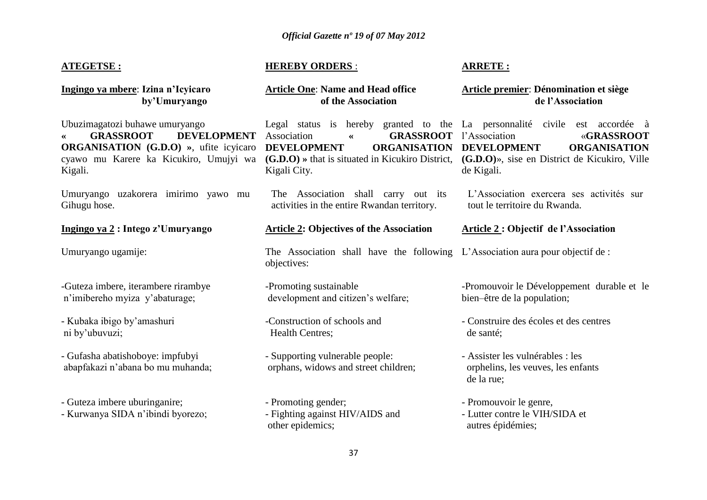### **ATEGETSE :**

**Ingingo ya mbere**: **Izina n'Icyicaro by'Umuryango**

Ubuzimagatozi buhawe umuryango **« GRASSROOT DEVELOPMENT ORGANISATION (G.D.O) »**, ufite icyicaro cyawo mu Karere ka Kicukiro, Umujyi wa **(G.D.O) »** that is situated in Kicukiro District, **(G.D.O)**», sise en District de Kicukiro, Ville Kigali.

Umuryango uzakorera imirimo yawo mu Gihugu hose.

**Ingingo ya 2 : Intego z'Umuryango**

Umuryango ugamije:

-Guteza imbere, iterambere rirambye n'imibereho myiza y'abaturage;

- Kubaka ibigo by'amashuri ni by'ubuvuzi;

- Gufasha abatishoboye: impfubyi abapfakazi n'abana bo mu muhanda;

- Guteza imbere uburinganire;

- Kurwanya SIDA n'ibindi byorezo;

### **HEREBY ORDERS** :

### **Article One**: **Name and Head office of the Association**

Association **« GRASSROOT** l'Association Kigali City.

The Association shall carry out its activities in the entire Rwandan territory.

**Article 2: Objectives of the Association**

The Association shall have the following L'Association aura pour objectif de : objectives:

-Promoting sustainable development and citizen's welfare;

-Construction of schools and Health Centres;

- Supporting vulnerable people: orphans, widows and street children;

- Promoting gender; - Fighting against HIV/AIDS and other epidemics;

### **ARRETE :**

## **Article premier**: **Dénomination et siège de l'Association**

Legal status is hereby granted to the La personnalité civile est accordée à **DEVELOPMENT ORGANISATION DEVELOPMENT ORGANISATION**  l'Association «**GRASSROOT**  de Kigali.

> L'Association exercera ses activités sur tout le territoire du Rwanda.

### **Article 2 : Objectif de l'Association**

-Promouvoir le Développement durable et le bien–être de la population;

- Construire des écoles et des centres de santé;
- Assister les vulnérables : les orphelins, les veuves, les enfants de la rue;
- Promouvoir le genre,
- Lutter contre le VIH/SIDA et autres épidémies;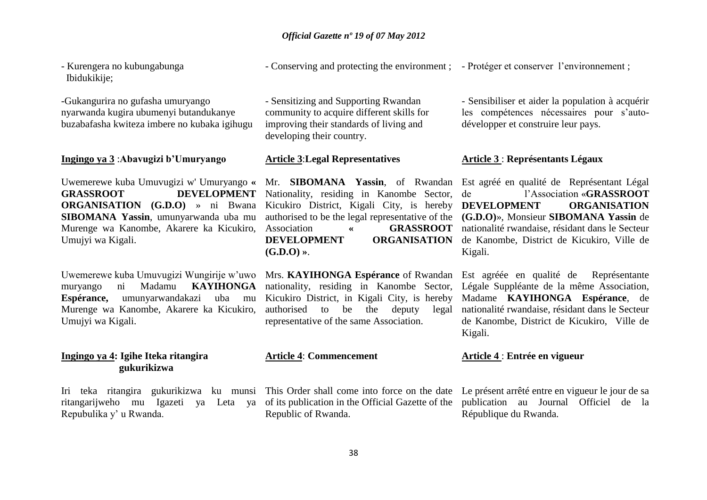- Kurengera no kubungabunga Ibidukikije;

-Gukangurira no gufasha umuryango nyarwanda kugira ubumenyi butandukanye buzabafasha kwiteza imbere no kubaka igihugu

### **Ingingo ya 3** :**Abavugizi b'Umuryango**

**GRASSROOT DEVELOPMENT ORGANISATION (G.D.O)** » ni Bwana **SIBOMANA Yassin**, umunyarwanda uba mu Murenge wa Kanombe, Akarere ka Kicukiro, Umujyi wa Kigali.

Uwemerewe kuba Umuvugizi Wungirije w'uwo muryango ni Madamu **KAYIHONGA Espérance,** umunyarwandakazi uba mu Murenge wa Kanombe, Akarere ka Kicukiro, Umujyi wa Kigali.

### **Ingingo ya 4: Igihe Iteka ritangira gukurikizwa**

Iri teka ritangira gukurikizwa ku munsi This Order shall come into force on the date Le présent arrêté entre en vigueur le jour de sa ritangarijweho mu Igazeti ya Leta ya Repubulika y' u Rwanda.

- Sensitizing and Supporting Rwandan community to acquire different skills for improving their standards of living and developing their country.

### **Article 3**:**Legal Representatives**

Nationality, residing in Kanombe Sector, de Kicukiro District, Kigali City, is hereby **DEVELOPMENT (G.D.O) »**.

Mrs. **KAYIHONGA Espérance** of Rwandan Kicukiro District, in Kigali City, is hereby authorised to be the deputy legal representative of the same Association.

### **Article 4**: **Commencement**

Republic of Rwanda.

- Conserving and protecting the environment ; - Protéger et conserver l'environnement ;

- Sensibiliser et aider la population à acquérir les compétences nécessaires pour s'autodévelopper et construire leur pays.

### **Article 3** : **Représentants Légaux**

Uwemerewe kuba Umuvugizi w' Umuryango **«** Mr. **SIBOMANA Yassin**, of Rwandan Est agréé en qualité de Représentant Légal authorised to be the legal representative of the **(G.D.O)**», Monsieur **SIBOMANA Yassin** de Association **« GRASSROOT**  nationalité rwandaise, résidant dans le Secteur **DEVELOPMENT ORGANISATION**  de Kanombe, District de Kicukiro, Ville de l'Association «**GRASSROOT ORGANISATION** Kigali.

> nationality, residing in Kanombe Sector, Légale Suppléante de la même Association, Est agréée en qualité de Représentante Madame **KAYIHONGA Espérance**, de nationalité rwandaise, résidant dans le Secteur de Kanombe, District de Kicukiro, Ville de Kigali.

### **Article 4** : **Entrée en vigueur**

of its publication in the Official Gazette of the publication au Journal Officiel de la République du Rwanda.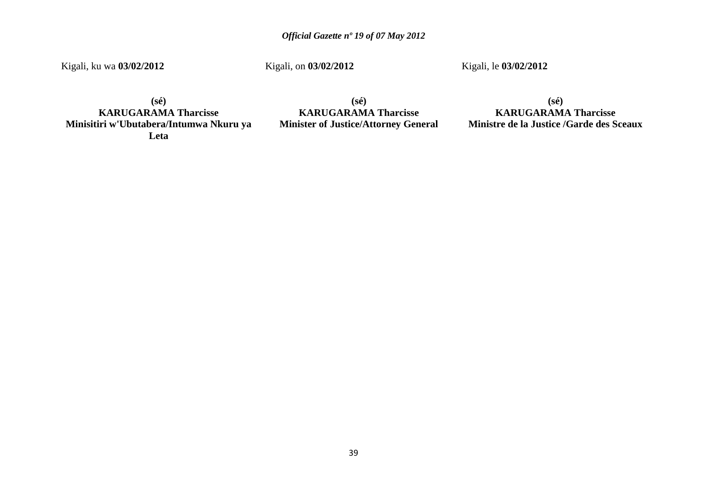Kigali, ku wa **03/02/2012**

Kigali, on **03/02/2012**

Kigali, le **03/02/2012**

**(sé) KARUGARAMA Tharcisse Minisitiri w'Ubutabera/Intumwa Nkuru ya Leta**

**(sé) KARUGARAMA Tharcisse Minister of Justice/Attorney General**

**(sé) KARUGARAMA Tharcisse Ministre de la Justice /Garde des Sceaux**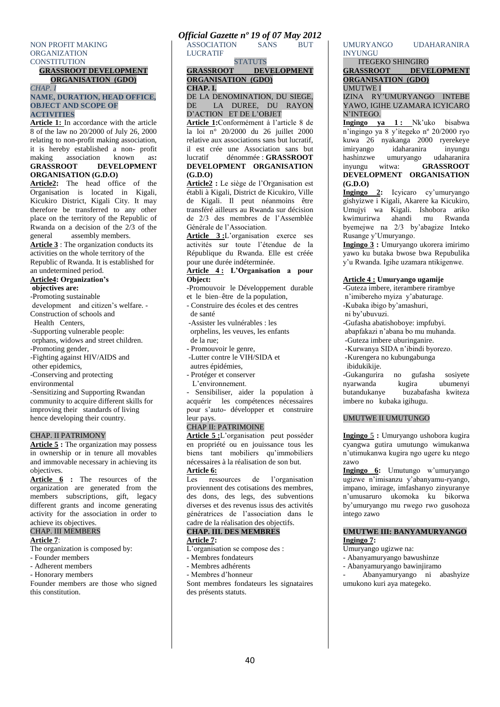### NON PROFIT MAKING **ORGANIZATION CONSTITUTION**

#### **GRASSROOT DEVELOPMENT ORGANISATION (GDO)** *CHAP. I*

### **NAME, DURATION, HEAD OFFICE, OBJECT AND SCOPE OF ACTIVITIES**

**Article 1:** In accordance with the article 8 of the law no 20/2000 of July 26, 2000 relating to non-profit making association, it is hereby established a non- profit making association known as**: GRASSROOT DEVELOPMENT ORGANISATION (G.D.O)**

**Article2:** The head office of the Organisation is located in Kigali, Kicukiro District, Kigali City. It may therefore be transferred to any other place on the territory of the Republic of Rwanda on a decision of the  $2/3$  of the general assembly members.

**Article 3** : The organization conducts its activities on the whole territory of the

Republic of Rwanda. It is established for an undetermined period.

#### **Article4: Organization's objectives are:**

-Promoting sustainable development and citizen's welfare. - Construction of schools and

Health Centers,

-Supporting vulnerable people:

orphans, widows and street children.

-Promoting gender,

-Fighting against HIV/AIDS and

other epidemics,

-Conserving and protecting

environmental

-Sensitizing and Supporting Rwandan community to acquire different skills for improving their standards of living hence developing their country.

### CHAP. II PATRIMONY

**Article 5 :** The organization may possess in ownership or in tenure all movables and immovable necessary in achieving its objectives.

**Article 6 :** The resources of the organization are generated from the members subscriptions, gift, legacy different grants and income generating activity for the association in order to

achieve its objectives.

## CHAP. III MEMBERS

**Article 7**:

The organization is composed by:

- Founder members

- Adherent members

- Honorary members

Founder members are those who signed this constitution.

### *Official Gazette nº 19 of 07 May 2012* ASSOCIATION SANS BUT

LUCRATIF

### **STATUTS**

**GRASSROOT DEVELOPMENT ORGANISATION (GDO) CHAP. I.**

DE LA DENOMINATION, DU SIEGE, DE LA DUREE, DU RAYON D'ACTION ET DE L'OBJET

**Article 1:**Conformément à l'article 8 de la loi n° 20/2000 du 26 juillet 2000 relative aux associations sans but lucratif, il est crée une Association sans but lucratif dénommée : **GRASSROOT DEVELOPMENT ORGANISATION (G.D.O)**

**Article2 :** Le siège de l'Organisation est établi à Kigali, District de Kicukiro, Ville de Kigali. Il peut néanmoins être transféré ailleurs au Rwanda sur décision de 2/3 des membres de l'Assemblée Générale de l'Association.

**Article 3 :**L'organisation exerce ses activités sur toute l'étendue de la République du Rwanda. Elle est créée pour une durée indéterminée.

### **Article 4 : L'Organisation a pour Object:**

-Promouvoir le Développement durable et le bien–être de la population,

- Construire des écoles et des centres de santé

-Assister les vulnérables : les orphelins, les veuves, les enfants

de la rue;

- Promouvoir le genre,

-Lutter contre le VIH/SIDA et

autres épidémies,

- Protéger et conserver

L'environnement.

- Sensibiliser, aider la population à acquérir les compétences nécessaires pour s'auto- développer et construire leur pays.

### CHAP II: PATRIMOINE

**Article 5 :**L'organisation peut posséder en propriété ou en jouissance tous les biens tant mobiliers qu'immobiliers nécessaires à la réalisation de son but. **Article 6:** 

Les ressources de l'organisation proviennent des cotisations des membres, des dons, des legs, des subventions diverses et des revenus issus des activités génératrices de l'association dans le cadre de la réalisation des objectifs.

## **CHAP. III. DES MEMBRES**

### **Article 7:**

- L'organisation se compose des :
- Membres fondateurs
- Membres adhérents
- Membres d'honneur

Sont membres fondateurs les signataires des présents statuts.

### UMURYANGO UDAHARANIRA **INYUNGU** ITEGEKO SHINGIRO

**GRASSROOT DEVELOPMENT ORGANISATION (GDO)** UMUTWE I IZINA RY'UMURYANGO INTEBE YAWO, IGIHE UZAMARA ICYICARO

N'INTEGO. **Ingingo ya 1 :** Nk'uko bisabwa n'ingingo ya 8 y'itegeko nº 20/2000 ryo kuwa 26 nyakanga 2000 ryerekeye imiryango idaharanira inyungu hashinzwe umuryango udaharanira<br>invungu witwa: **GRASSROOT** inyungu witwa: **GRASSROOT DEVELOPMENT ORGANISATION (G.D.O)**

**Ingingo 2:** Icyicaro cy'umuryango gishyizwe i Kigali, Akarere ka Kicukiro, Umujyi wa Kigali. Ishobora ariko kwimurirwa ahandi mu Rwanda byemejwe na 2/3 by'abagize Inteko Rusange y'Umuryango.

**Ingingo 3 :** Umuryango ukorera imirimo yawo ku butaka bwose bwa Repubulika y'u Rwanda. Igihe uzamara ntikigenwe.

### **Article 4 : Umuryango ugamije**

-Guteza imbere, iterambere rirambye

- n'imibereho myiza y'abaturage.
- -Kubaka ibigo by'amashuri,
- ni by'ubuvuzi.
- -Gufasha abatishoboye: impfubyi.
- abapfakazi n'abana bo mu muhanda.
- -Guteza imbere uburinganire. -Kurwanya SIDA n'ibindi byorezo.
- -Kurengera no kubungabunga ibidukikije.

-Gukangurira no gufasha sosiyete nyarwanda kugira ubumenyi<br>hutandukanye buzabafasha kwiteza buzabafasha kwiteza imbere no kubaka igihugu.

### UMUTWE II UMUTUNGO

**Ingingo** 5 **:** Umuryango ushobora kugira cyangwa gutira umutungo wimukanwa n'utimukanwa kugira ngo ugere ku ntego zawo

**Ingingo 6:** Umutungo w'umuryango ugizwe n'imisanzu y'abanyamu-ryango, impano, imirage, imfashanyo zinyuranye n'umusaruro ukomoka ku bikorwa by'umuryango mu rwego rwo gusohoza intego zawo

### **UMUTWE III: BANYAMURYANGO Ingingo 7:**

Umuryango ugizwe na:

- Abanyamuryango bawushinze
- Abanyamuryango bawinjiramo

- Abanyamuryango ni abashyize umukono kuri aya mategeko.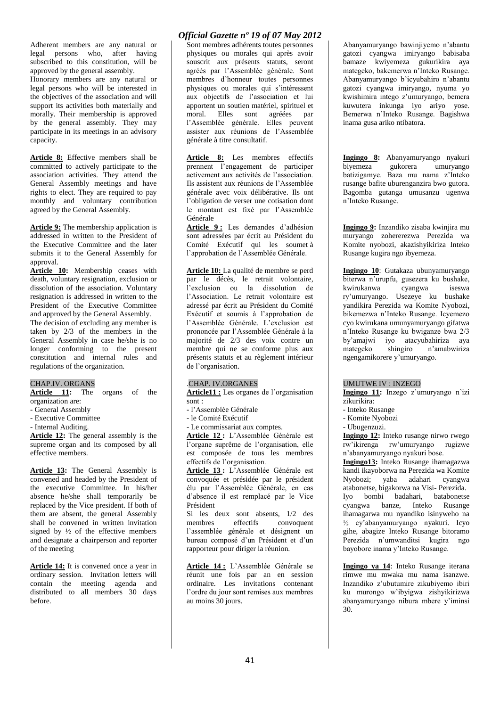Adherent members are any natural or legal persons who, after having subscribed to this constitution, will be approved by the general assembly.

Honorary members are any natural or legal persons who will be interested in the objectives of the association and will support its activities both materially and morally. Their membership is approved by the general assembly. They may participate in its meetings in an advisory capacity.

**Article 8:** Effective members shall be committed to actively participate to the association activities. They attend the General Assembly meetings and have rights to elect. They are required to pay monthly and voluntary contribution agreed by the General Assembly.

**Article 9:** The membership application is addressed in written to the President of the Executive Committee and the later submits it to the General Assembly for approval.

Article 10: Membership ceases with death, voluntary resignation, exclusion or dissolution of the association. Voluntary resignation is addressed in written to the President of the Executive Committee and approved by the General Assembly.

The decision of excluding any member is taken by 2/3 of the members in the General Assembly in case he/she is no longer conforming to the present constitution and internal rules and regulations of the organization.

### CHAP.IV. ORGANS

**Article 11:** The organs of the organization are:

- General Assembly
- Executive Committee
- Internal Auditing.

**Article 12:** The general assembly is the supreme organ and its composed by all effective members.

Article 13: The General Assembly is convened and headed by the President of the executive Committee. In his/her absence he/she shall temporarily be replaced by the Vice president. If both of them are absent, the general Assembly shall be convened in written invitation signed by  $\frac{1}{2}$  of the effective members and designate a chairperson and reporter of the meeting

Article 14: It is convened once a year in ordinary session. Invitation letters will contain the meeting agenda and distributed to all members 30 days before.

### *Official Gazette nº 19 of 07 May 2012*

Sont membres adhérents toutes personnes physiques ou morales qui après avoir souscrit aux présents statuts, seront agréés par l'Assemblée générale. Sont membres d'honneur toutes personnes physiques ou morales qui s'intéressent aux objectifs de l'association et lui apportent un soutien matériel, spirituel et moral. Elles sont agréées par l'Assemblée générale. Elles peuvent assister aux réunions de l'Assemblée générale à titre consultatif.

**Article 8:** Les membres effectifs prennent l'engagement de participer activement aux activités de l'association. Ils assistent aux réunions de l'Assemblée générale avec voix délibérative. Ils ont l'obligation de verser une cotisation dont le montant est fixé par l'Assemblée Générale

**Article 9 :** Les demandes d'adhésion sont adressées par écrit au Président du Comité Exécutif qui les soumet à l'approbation de l'Assemblée Générale.

**Article 10:** La qualité de membre se perd par le décès, le retrait volontaire, l'exclusion ou la dissolution de l'Association. Le retrait volontaire est adressé par écrit au Président du Comité Exécutif et soumis à l'approbation de l'Assemblée Générale. L'exclusion est prononcée par l'Assemblée Générale à la majorité de 2/3 des voix contre un membre qui ne se conforme plus aux présents statuts et au règlement intérieur de l'organisation.

### .CHAP. IV.ORGANES

**Article11 :** Les organes de l'organisation sont :

- l'Assemblée Générale
- le Comité Exécutif

- Le commissariat aux comptes.

**Article 12 :** L'Assemblée Générale est l'organe suprême de l'organisation, elle est composée de tous les membres effectifs de l'organisation.

**Article 13 :** L'Assemblée Générale est convoquée et présidée par le président élu par l'Assemblée Générale, en cas d'absence il est remplacé par le Vice Président

Si les deux sont absents, 1/2 des membres effectifs convoquent l'assemblée générale et désignent un bureau composé d'un Président et d'un rapporteur pour diriger la réunion.

**Article 14 :** L'Assemblée Générale se réunit une fois par an en session ordinaire. Les invitations contenant l'ordre du jour sont remises aux membres au moins 30 jours.

Abanyamuryango bawinjiyemo n'abantu gatozi cyangwa imiryango babisaba bamaze kwiyemeza gukurikira aya mategeko, bakemerwa n'Inteko Rusange. Abanyamuryango b'icyubahiro n'abantu gatozi cyangwa imiryango, nyuma yo kwishimira intego z'umuryango, bemera kuwutera inkunga iyo ariyo yose. Bemerwa n'Inteko Rusange. Bagishwa inama gusa ariko ntibatora.

**Ingingo 8:** Abanyamuryango nyakuri biyemeza gukorera umuryango batizigamye. Baza mu nama z'Inteko rusange bafite uburenganzira bwo gutora. Bagomba gutanga umusanzu ugenwa n'Inteko Rusange.

**Ingingo 9:** Inzandiko zisaba kwinjira mu muryango zohererezwa Perezida wa Komite nyobozi, akazishyikiriza Inteko Rusange kugira ngo ibyemeza.

**Ingingo 10**: Gutakaza ubunyamuryango biterwa n'urupfu, gusezera ku bushake, kwirukanwa ry'umuryango. Usezeye ku bushake yandikira Perezida wa Komite Nyobozi, bikemezwa n'Inteko Rusange. Icyemezo cyo kwirukana umunyamuryango gifatwa n'Inteko Rusange ku bwiganze bwa 2/3 by'amajwi iyo atacyubahiriza aya mategeko shingiro n'amabwiriza ngengamikorere y'umuryango.

### UMUTWE IV : INZEGO

**Ingingo 11:** Inzego z'umuryango n'izi zikurikira:

- Inteko Rusange
- Komite Nyobozi
- Ubugenzuzi.

**Ingingo 12:** Inteko rusange nirwo rwego rw'ikirenga rw'umuryango rugizwe n'abanyamuryango nyakuri bose.

**Ingingo13:** Inteko Rusange ihamagazwa kandi ikayoborwa na Perezida wa Komite Nyobozi; yaba adahari cyangwa atabonetse, bigakorwa na Visi- Perezida. Iyo bombi badahari, batabonetse cyangwa banze, Inteko ihamagarwa mu nyandiko isinyweho na ½ cy'abanyamuryango nyakuri. Icyo gihe, abagize Inteko Rusange bitoramo Perezida n'umwanditsi kugira ngo bayobore inama y'Inteko Rusange.

**Ingingo ya 14**: Inteko Rusange iterana rimwe mu mwaka mu nama isanzwe. Inzandiko z'ubutumire zikubiyemo ibiri ku murongo w'ibyigwa zishyikirizwa abanyamuryango nibura mbere y'iminsi 30.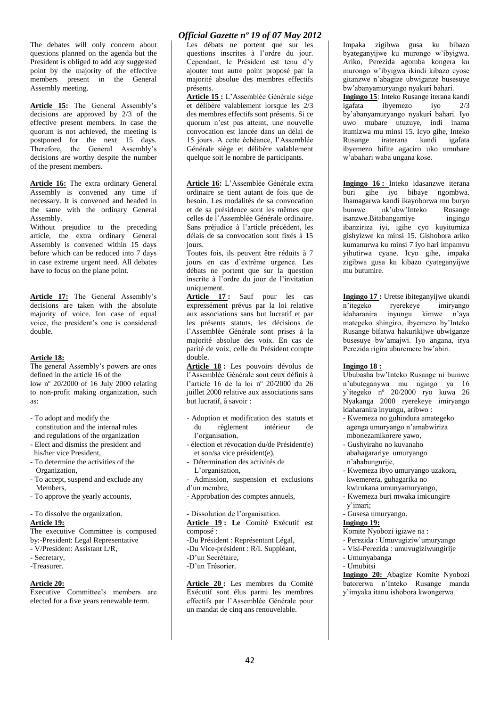The debates will only concern about questions planned on the agenda but the President is obliged to add any suggested point by the majority of the effective members present in the General Assembly meeting.

Article 15: The General Assembly's decisions are approved by 2/3 of the effective present members. In case the quorum is not achieved, the meeting is postponed for the next 15 days. Therefore, the General Assembly's decisions are worthy despite the number of the present members.

**Article 16:** The extra ordinary General Assembly is convened any time if necessary. It is convened and headed in the same with the ordinary General Assembly.

Without prejudice to the preceding article, the extra ordinary General Assembly is convened within 15 days before which can be reduced into 7 days in case extreme urgent need. All debates have to focus on the plane point.

**Article 17:** The General Assembly's decisions are taken with the absolute majority of voice. Ion case of equal voice, the president's one is considered double.

### **Article 18:**

The general Assembly's powers are ones defined in the article 16 of the

low nº 20/2000 of 16 July 2000 relating to non-profit making organization, such as:

- To adopt and modify the constitution and the internal rules and regulations of the organization
- Elect and dismiss the president and his/her vice President,
- To determine the activities of the Organization,
- To accept, suspend and exclude any Members,
- To approve the yearly accounts,
- To dissolve the organization.

**Article 19:**

The executive Committee is composed by:-President: Legal Representative

- V/President: Assistant L/R,
- Secretary,
- -Treasurer.

### **Article 20:**

Executive Committee's members are elected for a five years renewable term.

### *Official Gazette nº 19 of 07 May 2012*

Les débats ne portent que sur les questions inscrites à l'ordre du jour. Cependant, le Président est tenu d'y ajouter tout autre point proposé par la majorité absolue des membres effectifs présents.

**Article 15 :** L'Assemblée Générale siège et délibère valablement lorsque les 2/3 des membres effectifs sont présents. Si ce quorum n'est pas atteint, une nouvelle convocation est lancée dans un délai de 15 jours. A cette échéance, l'Assemblée Générale siège et délibère valablement quelque soit le nombre de participants.

**Article 16:** L'Assemblée Générale extra ordinaire se tient autant de fois que de besoin. Les modalités de sa convocation et de sa présidence sont les mêmes que celles de l'Assemblée Générale ordinaire. Sans préjudice à l'article précédent, les délais de sa convocation sont fixés à 15 jours.

Toutes fois, ils peuvent être réduits à 7 jours en cas d'extrême urgence. Les débats ne portent que sur la question inscrite à l'ordre du jour de l'invitation uniquement.

**Article 17 :** Sauf pour les cas expressément prévus par la loi relative aux associations sans but lucratif et par les présents statuts, les décisions de l'Assemblée Générale sont prises à la majorité absolue des voix. En cas de parité de voix, celle du Président compte double.

**Article 18 :** Les pouvoirs dévolus de l'Assemblée Générale sont ceux définis à l'article 16 de la loi nº 20/2000 du 26 juillet 2000 relative aux associations sans but lucratif, à savoir :

- Adoption et modification des statuts et du règlement intérieur de l'organisation,
- élection et révocation du/de Président(e) et son/sa vice président(e),
- Détermination des activités de L'organisation,

Admission, suspension et exclusions d'un membre,

- Approbation des comptes annuels,
- Dissolution de l'organisation.

**Article 19 : Le** Comité Exécutif est composé :

- -Du Président : Représentant Légal,
- -Du Vice-président : R/L Suppléant,
- -D'un Secrétaire,
- -D'un Trésorier.

**Article 20 :** Les membres du Comité Exécutif sont élus parmi les membres effectifs par l'Assemblée Générale pour un mandat de cinq ans renouvelable.

Impaka zigibwa gusa ku bibazo byateganyijwe ku murongo w'ibyigwa. Ariko, Perezida agomba kongera ku murongo w'ibyigwa ikindi kibazo cyose gitanzwe n'abagize ubwiganze busesuye bw'abanyamuryango nyakuri bahari.

**Ingingo 15**: Inteko Rusange iterana kandi igafata ibyemezo iyo 2/3 by'abanyamuryango nyakuri bahari. Iyo uwo mubare utuzuye, indi inama itumizwa mu minsi 15. Icyo gihe, Inteko Rusange iraterana kandi igafata ibyemezo bifite agaciro uko umubare w'abahari waba ungana kose.

**Ingingo 16 :** Inteko idasanzwe iterana buri gihe iyo bibaye ngombwa. Ihamagarwa kandi ikayoborwa mu buryo bumwe nk'ubw'Inteko Rusange isanzwe.Bitabangamiye ingingo ibanziriza iyi, igihe cyo kuyitumiza gishyizwe ku minsi 15. Gishobora ariko kumanurwa ku minsi 7 iyo hari impamvu yihutirwa cyane. Icyo gihe, impaka zigibwa gusa ku kibazo cyateganyijwe mu butumire.

**Ingingo 17 :** Uretse ibiteganyijwe ukundi n'itegeko ryerekeye imiryango idaharanira inyungu kimwe n'aya mategeko shingiro, ibyemezo by'Inteko Rusange bifatwa hakurikijwe ubwiganze busesuye bw'amajwi. Iyo angana, irya Perezida rigira uburemere bw'abiri.

### **Ingingo 18 :**

Ububasha bw'Inteko Rusange ni bumwe n'ubuteganywa mu ngingo ya 16 y'itegeko nº 20/2000 ryo kuwa 26 Nyakanga 2000 ryerekeye imiryango idaharanira inyungu, aribwo :

- Kwemeza no guhindura amategeko agenga umuryango n'amabwiriza mbonezamikorere yawo,
- Gushyiraho no kuvanaho abahagarariye umuryango n'ababungurije,
- Kwemeza ibyo umuryango uzakora, kwemerera, guhagarika no
- kwirukana umunyamuryango,
- Kwemeza buri mwaka imicungire
	- y'imari;
- Gusesa umuryango.
- **Ingingo 19:**
- Komite Nyobozi igizwe na :
- Perezida : Umuvugiziw'umuryango
- Visi-Perezida : umuvugiziwungirije - Umunyabanga
- Umubitsi

**Ingingo 20:** Abagize Komite Nyobozi batorerwa n'Inteko Rusange manda y'imyaka itanu ishobora kwongerwa.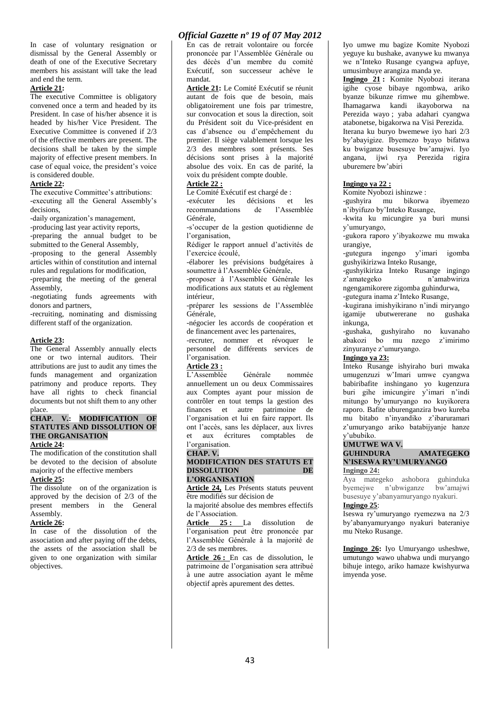In case of voluntary resignation or dismissal by the General Assembly or death of one of the Executive Secretary members his assistant will take the lead and end the term.

### **Article 21:**

The executive Committee is obligatory convened once a term and headed by its President. In case of his/her absence it is headed by his/her Vice President. The Executive Committee is convened if 2/3 of the effective members are present. The decisions shall be taken by the simple majority of effective present members. In case of equal voice, the president's voice is considered double.

### **Article 22:**

The executive Committee's attributions: -executing all the General Assembly's decisions,

-daily organization's management,

-producing last year activity reports,

-preparing the annual budget to be submitted to the General Assembly,

-proposing to the general Assembly articles within of constitution and internal rules and regulations for modification,

-preparing the meeting of the general Assembly,

-negotiating funds agreements with donors and partners,

-recruiting, nominating and dismissing different staff of the organization.

### **Article 23:**

The General Assembly annually elects one or two internal auditors. Their attributions are just to audit any times the funds management and organization patrimony and produce reports. They have all rights to check financial documents but not shift them to any other place.

### **CHAP. V.: MODIFICATION OF STATUTES AND DISSOLUTION OF THE ORGANISATION**

### **Article 24:**

The modification of the constitution shall be devoted to the decision of absolute majority of the effective members

### **Article 25:**

The dissolute on of the organization is approved by the decision of 2/3 of the present members in the General Assembly.

### **Article 26:**

In case of the dissolution of the association and after paying off the debts, the assets of the association shall be given to one organization with similar objectives.

### *Official Gazette nº 19 of 07 May 2012*

En cas de retrait volontaire ou forcée prononcée par l'Assemblée Générale ou des décès d'un membre du comité Exécutif, son successeur achève le mandat.

**Article 21:** Le Comité Exécutif se réunit autant de fois que de besoin, mais obligatoirement une fois par trimestre, sur convocation et sous la direction, soit du Président soit du Vice-président en cas d'absence ou d'empêchement du premier. Il siège valablement lorsque les 2/3 des membres sont présents. Ses décisions sont prises à la majorité absolue des voix. En cas de parité, la voix du président compte double.

### **Article 22 :**

Le Comité Exécutif est chargé de :

-exécuter les décisions et les recommandations de Générale,

-s'occuper de la gestion quotidienne de l'organisation,

Rédiger le rapport annuel d'activités de l'exercice écoulé,

-élaborer les prévisions budgétaires à soumettre à l'Assemblée Générale,

-proposer à l'Assemblée Générale les modifications aux statuts et au règlement intérieur,

-préparer les sessions de l'Assemblée Générale,

-négocier les accords de coopération et de financement avec les partenaires,

-recruter, nommer et révoquer le personnel de différents services de l'organisation.

## **Article 23 :**

L'Assemblée Générale nommée annuellement un ou deux Commissaires aux Comptes ayant pour mission de contrôler en tout temps la gestion des finances et autre patrimoine de l'organisation et lui en faire rapport. Ils ont l'accès, sans les déplacer, aux livres et aux écritures comptables de l'organisation.

#### **CHAP. V.**

### **MODIFICATION DES STATUTS ET DISSOLUTION DE L'ORGANISATION**

**Article 24,** Les Présents statuts peuvent être modifiés sur décision de

la majorité absolue des membres effectifs de l'Association.

**Article 25 :** La dissolution de l'organisation peut être prononcée par l'Assemblée Générale à la majorité de 2/3 de ses membres.

**Article 26 :** En cas de dissolution, le patrimoine de l'organisation sera attribué à une autre association ayant le même objectif après apurement des dettes.

Iyo umwe mu bagize Komite Nyobozi yeguye ku bushake, avanywe ku mwanya we n'Inteko Rusange cyangwa apfuye, umusimbuye arangiza manda ye.

**Ingingo 21 :** Komite Nyobozi iterana igihe cyose bibaye ngombwa, ariko byanze bikunze rimwe mu gihembwe. Ihamagarwa kandi ikayoborwa na Perezida wayo ; yaba adahari cyangwa atabonetse, bigakorwa na Visi Perezida. Iterana ku buryo bwemewe iyo hari 2/3

by'abayigize. Ibyemezo byayo bifatwa ku bwiganze busesuye bw'amajwi. Iyo angana, ijwi rya Perezida rigira uburemere bw'abiri

### **Ingingo ya 22 :**

Komite Nyobozi ishinzwe :

-gushyira mu bikorwa ibyemezo n'ibyifuzo by'Inteko Rusange,

-kwita ku micungire ya buri munsi y'umuryango,

-gukora raporo y'ibyakozwe mu mwaka urangiye,

-gutegura ingengo y'imari igomba gushyikirizwa Inteko Rusange,

-gushyikiriza Inteko Rusange ingingo n'amabwiriza ngengamikorere zigomba guhindurwa,

-gutegura inama z'Inteko Rusange,

-kugirana imishyikirano n'indi miryango igamije ubutwererane no gushaka inkunga,

-gushaka, gushyiraho no kuvanaho abakozi bo mu nzego z'imirimo zinyuranye z'umuryango.

### **Ingingo ya 23:**

Inteko Rusange ishyiraho buri mwaka umugenzuzi w'Imari umwe cyangwa babiribafite inshingano yo kugenzura buri gihe imicungire y'imari n'indi mitungo by'umuryango no kuyikorera raporo. Bafite uburenganzira bwo kureba mu bitabo n'inyandiko z'ibaruramari z'umuryango ariko batabijyanje hanze y'ububiko.

### **UMUTWE WA V. AMATEGEKO N'ISESWA RY'UMURYANGO Ingingo 24:**

Aya mategeko ashobora guhinduka byemejwe n'ubwiganze bw'amajwi busesuye y'abanyamuryango nyakuri.

### **Ingingo 25**:

Iseswa ry'umuryango ryemezwa na 2/3 by'abanyamuryango nyakuri bateraniye mu Nteko Rusange.

**Ingingo 26:** Iyo Umuryango usheshwe, umutungo wawo uhabwa undi muryango bihuje intego, ariko hamaze kwishyurwa imyenda yose.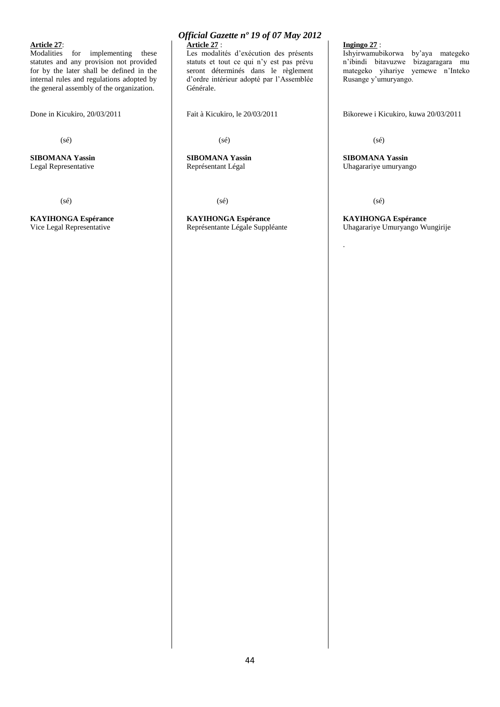### **Article 27**:

Modalities for implementing these statutes and any provision not provided for by the later shall be defined in the internal rules and regulations adopted by the general assembly of the organization.

Done in Kicukiro, 20/03/2011

(sé)

**SIBOMANA Yassin**  Legal Representative

(sé)

**KAYIHONGA Espérance** Vice Legal Representative

### *Official Gazette nº 19 of 07 May 2012* **Article 27** :

Les modalités d'exécution des présents statuts et tout ce qui n'y est pas prévu seront déterminés dans le règlement d'ordre intérieur adopté par l'Assemblée Générale.

Fait à Kicukiro, le 20/03/2011

(sé)

**SIBOMANA Yassin** Représentant Légal

(sé)

**KAYIHONGA Espérance** Représentante Légale Suppléante

### **Ingingo 27** :

Ishyirwamubikorwa by'aya mategeko n'ibindi bitavuzwe bizagaragara mu mategeko yihariye yemewe n'Inteko Rusange y'umuryango.

Bikorewe i Kicukiro, kuwa 20/03/2011

(sé)

**SIBOMANA Yassin** Uhagarariye umuryango

(sé)

.

**KAYIHONGA Espérance** Uhagarariye Umuryango Wungirije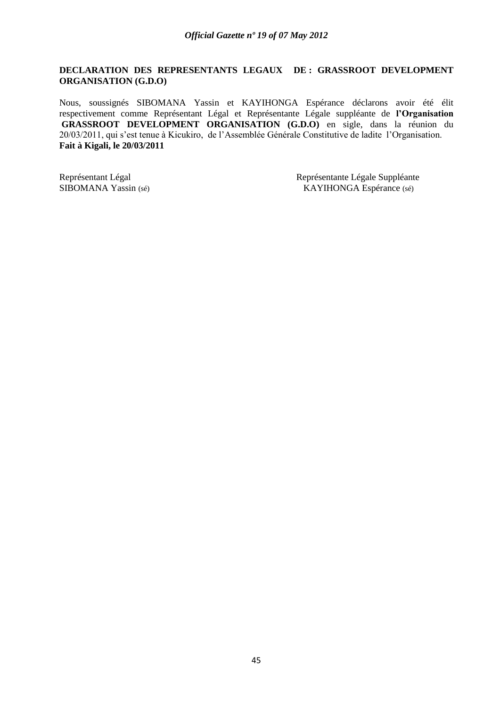### **DECLARATION DES REPRESENTANTS LEGAUX DE : GRASSROOT DEVELOPMENT ORGANISATION (G.D.O)**

Nous, soussignés SIBOMANA Yassin et KAYIHONGA Espérance déclarons avoir été élit respectivement comme Représentant Légal et Représentante Légale suppléante de **l'Organisation GRASSROOT DEVELOPMENT ORGANISATION (G.D.O)** en sigle, dans la réunion du 20/03/2011, qui s'est tenue à Kicukiro, de l'Assemblée Générale Constitutive de ladite l'Organisation. **Fait à Kigali, le 20/03/2011**

Représentant Légal Représentante Légale Suppléante SIBOMANA Yassin (sé) KAYIHONGA Espérance (sé)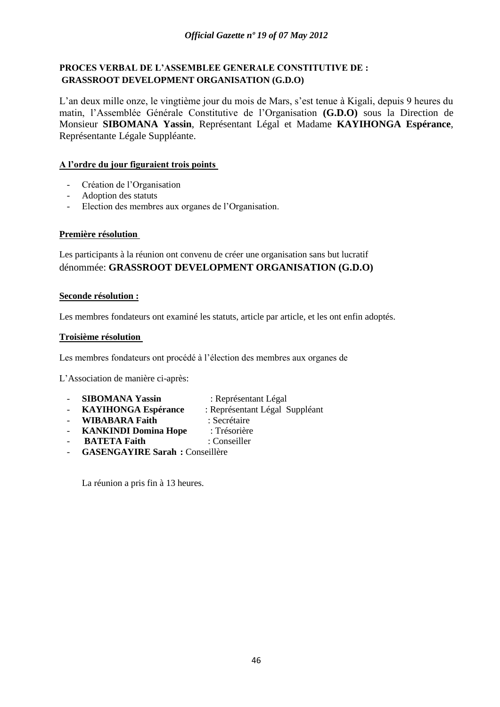## **PROCES VERBAL DE L'ASSEMBLEE GENERALE CONSTITUTIVE DE : GRASSROOT DEVELOPMENT ORGANISATION (G.D.O)**

L'an deux mille onze, le vingtième jour du mois de Mars, s'est tenue à Kigali, depuis 9 heures du matin, l'Assemblée Générale Constitutive de l'Organisation **(G.D.O)** sous la Direction de Monsieur **SIBOMANA Yassin**, Représentant Légal et Madame **KAYIHONGA Espérance**, Représentante Légale Suppléante.

## **A l'ordre du jour figuraient trois points**

- Création de l'Organisation
- Adoption des statuts
- Election des membres aux organes de l'Organisation.

### **Première résolution**

Les participants à la réunion ont convenu de créer une organisation sans but lucratif dénommée: **GRASSROOT DEVELOPMENT ORGANISATION (G.D.O)**

### **Seconde résolution :**

Les membres fondateurs ont examiné les statuts, article par article, et les ont enfin adoptés.

### **Troisième résolution**

Les membres fondateurs ont procédé à l'élection des membres aux organes de

L'Association de manière ci-après:

- **SIBOMANA Yassin** : Représentant Légal
- - **KAYIHONGA Espérance** : Représentant Légal Suppléant
	- **WIBABARA Faith** : Secrétaire
- **KANKINDI Domina Hope** : Trésorière
- **BATETA Faith** : Conseiller
- **GASENGAYIRE Sarah :** Conseillère

La réunion a pris fin à 13 heures.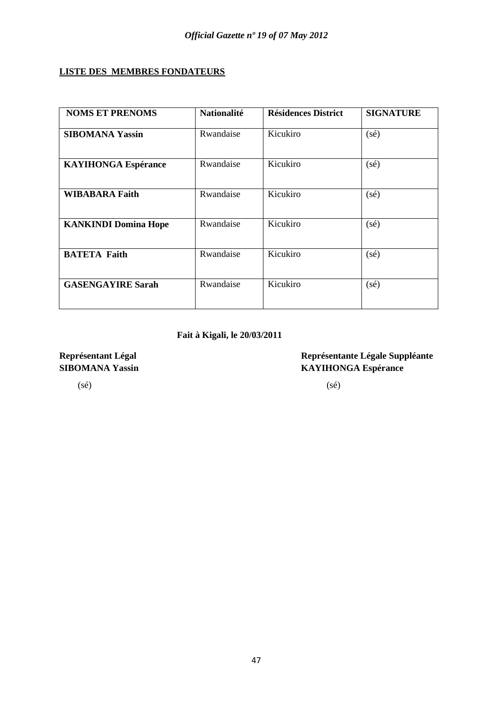## **LISTE DES MEMBRES FONDATEURS**

| <b>NOMS ET PRENOMS</b>      | <b>Nationalité</b> | <b>Résidences District</b> | <b>SIGNATURE</b> |  |  |
|-----------------------------|--------------------|----------------------------|------------------|--|--|
| <b>SIBOMANA Yassin</b>      | Rwandaise          | Kicukiro                   | $(s\acute{e})$   |  |  |
| <b>KAYIHONGA Espérance</b>  | Rwandaise          | Kicukiro                   | (sé)             |  |  |
| <b>WIBABARA Faith</b>       | Rwandaise          | Kicukiro                   | $(s\acute{e})$   |  |  |
| <b>KANKINDI Domina Hope</b> | Rwandaise          | Kicukiro                   | (sé)             |  |  |
| <b>BATETA Faith</b>         | Rwandaise          | Kicukiro                   | $(s\acute{e})$   |  |  |
| <b>GASENGAYIRE Sarah</b>    | Rwandaise          | Kicukiro                   | $(s\acute{e})$   |  |  |

 **Fait à Kigali, le 20/03/2011**

## **Représentant Légal Représentante Légale Suppléante SIBOMANA Yassin KAYIHONGA Espérance**

 $(s\acute{e})$  (sé)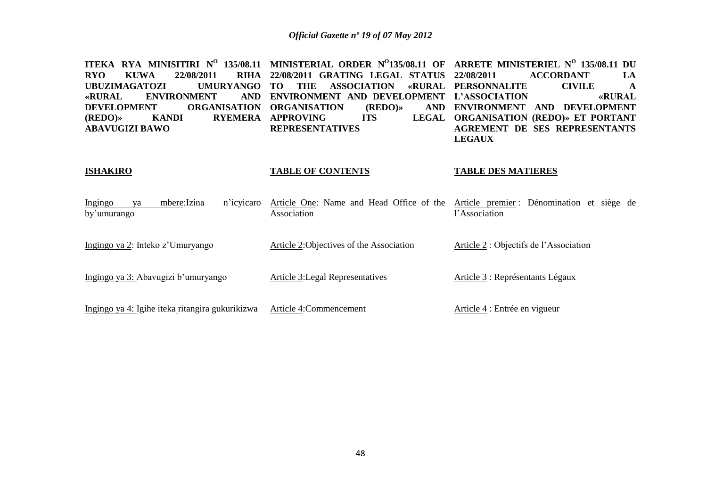| <b>KUWA</b><br><b>RIHA</b><br><b>RYO</b><br>22/08/2011<br><b>UBUZIMAGATOZI</b><br><b>UMURYANGO</b><br><b>«RURAL</b><br><b>AND</b><br><b>ENVIRONMENT</b><br><b>ORGANISATION</b><br><b>DEVELOPMENT</b><br><b>KANDI</b><br><b>RYEMERA</b><br>(REDO)<br><b>ABAVUGIZI BAWO</b> | 22/08/2011 GRATING LEGAL STATUS<br><b>THE</b><br><b>ASSOCIATION</b><br><b>TO</b><br><b>«RURAL</b><br>ENVIRONMENT AND DEVELOPMENT<br><b>ORGANISATION</b><br>(REDO)<br><b>AND</b><br><b>APPROVING</b><br><b>ITS</b><br><b>LEGAL</b><br><b>REPRESENTATIVES</b> | ITEKA RYA MINISITIRI N <sup>o</sup> 135/08.11 MINISTERIAL ORDER N <sup>o</sup> 135/08.11 OF ARRETE MINISTERIEL N <sup>o</sup> 135/08.11 DU<br>22/08/2011<br><b>ACCORDANT</b><br>LA<br><b>CIVILE</b><br><b>PERSONNALITE</b><br>$\mathbf{A}$<br>L'ASSOCIATION<br><b>«RURAL</b><br><b>DEVELOPMENT</b><br><b>ENVIRONMENT</b><br><b>AND</b><br><b>ORGANISATION (REDO)» ET PORTANT</b><br><b>AGREMENT DE SES REPRESENTANTS</b><br><b>LEGAUX</b> |  |  |  |
|---------------------------------------------------------------------------------------------------------------------------------------------------------------------------------------------------------------------------------------------------------------------------|-------------------------------------------------------------------------------------------------------------------------------------------------------------------------------------------------------------------------------------------------------------|-------------------------------------------------------------------------------------------------------------------------------------------------------------------------------------------------------------------------------------------------------------------------------------------------------------------------------------------------------------------------------------------------------------------------------------------|--|--|--|
| <b>ISHAKIRO</b>                                                                                                                                                                                                                                                           | <b>TABLE OF CONTENTS</b>                                                                                                                                                                                                                                    | <b>TABLE DES MATIERES</b>                                                                                                                                                                                                                                                                                                                                                                                                                 |  |  |  |
| mbere: Izina<br>Ingingo<br>n'icyicaro<br>ya<br>by'umurango                                                                                                                                                                                                                | Article One: Name and Head Office of the<br>Association                                                                                                                                                                                                     | Article premier: Dénomination et siège de<br>l'Association                                                                                                                                                                                                                                                                                                                                                                                |  |  |  |
| Ingingo ya 2: Inteko z'Umuryango                                                                                                                                                                                                                                          | Article 2: Objectives of the Association                                                                                                                                                                                                                    | Article 2: Objectifs de l'Association                                                                                                                                                                                                                                                                                                                                                                                                     |  |  |  |
| Ingingo ya 3: Abavugizi b'umuryango                                                                                                                                                                                                                                       | <b>Article 3: Legal Representatives</b>                                                                                                                                                                                                                     | Article 3 : Représentants Légaux                                                                                                                                                                                                                                                                                                                                                                                                          |  |  |  |
| Ingingo ya 4: Igihe iteka ritangira gukurikizwa                                                                                                                                                                                                                           | Article 4: Commencement                                                                                                                                                                                                                                     | Article 4 : Entrée en vigueur                                                                                                                                                                                                                                                                                                                                                                                                             |  |  |  |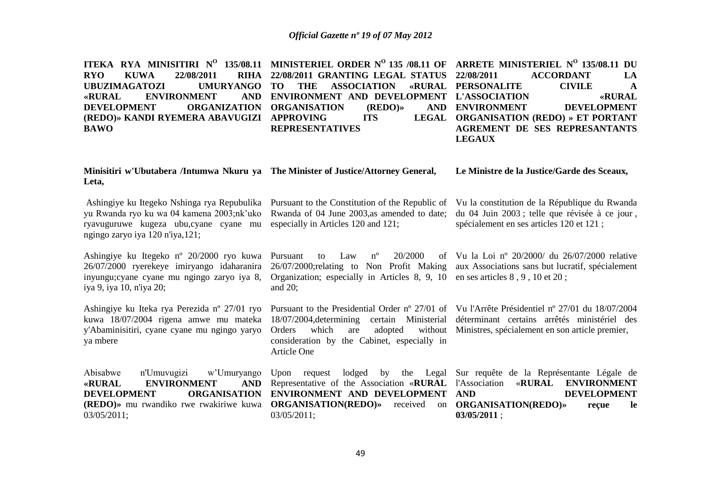**ITEKA RYA MINISITIRI N<sup>O</sup> 135/08.11 MINISTERIEL ORDER N<sup>O</sup>135 /08.11 OF ARRETE MINISTERIEL N<sup>O</sup>135/08.11 DU RYO KUWA 22/08/2011 UBUZIMAGATOZI UMURYANGO**  «RURAL ENVIRONMENT **DEVELOPMENT ORGANIZATION ORGANISATION (REDO)» AND (REDO)» KANDI RYEMERA ABAVUGIZI APPROVING ITS LEGAL BAWO 22/08/2011 GRANTING LEGAL STATUS THE ASSOCIATION ENVIRONMENT AND DEVELOPMENT L'ASSOCIATION «RURAL REPRESENTATIVES 22/08/2011 ACCORDANT LA PERSONALITE CIVILE A ENVIRONMENT DEVELOPMENT ORGANISATION (REDO) » ET PORTANT AGREMENT DE SES REPRESANTANTS LEGAUX**

**Minisitiri w'Ubutabera /Intumwa Nkuru ya The Minister of Justice/Attorney General, Leta, Le Ministre de la Justice/Garde des Sceaux,**

Ashingiye ku Itegeko Nshinga rya Repubulika Pursuant to the Constitution of the Republic of Vu la constitution de la République du Rwanda yu Rwanda ryo ku wa 04 kamena 2003;nk'uko Rwanda of 04 June 2003,as amended to date; du 04 Juin 2003; telle que révisée à ce jour, ryavuguruwe kugeza ubu,cyane cyane mu especially in Articles 120 and 121; ngingo zaryo iya 120 n'iya,121;

Ashingiye ku Itegeko nº 20/2000 ryo kuwa Pursuant to Law nº 20/2000 of inyungu;cyane cyane mu ngingo zaryo iya 8, iya 9, iya 10, n'iya 20;

y'Abaminisitiri, cyane cyane mu ngingo yaryo ya mbere

26/07/2000 ryerekeye imiryango idaharanira 26/07/2000;relating to Non Profit Making aux Associations sans but lucratif, spécialement Organization; especially in Articles 8, 9, 10 en ses articles 8 , 9 , 10 et 20 ; and 20;

> Orders which are adopted without Ministres, spécialement en son article premier, consideration by the Cabinet, especially in Article One

Vu la Loi nº 20/2000/ du 26/07/2000 relative

spécialement en ses articles 120 et 121 ;

Ashingiye ku Iteka rya Perezida nº 27/01 ryo Pursuant to the Presidential Order nº 27/01 of Vu l'Arrête Présidentiel nº 27/01 du 18/07/2004 kuwa 18/07/2004 rigena amwe mu mateka 18/07/2004, determining certain Ministerial déterminant certains arrêtés ministériel des

| Abisabwe    | n'Umuvugizi w'Umuryango Upon request lodged by the Legal Sur requête de la Représentante Légale de |             |  |  |  |                |  |                    |      |
|-------------|----------------------------------------------------------------------------------------------------|-------------|--|--|--|----------------|--|--------------------|------|
| «RURAL      | <b>ENVIRONMENT</b> AND Representative of the Association «RURAL l'Association «RURAL ENVIRONMENT   |             |  |  |  |                |  |                    |      |
|             | DEVELOPMENT ORGANISATION ENVIRONMENT AND DEVELOPMENT AND                                           |             |  |  |  |                |  | <b>DEVELOPMENT</b> |      |
|             | (REDO)» mu rwandiko rwe rwakiriwe kuwa ORGANISATION(REDO)» received on ORGANISATION(REDO)»         |             |  |  |  |                |  | recue              | — le |
| 03/05/2011; |                                                                                                    | 03/05/2011: |  |  |  | $03/05/2011$ : |  |                    |      |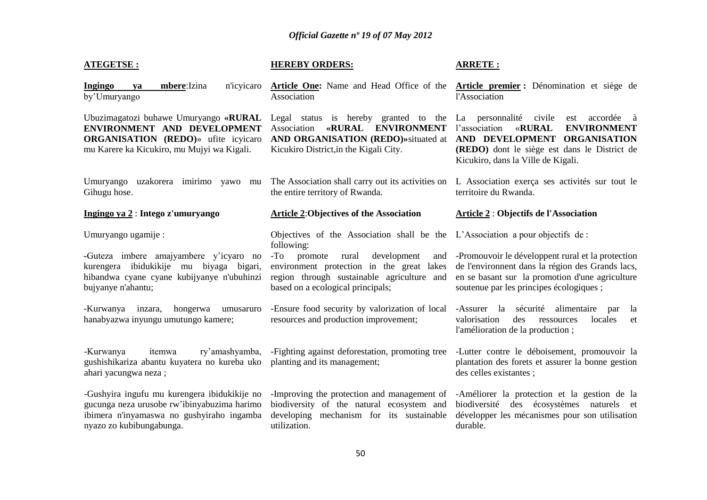| <b>ATEGETSE:</b>                                                                                                                                                     | <b>HEREBY ORDERS:</b>                                                                                                                                                            | <b>ARRETE:</b>                                                                                                                                                                                            |  |  |  |
|----------------------------------------------------------------------------------------------------------------------------------------------------------------------|----------------------------------------------------------------------------------------------------------------------------------------------------------------------------------|-----------------------------------------------------------------------------------------------------------------------------------------------------------------------------------------------------------|--|--|--|
| mbere: Izina<br>Ingingo<br>n'icyicaro<br>va<br>by'Umuryango                                                                                                          | Association                                                                                                                                                                      | Article One: Name and Head Office of the Article premier : Dénomination et siège de<br>l'Association                                                                                                      |  |  |  |
| Ubuzimagatozi buhawe Umuryango «RURAL<br>ENVIRONMENT AND DEVELOPMENT<br><b>ORGANISATION</b> (REDO)» ufite icyicaro<br>mu Karere ka Kicukiro, mu Mujyi wa Kigali.     | Legal status is hereby granted to the La personnalité<br>«RURAL ENVIRONMENT<br>Association<br>AND ORGANISATION (REDO)» situated at<br>Kicukiro District, in the Kigali City.     | civile<br>est<br>accordée à<br>l'association<br><b>«RURAL</b><br><b>ENVIRONMENT</b><br>AND DEVELOPMENT ORGANISATION<br>(REDO) dont le siège est dans le District de<br>Kicukiro, dans la Ville de Kigali. |  |  |  |
| Umuryango uzakorera imirimo yawo mu<br>Gihugu hose.                                                                                                                  | The Association shall carry out its activities on<br>the entire territory of Rwanda.                                                                                             | L Association exerça ses activités sur tout le<br>territoire du Rwanda.                                                                                                                                   |  |  |  |
| Ingingo ya 2 : Intego z'umuryango                                                                                                                                    | <b>Article 2: Objectives of the Association</b>                                                                                                                                  | Article 2 : Objectifs de l'Association                                                                                                                                                                    |  |  |  |
| Umuryango ugamije:                                                                                                                                                   | Objectives of the Association shall be the L'Association a pour objectifs de:<br>following:                                                                                      |                                                                                                                                                                                                           |  |  |  |
| -Guteza imbere amajyambere y'icyaro no<br>kurengera ibidukikije mu biyaga bigari,<br>hibandwa cyane cyane kubijyanye n'ubuhinzi<br>bujyanye n'ahantu;                | $-$ To<br>promote<br>development<br>rural<br>and<br>environment protection in the great lakes<br>region through sustainable agriculture and<br>based on a ecological principals; | -Promouvoir le développent rural et la protection<br>de l'environnent dans la région des Grands lacs,<br>en se basant sur la promotion d'une agriculture<br>soutenue par les principes écologiques ;      |  |  |  |
| -Kurwanya inzara,<br>hongerwa<br>umusaruro<br>hanabyazwa inyungu umutungo kamere;                                                                                    | -Ensure food security by valorization of local<br>resources and production improvement;                                                                                          | la<br>sécurité<br>alimentaire<br>-Assurer<br>la<br>par<br>valorisation<br>des<br>locales<br>ressources<br>et<br>l'amélioration de la production;                                                          |  |  |  |
| -Kurwanya<br>itemwa<br>ry'amashyamba,<br>gushishikariza abantu kuyatera no kureba uko<br>ahari yacungwa neza;                                                        | -Fighting against deforestation, promoting tree<br>planting and its management;                                                                                                  | -Lutter contre le déboisement, promouvoir la<br>plantation des forets et assurer la bonne gestion<br>des celles existantes ;                                                                              |  |  |  |
| -Gushyira ingufu mu kurengera ibidukikije no<br>gucunga neza urusobe rw'ibinyabuzima harimo<br>ibimera n'inyamaswa no gushyiraho ingamba<br>nyazo zo kubibungabunga. | -Improving the protection and management of<br>biodiversity of the natural ecosystem and<br>developing mechanism for its sustainable<br>utilization.                             | -Améliorer la protection et la gestion de la<br>biodiversité des écosystèmes naturels et<br>développer les mécanismes pour son utilisation<br>durable.                                                    |  |  |  |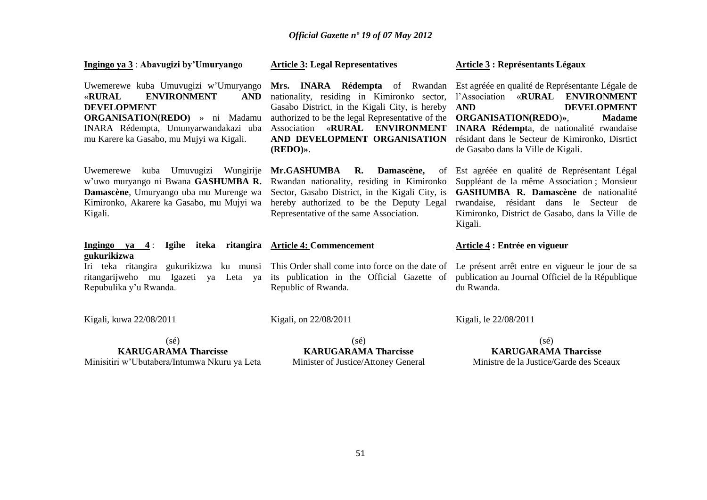| Ingingo ya 3: Abavugizi by'Umuryango                                                                                                                                                                                                         | <b>Article 3: Legal Representatives</b>                                                                                                                                                                                                                                | <b>Article 3 : Représentants Légaux</b>                                                                                                                                                                                                                                                                |  |  |  |
|----------------------------------------------------------------------------------------------------------------------------------------------------------------------------------------------------------------------------------------------|------------------------------------------------------------------------------------------------------------------------------------------------------------------------------------------------------------------------------------------------------------------------|--------------------------------------------------------------------------------------------------------------------------------------------------------------------------------------------------------------------------------------------------------------------------------------------------------|--|--|--|
| Uwemerewe kuba Umuvugizi w'Umuryango<br><b>«RURAL</b><br><b>ENVIRONMENT</b><br><b>AND</b><br><b>DEVELOPMENT</b><br><b>ORGANISATION(REDO)</b> » ni Madamu<br>INARA Rédempta, Umunyarwandakazi uba<br>mu Karere ka Gasabo, mu Mujyi wa Kigali. | Mrs. INARA Rédempta of Rwandan<br>nationality, residing in Kimironko sector,<br>Gasabo District, in the Kigali City, is hereby<br>authorized to be the legal Representative of the<br>«RURAL ENVIRONMENT<br>Association<br>AND DEVELOPMENT ORGANISATION<br>$(REDO)$ ». | Est agréée en qualité de Représentante Légale de<br>l'Association «RURAL ENVIRONMENT<br><b>DEVELOPMENT</b><br><b>AND</b><br>ORGANISATION(REDO)»,<br><b>Madame</b><br>INARA Rédempta, de nationalité rwandaise<br>résidant dans le Secteur de Kimironko, Disrtict<br>de Gasabo dans la Ville de Kigali. |  |  |  |
| Uwemerewe kuba Umuvugizi Wungirije<br>w'uwo muryango ni Bwana GASHUMBA R.<br>Damascène, Umuryango uba mu Murenge wa<br>Kimironko, Akarere ka Gasabo, mu Mujyi wa<br>Kigali.                                                                  | <b>Mr.GASHUMBA</b><br><b>R.</b><br>Damascène,<br>of<br>Rwandan nationality, residing in Kimironko<br>Sector, Gasabo District, in the Kigali City, is<br>hereby authorized to be the Deputy Legal<br>Representative of the same Association.                            | Est agréée en qualité de Représentant Légal<br>Suppléant de la même Association; Monsieur<br>GASHUMBA R. Damascène de nationalité<br>rwandaise, résidant dans le Secteur de<br>Kimironko, District de Gasabo, dans la Ville de<br>Kigali.                                                              |  |  |  |
| Ingingo ya 4: Igihe iteka ritangira Article 4: Commencement<br>gukurikizwa                                                                                                                                                                   |                                                                                                                                                                                                                                                                        | Article 4 : Entrée en vigueur                                                                                                                                                                                                                                                                          |  |  |  |
| Igazeti ya Leta ya<br>ritangarijweho mu<br>Repubulika y'u Rwanda.                                                                                                                                                                            | its publication in the Official Gazette of<br>Republic of Rwanda.                                                                                                                                                                                                      | Iri teka ritangira gukurikizwa ku munsi This Order shall come into force on the date of Le présent arrêt entre en vigueur le jour de sa<br>publication au Journal Officiel de la République<br>du Rwanda.                                                                                              |  |  |  |
| Kigali, kuwa 22/08/2011                                                                                                                                                                                                                      | Kigali, on 22/08/2011                                                                                                                                                                                                                                                  | Kigali, le 22/08/2011                                                                                                                                                                                                                                                                                  |  |  |  |
| $(s\acute{e})$<br><b>KARUGARAMA Tharcisse</b><br>Minisitiri w'Ubutabera/Intumwa Nkuru ya Leta                                                                                                                                                | $(s\acute{e})$<br><b>KARUGARAMA Tharcisse</b><br>Minister of Justice/Attoney General                                                                                                                                                                                   | $(s\acute{e})$<br><b>KARUGARAMA Tharcisse</b><br>Ministre de la Justice/Garde des Sceaux                                                                                                                                                                                                               |  |  |  |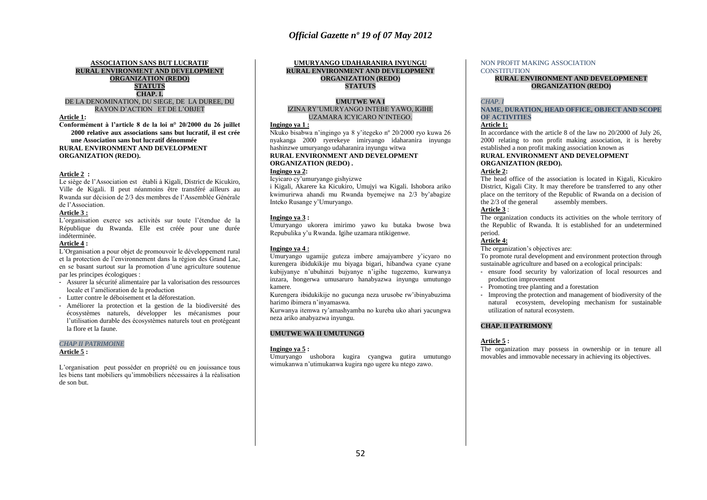#### **ASSOCIATION SANS BUT LUCRATIF RURAL ENVIRONMENT AND DEVELOPMENT ORGANIZATION (REDO) STATUTS CHAP. I.**

### DE LA DENOMINATION, DU SIEGE, DE LA DUREE, DU RAYON D'ACTION ET DE L'OBJET

**Article 1:**

**Conformément à l'article 8 de la loi n° 20/2000 du 26 juillet 2000 relative aux associations sans but lucratif, il est crée une Association sans but lucratif dénommée RURAL ENVIRONMENT AND DEVELOPMENT ORGANIZATION (REDO).**

#### **Article 2 :**

Le siège de l'Association est établi à Kigali, District de Kicukiro, Ville de Kigali. Il peut néanmoins être transféré ailleurs au Rwanda sur décision de 2/3 des membres de l'Assemblée Générale de l'Association.

#### **Article 3 :**

L'organisation exerce ses activités sur toute l'étendue de la République du Rwanda. Elle est créée pour une durée indéterminée.

#### **Article 4 :**

L'Organisation a pour objet de promouvoir le développement rural et la protection de l'environnement dans la région des Grand Lac, en se basant surtout sur la promotion d'une agriculture soutenue par les principes écologiques :

- Assurer la sécurité alimentaire par la valorisation des ressources locale et l'amélioration de la production
- Lutter contre le déboisement et la déforestation.
- Améliorer la protection et la gestion de la biodiversité des écosystèmes naturels, développer les mécanismes pour l'utilisation durable des écosystèmes naturels tout en protégeant la flore et la faune.

#### *CHAP II PATRIMOINE*

**Article 5 :**

L'organisation peut posséder en propriété ou en jouissance tous les biens tant mobiliers qu'immobiliers nécessaires à la réalisation de son but.

#### **UMURYANGO UDAHARANIRA INYUNGU RURAL ENVIRONMENT AND DEVELOPMENT ORGANIZATION (REDO) STATUTS**

## **UMUTWE WA I**

IZINA RY'UMURYANGO INTEBE YAWO, IGIHE UZAMARA ICYICARO N'INTEGO.

### **Ingingo ya 1 :**

Nkuko bisabwa n'ingingo ya 8 y'itegeko nº 20/2000 ryo kuwa 26 nyakanga 2000 ryerekeye imiryango idaharanira inyungu hashinzwe umuryango udaharanira inyungu witwa **RURAL ENVIRONMENT AND DEVELOPMENT ORGANIZATION (REDO) .**

### **Ingingo ya 2:**

Icyicaro cy'umuryango gishyizwe

i Kigali, Akarere ka Kicukiro, Umujyi wa Kigali. Ishobora ariko kwimurirwa ahandi mu Rwanda byemejwe na 2/3 by'abagize Inteko Rusange y'Umuryango.

#### **Ingingo ya 3 :**

Umuryango ukorera imirimo yawo ku butaka bwose bwa Repubulika y'u Rwanda. Igihe uzamara ntikigenwe.

#### **Ingingo ya 4 :**

Umuryango ugamije guteza imbere amajyambere y'icyaro no kurengera ibidukikije mu biyaga bigari, hibandwa cyane cyane kubijyanye n'ubuhinzi bujyanye n'igihe tugezemo, kurwanya inzara, hongerwa umusaruro hanabyazwa inyungu umutungo kamere.

Kurengera ibidukikije no gucunga neza urusobe rw'ibinyabuzima harimo ibimera n'inyamaswa.

Kurwanya itemwa ry'amashyamba no kureba uko ahari yacungwa neza ariko anabyazwa inyungu.

### **UMUTWE WA II UMUTUNGO**

#### **Ingingo ya 5 :**

Umuryango ushobora kugira cyangwa gutira umutungo wimukanwa n'utimukanwa kugira ngo ugere ku ntego zawo.

#### NON PROFIT MAKING ASSOCIATION CONSTITUTION

#### **RURAL ENVIRONMENT AND DEVELOPMENET ORGANIZATION (REDO)**

#### *CHAP. I*

### **NAME, DURATION, HEAD OFFICE, OBJECT AND SCOPE OF ACTIVITIES**

### **Article 1:**

In accordance with the article 8 of the law no 20/2000 of July 26, 2000 relating to non profit making association, it is hereby established a non profit making association known as **RURAL ENVIRONMENT AND DEVELOPMENT** 

## **ORGANIZATION (REDO).**

### **Article 2:**

The head office of the association is located in Kigali, Kicukiro District, Kigali City. It may therefore be transferred to any other place on the territory of the Republic of Rwanda on a decision of the 2/3 of the general assembly members.

### **Article 3** :

The organization conducts its activities on the whole territory of the Republic of Rwanda. It is established for an undetermined period.

### **Article 4:**

#### The organization's objectives are:

To promote rural development and environment protection through sustainable agriculture and based on a ecological principals:

- ensure food security by valorization of local resources and production improvement
- Promoting tree planting and a forestation
- Improving the protection and management of biodiversity of the natural ecosystem, developing mechanism for sustainable utilization of natural ecosystem.

### **CHAP. II PATRIMONY**

### **Article 5 :**

The organization may possess in ownership or in tenure all movables and immovable necessary in achieving its objectives.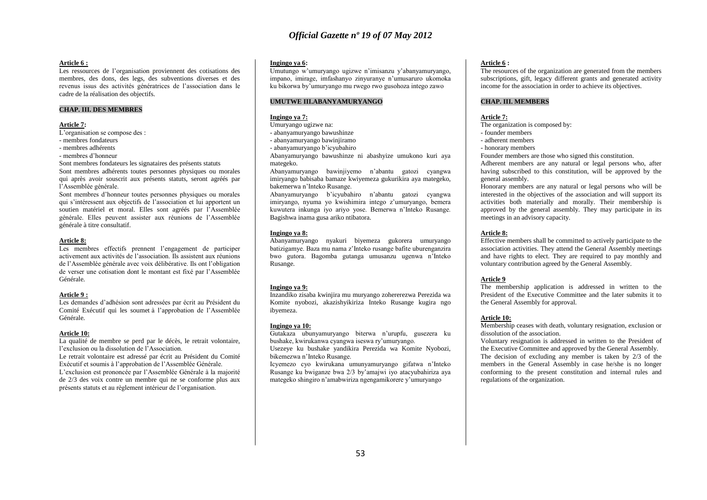#### **Article 6 :**

Les ressources de l'organisation proviennent des cotisations des membres, des dons, des legs, des subventions diverses et des revenus issus des activités génératrices de l'association dans le cadre de la réalisation des objectifs.

#### **CHAP. III. DES MEMBRES**

#### **Article 7:**

L'organisation se compose des : - membres fondateurs

- membres adhérents
- membres d'honneur

Sont membres fondateurs les signataires des présents statuts

Sont membres adhérents toutes personnes physiques ou morales qui après avoir souscrit aux présents statuts, seront agréés par l'Assemblée générale.

Sont membres d'honneur toutes personnes physiques ou morales qui s'intéressent aux objectifs de l'association et lui apportent un soutien matériel et moral. Elles sont agréés par l'Assemblée générale. Elles peuvent assister aux réunions de l'Assemblée générale à titre consultatif.

#### **Article 8:**

Les membres effectifs prennent l'engagement de participer activement aux activités de l'association. Ils assistent aux réunions de l'Assemblée générale avec voix délibérative. Ils ont l'obligation de verser une cotisation dont le montant est fixé par l'Assemblée Générale.

#### **Article 9 :**

Les demandes d'adhésion sont adressées par écrit au Président du Comité Exécutif qui les soumet à l'approbation de l'Assemblée Générale.

#### **Article 10:**

La qualité de membre se perd par le décès, le retrait volontaire, l'exclusion ou la dissolution de l'Association.

Le retrait volontaire est adressé par écrit au Président du Comité Exécutif et soumis à l'approbation de l'Assemblée Générale.

L'exclusion est prononcée par l'Assemblée Générale à la majorité de 2/3 des voix contre un membre qui ne se conforme plus aux présents statuts et au règlement intérieur de l'organisation.

#### **Ingingo ya 6:**

Umutungo w'umuryango ugizwe n'imisanzu y'abanyamuryango, impano, imirage, imfashanyo zinyuranye n'umusaruro ukomoka ku bikorwa by'umuryango mu rwego rwo gusohoza intego zawo

#### **UMUTWE III.ABANYAMURYANGO**

#### **Ingingo ya 7:**

Umuryango ugizwe na:

- abanyamuryango bawushinze
- abanyamuryango bawinjiramo
- abanyamuryango b'icyubahiro

Abanyamuryango bawushinze ni abashyize umukono kuri aya mategeko.

Abanyamuryango bawinjiyemo n'abantu gatozi cyangwa imiryango babisaba bamaze kwiyemeza gukurikira aya mategeko, bakemerwa n'Inteko Rusange.

Abanyamuryango b'icyubahiro n'abantu gatozi cyangwa imiryango, nyuma yo kwishimira intego z'umuryango, bemera kuwutera inkunga iyo ariyo yose. Bemerwa n'Inteko Rusange. Bagishwa inama gusa ariko ntibatora.

#### **Ingingo ya 8:**

Abanyamuryango nyakuri biyemeza gukorera umuryango batizigamye. Baza mu nama z'Inteko rusange bafite uburenganzira bwo gutora. Bagomba gutanga umusanzu ugenwa n'Inteko Rusange.

#### **Ingingo ya 9:**

Inzandiko zisaba kwinjira mu muryango zohererezwa Perezida wa Komite nyobozi, akazishyikiriza Inteko Rusange kugira ngo ibyemeza.

#### **Ingingo ya 10:**

Gutakaza ubunyamuryango biterwa n'urupfu, gusezera ku bushake, kwirukanwa cyangwa iseswa ry'umuryango.

Usezeye ku bushake yandikira Perezida wa Komite Nyobozi, bikemezwa n'Inteko Rusange.

Icyemezo cyo kwirukana umunyamuryango gifatwa n'Inteko Rusange ku bwiganze bwa 2/3 by'amajwi iyo atacyubahiriza aya mategeko shingiro n'amabwiriza ngengamikorere y'umuryango

#### **Article 6 :**

The resources of the organization are generated from the members subscriptions, gift, legacy different grants and generated activity income for the association in order to achieve its objectives.

#### **CHAP. III. MEMBERS**

#### **Article 7:**

The organization is composed by:

- founder members
- adherent members
- honorary members

Founder members are those who signed this constitution.

Adherent members are any natural or legal persons who, after having subscribed to this constitution, will be approved by the general assembly.

Honorary members are any natural or legal persons who will be interested in the objectives of the association and will support its activities both materially and morally. Their membership is approved by the general assembly. They may participate in its meetings in an advisory capacity.

#### **Article 8:**

Effective members shall be committed to actively participate to the association activities. They attend the General Assembly meetings and have rights to elect. They are required to pay monthly and voluntary contribution agreed by the General Assembly.

#### **Article 9**

The membership application is addressed in written to the President of the Executive Committee and the later submits it to the General Assembly for approval.

#### **Article 10:**

Membership ceases with death, voluntary resignation, exclusion or dissolution of the association.

Voluntary resignation is addressed in written to the President of the Executive Committee and approved by the General Assembly.

The decision of excluding any member is taken by 2/3 of the members in the General Assembly in case he/she is no longer conforming to the present constitution and internal rules and regulations of the organization.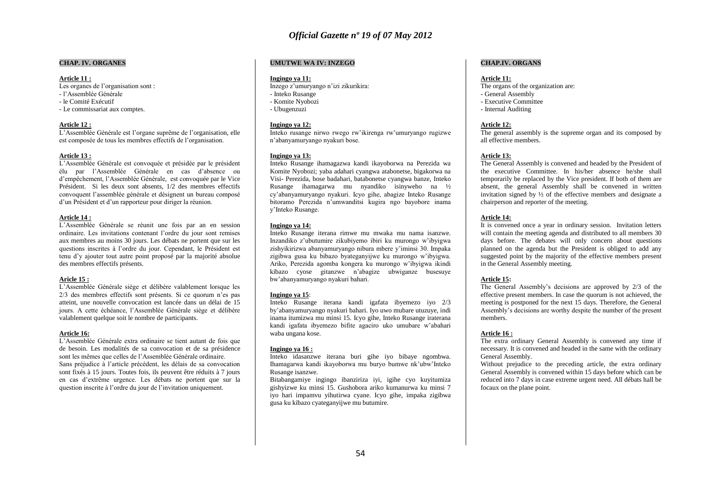#### **CHAP. IV. ORGANES**

#### **Article 11 :**

Les organes de l'organisation sont :

- l'Assemblée Générale
- le Comité Exécutif

- Le commissariat aux comptes.

#### **Article 12 :**

L'Assemblée Générale est l'organe suprême de l'organisation, elle est composée de tous les membres effectifs de l'organisation.

#### **Article 13 :**

L'Assemblée Générale est convoquée et présidée par le président élu par l'Assemblée Générale en cas d'absence ou d'empêchement, l'Assemblée Générale, est convoquée par le Vice Président. Si les deux sont absents, 1/2 des membres effectifs convoquent l'assemblée générale et désignent un bureau composé d'un Président et d'un rapporteur pour diriger la réunion.

#### **Article 14 :**

L'Assemblée Générale se réunit une fois par an en session ordinaire. Les invitations contenant l'ordre du jour sont remises aux membres au moins 30 jours. Les débats ne portent que sur les questions inscrites à l'ordre du jour. Cependant, le Président est tenu d'y ajouter tout autre point proposé par la majorité absolue des membres effectifs présents.

#### **Aricle 15 :**

L'Assemblée Générale siège et délibère valablement lorsque les 2/3 des membres effectifs sont présents. Si ce quorum n'es pas atteint, une nouvelle convocation est lancée dans un délai de 15 jours. A cette échéance, l'Assemblée Générale siège et délibère valablement quelque soit le nombre de participants.

#### **Article 16:**

L'Assemblée Générale extra ordinaire se tient autant de fois que de besoin. Les modalités de sa convocation et de sa présidence sont les mêmes que celles de l'Assemblée Générale ordinaire. Sans préjudice à l'article précédent, les délais de sa convocation sont fixés à 15 jours. Toutes fois, ils peuvent être réduits à 7 jours en cas d'extrême urgence. Les débats ne portent que sur la question inscrite à l'ordre du jour de l'invitation uniquement.

#### **UMUTWE WA IV: INZEGO**

#### **Ingingo ya 11:**

Inzego z'umuryango n'izi zikurikira:

- Inteko Rusange
- Komite Nyobozi
- Ubugenzuzi

#### **Ingingo ya 12:**

Inteko rusange nirwo rwego rw'ikirenga rw'umuryango rugizwe n'abanyamuryango nyakuri bose.

#### **Ingingo ya 13:**

Inteko Rusange ihamagazwa kandi ikayoborwa na Perezida wa Komite Nyobozi; yaba adahari cyangwa atabonetse, bigakorwa na Visi- Perezida, bose badahari, batabonetse cyangwa banze, Inteko Rusange ihamagarwa mu nyandiko isinyweho na ½ cy'abanyamuryango nyakuri. Icyo gihe, abagize Inteko Rusange bitoramo Perezida n'umwanditsi kugira ngo bayobore inama y'Inteko Rusange.

#### **Ingingo ya 14:**

Inteko Rusange iterana rimwe mu mwaka mu nama isanzwe. Inzandiko z'ubutumire zikubiyemo ibiri ku murongo w'ibyigwa zishyikirizwa abanyamuryango nibura mbere y'iminsi 30. Impaka zigibwa gusa ku bibazo byateganyijwe ku murongo w'ibyigwa. Ariko, Perezida agomba kongera ku murongo w'ibyigwa ikindi kibazo cyose gitanzwe n'abagize ubwiganze busesuye bw'abanyamuryango nyakuri bahari.

#### **Ingingo ya 15**:

Inteko Rusange iterana kandi igafata ibyemezo iyo 2/3 by'abanyamuryango nyakuri bahari. Iyo uwo mubare utuzuye, indi inama itumizwa mu minsi 15. Icyo gihe, Inteko Rusange iraterana kandi igafata ibyemezo bifite agaciro uko umubare w'abahari waba ungana kose.

#### **Ingingo ya 16 :**

Inteko idasanzwe iterana buri gihe iyo bibaye ngombwa. Ihamagarwa kandi ikayoborwa mu buryo bumwe nk'ubw'Inteko Rusange isanzwe.

Bitabangamiye ingingo ibanziriza iyi, igihe cyo kuyitumiza gishyizwe ku minsi 15. Gushobora ariko kumanurwa ku minsi 7 iyo hari impamvu yihutirwa cyane. Icyo gihe, impaka zigibwa gusa ku kibazo cyateganyijwe mu butumire.

### **CHAP.IV. ORGANS**

#### **Article 11:**

The organs of the organization are:

- General Assembly
- Executive Committee
- Internal Auditing

### **Article 12:**

The general assembly is the supreme organ and its composed by all effective members.

### **Article 13:**

The General Assembly is convened and headed by the President of the executive Committee. In his/her absence he/she shall temporarily be replaced by the Vice president. If both of them are absent, the general Assembly shall be convened in written invitation signed by ½ of the effective members and designate a chairperson and reporter of the meeting.

### **Article 14:**

It is convened once a year in ordinary session. Invitation letters will contain the meeting agenda and distributed to all members 30 days before. The debates will only concern about questions planned on the agenda but the President is obliged to add any suggested point by the majority of the effective members present in the General Assembly meeting.

### **Article 15:**

The General Assembly's decisions are approved by 2/3 of the effective present members. In case the quorum is not achieved, the meeting is postponed for the next 15 days. Therefore, the General Assembly's decisions are worthy despite the number of the present members.

### **Article 16 :**

The extra ordinary General Assembly is convened any time if necessary. It is convened and headed in the same with the ordinary General Assembly.

Without prejudice to the preceding article, the extra ordinary General Assembly is convened within 15 days before which can be reduced into 7 days in case extreme urgent need. All débats hall be focaux on the plane point.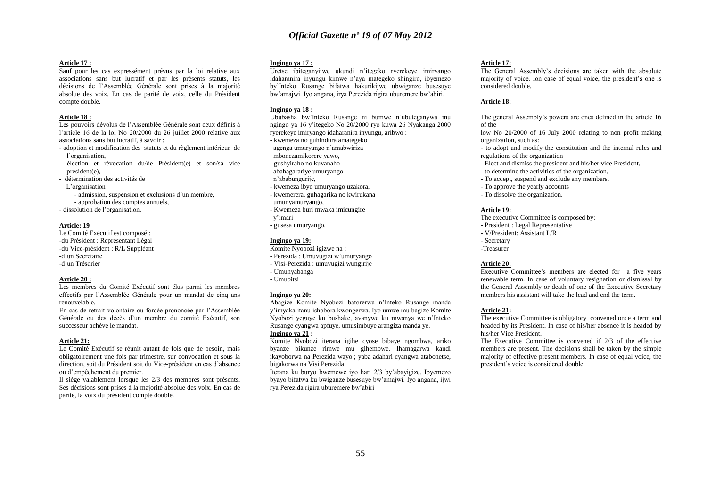#### **Article 17 :**

Sauf pour les cas expressément prévus par la loi relative aux associations sans but lucratif et par les présents statuts, les décisions de l'Assemblée Générale sont prises à la majorité absolue des voix. En cas de parité de voix, celle du Président compte double.

#### **Article 18 :**

Les pouvoirs dévolus de l'Assemblée Générale sont ceux définis à l'article 16 de la loi No 20/2000 du 26 juillet 2000 relative aux associations sans but lucratif, à savoir :

- adoption et modification des statuts et du règlement intérieur de l'organisation,
- élection et révocation du/de Président(e) et son/sa vice président(e),
- détermination des activités de

L'organisation

- admission, suspension et exclusions d'un membre,

- approbation des comptes annuels,

- dissolution de l'organisation.

#### **Article: 19**

Le Comité Exécutif est composé : -du Président : Représentant Légal -du Vice-président : R/L Suppléant -d'un Secrétaire -d'un Trésorier

#### **Article 20 :**

Les membres du Comité Exécutif sont élus parmi les membres effectifs par l'Assemblée Générale pour un mandat de cinq ans renouvelable.

En cas de retrait volontaire ou forcée prononcée par l'Assemblée Générale ou des décès d'un membre du comité Exécutif, son successeur achève le mandat.

#### **Article 21:**

Le Comité Exécutif se réunit autant de fois que de besoin, mais obligatoirement une fois par trimestre, sur convocation et sous la direction, soit du Président soit du Vice-président en cas d'absence ou d'empêchement du premier.

Il siège valablement lorsque les 2/3 des membres sont présents. Ses décisions sont prises à la majorité absolue des voix. En cas de parité, la voix du président compte double.

#### **Ingingo ya 17 :**

Uretse ibiteganyijwe ukundi n'itegeko ryerekeye imiryango idaharanira inyungu kimwe n'aya mategeko shingiro, ibyemezo by'Inteko Rusange bifatwa hakurikijwe ubwiganze busesuye bw'amajwi. Iyo angana, irya Perezida rigira uburemere bw'abiri.

#### **Ingingo ya 18 :**

Ububasha bw'Inteko Rusange ni bumwe n'ubuteganywa mu ngingo ya 16 y'itegeko No 20/2000 ryo kuwa 26 Nyakanga 2000 ryerekeye imiryango idaharanira inyungu, aribwo :

- kwemeza no guhindura amategeko

agenga umuryango n'amabwiriza

- mbonezamikorere yawo,
- gushyiraho no kuvanaho
- abahagarariye umuryango
- n'ababungurije,
- kwemeza ibyo umuryango uzakora,
- kwemerera, guhagarika no kwirukana
- umunyamuryango,
- Kwemeza buri mwaka imicungire
- y'imari
- gusesa umuryango.

#### **Ingingo ya 19:**

Komite Nyobozi igizwe na :

- Perezida : Umuvugizi w'umuryango
- Visi-Perezida : umuvugizi wungirije
- Umunyabanga
- Umubitsi

#### **Ingingo ya 20:**

Abagize Komite Nyobozi batorerwa n'Inteko Rusange manda y'imyaka itanu ishobora kwongerwa. Iyo umwe mu bagize Komite Nyobozi yeguye ku bushake, avanywe ku mwanya we n'Inteko Rusange cyangwa apfuye, umusimbuye arangiza manda ye. **Ingingo ya 21 :**

Komite Nyobozi iterana igihe cyose bibaye ngombwa, ariko byanze bikunze rimwe mu gihembwe. Ihamagarwa kandi ikayoborwa na Perezida wayo ; yaba adahari cyangwa atabonetse, bigakorwa na Visi Perezida.

Iterana ku buryo bwemewe iyo hari 2/3 by'abayigize. Ibyemezo byayo bifatwa ku bwiganze busesuye bw'amajwi. Iyo angana, ijwi rya Perezida rigira uburemere bw'abiri

### **Article 17:**

The General Assembly's decisions are taken with the absolute majority of voice. Ion case of equal voice, the president's one is considered double.

#### **Article 18:**

The general Assembly's powers are ones defined in the article 16 of the

low No 20/2000 of 16 July 2000 relating to non profit making organization, such as:

- to adopt and modify the constitution and the internal rules and regulations of the organization

- Elect and dismiss the president and his/her vice President,
- to determine the activities of the organization,
- To accept, suspend and exclude any members,
- To approve the yearly accounts
- To dissolve the organization.

#### **Article 19:**

- The executive Committee is composed by:
- President : Legal Representative
- V/President: Assistant L/R
- Secretary
- -Treasurer

### **Article 20:**

Executive Committee's members are elected for a five years renewable term. In case of voluntary resignation or dismissal by the General Assembly or death of one of the Executive Secretary members his assistant will take the lead and end the term.

### **Article 21:**

The executive Committee is obligatory convened once a term and headed by its President. In case of his/her absence it is headed by his/her Vice President.

The Executive Committee is convened if 2/3 of the effective members are present. The decisions shall be taken by the simple majority of effective present members. In case of equal voice, the president's voice is considered double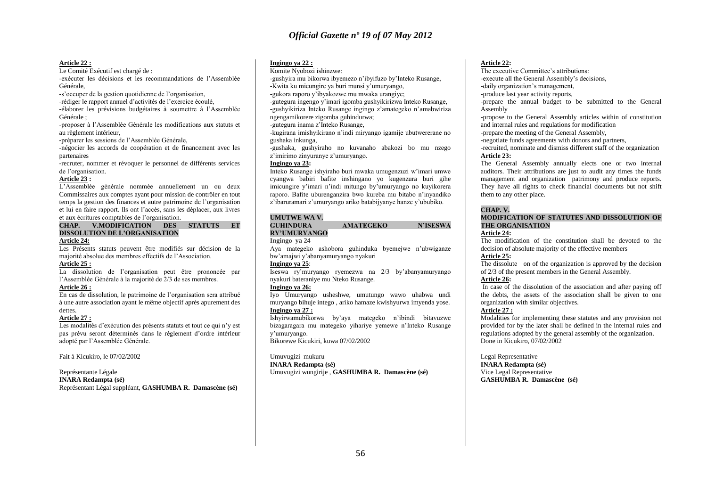#### **Article 22 :**

Le Comité Exécutif est chargé de :

-exécuter les décisions et les recommandations de l'Assemblée Générale,

-s'occuper de la gestion quotidienne de l'organisation,

-rédiger le rapport annuel d'activités de l'exercice écoulé,

-élaborer les prévisions budgétaires à soumettre à l'Assemblée Générale ;

-proposer à l'Assemblée Générale les modifications aux statuts et au règlement intérieur,

-préparer les sessions de l'Assemblée Générale,

-négocier les accords de coopération et de financement avec les partenaires

-recruter, nommer et révoquer le personnel de différents services de l'organisation.

#### **Article 23 :**

L'Assemblée générale nommée annuellement un ou deux Commissaires aux comptes ayant pour mission de contrôler en tout temps la gestion des finances et autre patrimoine de l'organisation et lui en faire rapport. Ils ont l'accès, sans les déplacer, aux livres et aux écritures comptables de l'organisation.

### **CHAP. V.MODIFICATION DES STATUTS ET DISSOLUTION DE L'ORGANISATION**

### **Article 24:**

Les Présents statuts peuvent être modifiés sur décision de la majorité absolue des membres effectifs de l'Association.

### **Article 25 :**

La dissolution de l'organisation peut être prononcée par l'Assemblée Générale à la majorité de 2/3 de ses membres.

### **Article 26 :**

En cas de dissolution, le patrimoine de l'organisation sera attribué à une autre association ayant le même objectif après apurement des dettes.

#### **Article 27 :**

Les modalités d'exécution des présents statuts et tout ce qui n'y est pas prévu seront déterminés dans le règlement d'ordre intérieur adopté par l'Assemblée Générale.

Fait à Kicukiro, le 07/02/2002

Représentante Légale **INARA Redampta (sé)** Représentant Légal suppléant, **GASHUMBA R. Damascène (sé)**

#### **Ingingo ya 22 :**

Komite Nyobozi ishinzwe:

-gushyira mu bikorwa ibyemezo n'ibyifuzo by'Inteko Rusange,

-Kwita ku micungire ya buri munsi y'umuryango,

-gukora raporo y'ibyakozwe mu mwaka urangiye;

-gutegura ingengo y'imari igomba gushyikirizwa Inteko Rusange, -gushyikiriza Inteko Rusange ingingo z'amategeko n'amabwiriza

ngengamikorere zigomba guhindurwa;

-gutegura inama z'Inteko Rusange,

-kugirana imishyikirano n'indi miryango igamije ubutwererane no gushaka inkunga,

-gushaka, gushyiraho no kuvanaho abakozi bo mu nzego z'imirimo zinyuranye z'umuryango.

#### **Ingingo ya 23:**

Inteko Rusange ishyiraho buri mwaka umugenzuzi w'imari umwe cyangwa babiri bafite inshingano yo kugenzura buri gihe imicungire y'imari n'indi mitungo by'umuryango no kuyikorera raporo. Bafite uburenganzira bwo kureba mu bitabo n'inyandiko z'ibaruramari z'umuryango ariko batabijyanye hanze y'ububiko.

#### **UMUTWE WA V.**

#### **GUHINDURA AMATEGEKO N'ISESWA RY'UMURYANGO**

#### **Ingingo ya 24**

Aya mategeko ashobora guhinduka byemejwe n'ubwiganze bw'amajwi y'abanyamuryango nyakuri

### **Ingingo ya 25**:

Iseswa ry'muryango ryemezwa na 2/3 by'abanyamuryango nyakuri bateraniye mu Nteko Rusange.

### **Ingingo ya 26:**

Iyo Umuryango usheshwe, umutungo wawo uhabwa undi muryango bihuje intego , ariko hamaze kwishyurwa imyenda yose. **Ingingo ya 27 :**

Ishyirwamubikorwa by'aya mategeko n'ibindi bitavuzwe bizagaragara mu mategeko yihariye yemewe n'Inteko Rusange y'umuryango.

Bikorewe Kicukiri, kuwa 07/02/2002

#### Umuvugizi mukuru

#### **INARA Redampta (sé)**

Umuvugizi wungirije , **GASHUMBA R. Damascène (sé)**

### **Article 22:**

The executive Committee's attributions: -execute all the General Assembly's decisions,

-daily organization's management,

-produce last year activity reports,

-prepare the annual budget to be submitted to the General Assembly

-propose to the General Assembly articles within of constitution and internal rules and regulations for modification

-prepare the meeting of the General Assembly,

-negotiate funds agreements with donors and partners,

-recruited, nominate and dismiss different staff of the organization **Article 23:**

The General Assembly annually elects one or two internal auditors. Their attributions are just to audit any times the funds management and organization patrimony and produce reports. They have all rights to check financial documents but not shift them to any other place.

#### **CHAP. V.**

### **MODIFICATION OF STATUTES AND DISSOLUTION OF THE ORGANISATION**

### **Article 24:**

The modification of the constitution shall be devoted to the decision of absolute majority of the effective members

#### **Article 25:**

The dissolute on of the organization is approved by the decision of 2/3 of the present members in the General Assembly.

#### **Article 26:**

In case of the dissolution of the association and after paying off the debts, the assets of the association shall be given to one organization with similar objectives.

### **Article 27 :**

Modalities for implementing these statutes and any provision not provided for by the later shall be defined in the internal rules and regulations adopted by the general assembly of the organization. Done in Kicukiro, 07/02/2002

#### Legal Representative

**INARA Redampta (sé)** Vice Legal Representative **GASHUMBA R. Damascène (sé)**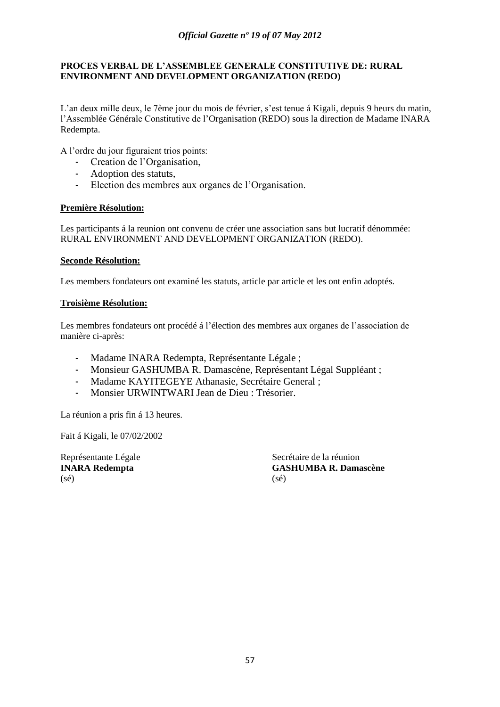### **PROCES VERBAL DE L'ASSEMBLEE GENERALE CONSTITUTIVE DE: RURAL ENVIRONMENT AND DEVELOPMENT ORGANIZATION (REDO)**

L'an deux mille deux, le 7ème jour du mois de février, s'est tenue á Kigali, depuis 9 heurs du matin, l'Assemblée Générale Constitutive de l'Organisation (REDO) sous la direction de Madame INARA Redempta.

A l'ordre du jour figuraient trios points:

- Creation de l'Organisation,
- Adoption des statuts,
- Election des membres aux organes de l'Organisation.

### **Première Résolution:**

Les participants á la reunion ont convenu de créer une association sans but lucratif dénommée: RURAL ENVIRONMENT AND DEVELOPMENT ORGANIZATION (REDO).

### **Seconde Résolution:**

Les members fondateurs ont examiné les statuts, article par article et les ont enfin adoptés.

### **Troisième Résolution:**

Les membres fondateurs ont procédé á l'élection des membres aux organes de l'association de manière ci-après:

- Madame INARA Redempta, Représentante Légale ;
- Monsieur GASHUMBA R. Damascène, Représentant Légal Suppléant ;
- Madame KAYITEGEYE Athanasie, Secrétaire General ;
- Monsier URWINTWARI Jean de Dieu : Trésorier.

La réunion a pris fin á 13 heures.

Fait á Kigali, le 07/02/2002

 $(s\acute{e})$  (sé)

Représentante Légale Secrétaire de la réunion **INARA Redempta GASHUMBA R. Damascène**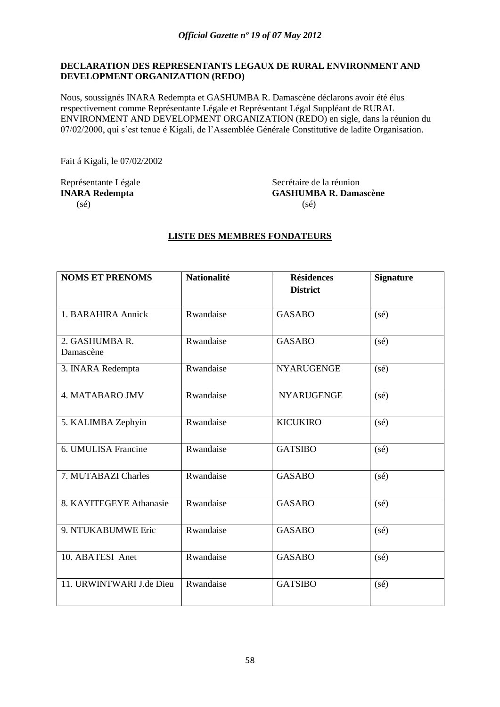### **DECLARATION DES REPRESENTANTS LEGAUX DE RURAL ENVIRONMENT AND DEVELOPMENT ORGANIZATION (REDO)**

Nous, soussignés INARA Redempta et GASHUMBA R. Damascène déclarons avoir été élus respectivement comme Représentante Légale et Représentant Légal Suppléant de RURAL ENVIRONMENT AND DEVELOPMENT ORGANIZATION (REDO) en sigle, dans la réunion du 07/02/2000, qui s'est tenue é Kigali, de l'Assemblée Générale Constitutive de ladite Organisation.

Fait á Kigali, le 07/02/2002

# Représentante Légale Secrétaire de la réunion

# **INARA Redempta GASHUMBA R. Damascène**  $(s\acute{e})$  (sé)

### **LISTE DES MEMBRES FONDATEURS**

| <b>NOMS ET PRENOMS</b>      | <b>Nationalité</b> | <b>Résidences</b><br><b>District</b> | <b>Signature</b> |
|-----------------------------|--------------------|--------------------------------------|------------------|
| 1. BARAHIRA Annick          | Rwandaise          | <b>GASABO</b>                        | (sé)             |
| 2. GASHUMBA R.<br>Damascène | Rwandaise          | <b>GASABO</b>                        | (sé)             |
| 3. INARA Redempta           | Rwandaise          | <b>NYARUGENGE</b>                    | $(s\acute{e})$   |
| <b>4. MATABARO JMV</b>      | Rwandaise          | <b>NYARUGENGE</b>                    | (sé)             |
| 5. KALIMBA Zephyin          | Rwandaise          | <b>KICUKIRO</b>                      | $(s\acute{e})$   |
| 6. UMULISA Francine         | Rwandaise          | <b>GATSIBO</b>                       | (sé)             |
| 7. MUTABAZI Charles         | Rwandaise          | <b>GASABO</b>                        | (sé)             |
| 8. KAYITEGEYE Athanasie     | Rwandaise          | <b>GASABO</b>                        | (sé)             |
| 9. NTUKABUMWE Eric          | Rwandaise          | <b>GASABO</b>                        | (sé)             |
| 10. ABATESI Anet            | Rwandaise          | <b>GASABO</b>                        | (sé)             |
| 11. URWINTWARI J.de Dieu    | Rwandaise          | <b>GATSIBO</b>                       | (sé)             |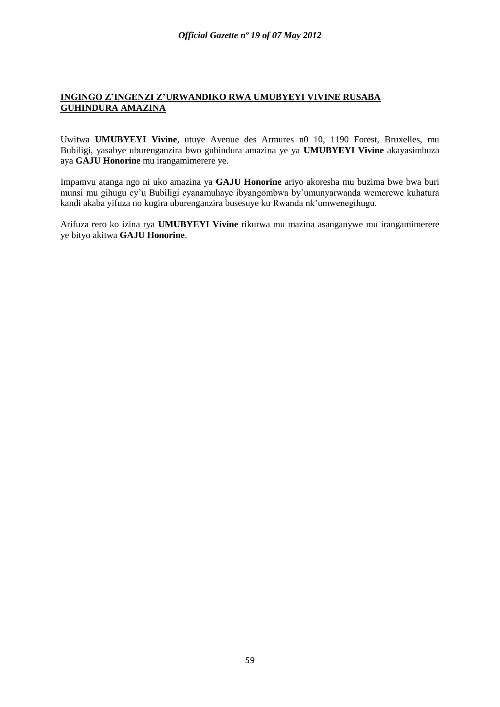## **INGINGO Z'INGENZI Z'URWANDIKO RWA UMUBYEYI VIVINE RUSABA GUHINDURA AMAZINA**

Uwitwa **UMUBYEYI Vivine**, utuye Avenue des Armures n0 10, 1190 Forest, Bruxelles, mu Bubiligi, yasabye uburenganzira bwo guhindura amazina ye ya **UMUBYEYI Vivine** akayasimbuza aya **GAJU Honorine** mu irangamimerere ye.

Impamvu atanga ngo ni uko amazina ya **GAJU Honorine** ariyo akoresha mu buzima bwe bwa buri munsi mu gihugu cy'u Bubiligi cyanamuhaye ibyangombwa by'umunyarwanda wemerewe kuhatura kandi akaba yifuza no kugira uburenganzira busesuye ku Rwanda nk'umwenegihugu.

Arifuza rero ko izina rya **UMUBYEYI Vivine** rikurwa mu mazina asanganywe mu irangamimerere ye bityo akitwa **GAJU Honorine**.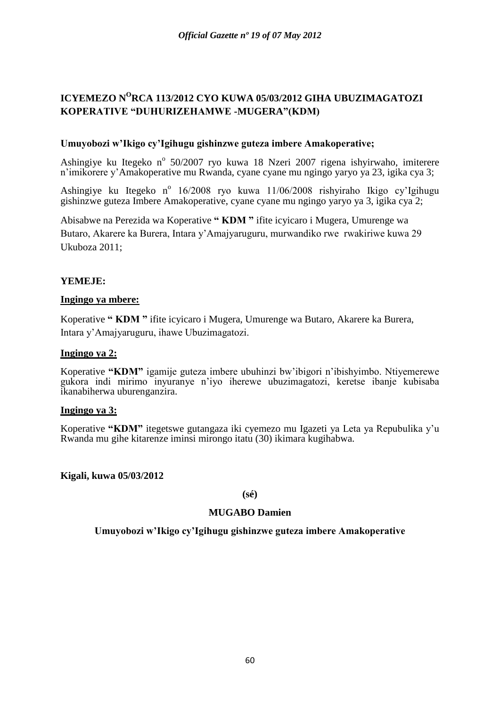## **ICYEMEZO N<sup>O</sup>RCA 113/2012 CYO KUWA 05/03/2012 GIHA UBUZIMAGATOZI KOPERATIVE "DUHURIZEHAMWE -MUGERA"(KDM)**

## **Umuyobozi w'Ikigo cy'Igihugu gishinzwe guteza imbere Amakoperative;**

Ashingiye ku Itegeko nº 50/2007 ryo kuwa 18 Nzeri 2007 rigena ishyirwaho, imiterere n'imikorere y'Amakoperative mu Rwanda, cyane cyane mu ngingo yaryo ya 23, igika cya 3;

Ashingiye ku Itegeko nº 16/2008 ryo kuwa 11/06/2008 rishyiraho Ikigo cy'Igihugu gishinzwe guteza Imbere Amakoperative, cyane cyane mu ngingo yaryo ya 3, igika cya 2;

Abisabwe na Perezida wa Koperative **" KDM "** ifite icyicaro i Mugera, Umurenge wa Butaro, Akarere ka Burera, Intara y'Amajyaruguru, murwandiko rwe rwakiriwe kuwa 29 Ukuboza 2011;

## **YEMEJE:**

### **Ingingo ya mbere:**

Koperative **" KDM "** ifite icyicaro i Mugera, Umurenge wa Butaro, Akarere ka Burera, Intara y'Amajyaruguru, ihawe Ubuzimagatozi.

### **Ingingo ya 2:**

Koperative **"KDM"** igamije guteza imbere ubuhinzi bw'ibigori n'ibishyimbo. Ntiyemerewe gukora indi mirimo inyuranye n'iyo iherewe ubuzimagatozi, keretse ibanje kubisaba ikanabiherwa uburenganzira.

### **Ingingo ya 3:**

Koperative **"KDM"** itegetswe gutangaza iki cyemezo mu Igazeti ya Leta ya Repubulika y'u Rwanda mu gihe kitarenze iminsi mirongo itatu (30) ikimara kugihabwa.

### **Kigali, kuwa 05/03/2012**

### **(sé)**

### **MUGABO Damien**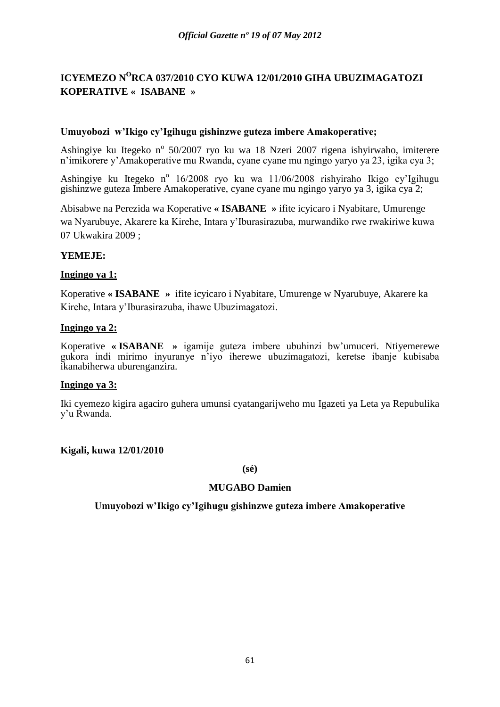## **ICYEMEZO N<sup>O</sup>RCA 037/2010 CYO KUWA 12/01/2010 GIHA UBUZIMAGATOZI KOPERATIVE « ISABANE »**

### **Umuyobozi w'Ikigo cy'Igihugu gishinzwe guteza imbere Amakoperative;**

Ashingiye ku Itegeko nº 50/2007 ryo ku wa 18 Nzeri 2007 rigena ishyirwaho, imiterere n'imikorere y'Amakoperative mu Rwanda, cyane cyane mu ngingo yaryo ya 23, igika cya 3;

Ashingiye ku Itegeko nº 16/2008 ryo ku wa 11/06/2008 rishyiraho Ikigo cy'Igihugu gishinzwe guteza Imbere Amakoperative, cyane cyane mu ngingo yaryo ya 3, igika cya 2;

Abisabwe na Perezida wa Koperative **« ISABANE »** ifite icyicaro i Nyabitare, Umurenge wa Nyarubuye, Akarere ka Kirehe, Intara y'Iburasirazuba, murwandiko rwe rwakiriwe kuwa 07 Ukwakira 2009 ;

## **YEMEJE:**

### **Ingingo ya 1:**

Koperative **« ISABANE »** ifite icyicaro i Nyabitare, Umurenge w Nyarubuye, Akarere ka Kirehe, Intara y'Iburasirazuba, ihawe Ubuzimagatozi.

### **Ingingo ya 2:**

Koperative **« ISABANE »** igamije guteza imbere ubuhinzi bw'umuceri. Ntiyemerewe gukora indi mirimo inyuranye n'iyo iherewe ubuzimagatozi, keretse ibanje kubisaba ikanabiherwa uburenganzira.

### **Ingingo ya 3:**

Iki cyemezo kigira agaciro guhera umunsi cyatangarijweho mu Igazeti ya Leta ya Repubulika y'u Rwanda.

### **Kigali, kuwa 12/01/2010**

**(sé)**

## **MUGABO Damien**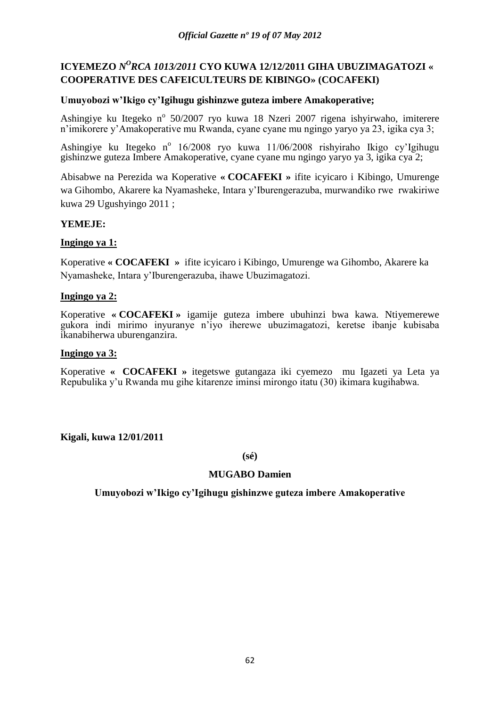## **ICYEMEZO** *N <sup>O</sup>RCA 1013/2011* **CYO KUWA 12/12/2011 GIHA UBUZIMAGATOZI « COOPERATIVE DES CAFEICULTEURS DE KIBINGO» (COCAFEKI)**

## **Umuyobozi w'Ikigo cy'Igihugu gishinzwe guteza imbere Amakoperative;**

Ashingiye ku Itegeko nº 50/2007 ryo kuwa 18 Nzeri 2007 rigena ishyirwaho, imiterere n'imikorere y'Amakoperative mu Rwanda, cyane cyane mu ngingo yaryo ya 23, igika cya 3;

Ashingiye ku Itegeko nº 16/2008 ryo kuwa 11/06/2008 rishyiraho Ikigo cy'Igihugu gishinzwe guteza Imbere Amakoperative, cyane cyane mu ngingo yaryo ya 3, igika cya 2;

Abisabwe na Perezida wa Koperative **« COCAFEKI »** ifite icyicaro i Kibingo, Umurenge wa Gihombo, Akarere ka Nyamasheke, Intara y'Iburengerazuba, murwandiko rwe rwakiriwe kuwa 29 Ugushyingo 2011 ;

### **YEMEJE:**

## **Ingingo ya 1:**

Koperative **« COCAFEKI »** ifite icyicaro i Kibingo, Umurenge wa Gihombo, Akarere ka Nyamasheke, Intara y'Iburengerazuba, ihawe Ubuzimagatozi.

### **Ingingo ya 2:**

Koperative **« COCAFEKI »** igamije guteza imbere ubuhinzi bwa kawa. Ntiyemerewe gukora indi mirimo inyuranye n'iyo iherewe ubuzimagatozi, keretse ibanje kubisaba ikanabiherwa uburenganzira.

### **Ingingo ya 3:**

Koperative **« COCAFEKI »** itegetswe gutangaza iki cyemezo mu Igazeti ya Leta ya Repubulika y'u Rwanda mu gihe kitarenze iminsi mirongo itatu (30) ikimara kugihabwa.

### **Kigali, kuwa 12/01/2011**

**(sé)**

### **MUGABO Damien**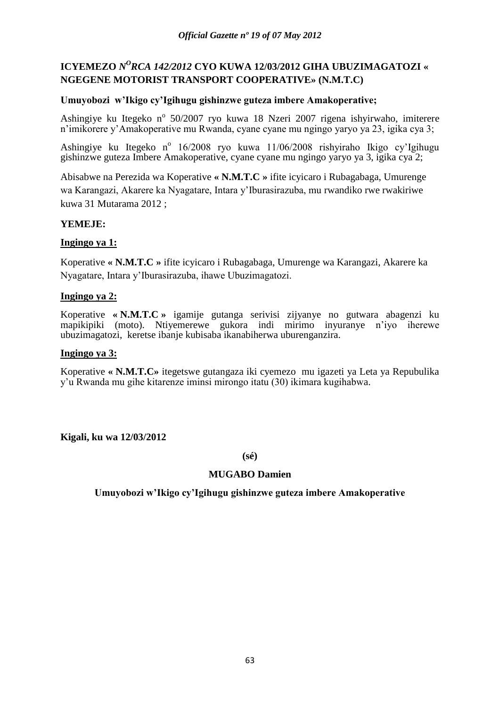## **ICYEMEZO** *N <sup>O</sup>RCA 142/2012* **CYO KUWA 12/03/2012 GIHA UBUZIMAGATOZI « NGEGENE MOTORIST TRANSPORT COOPERATIVE» (N.M.T.C)**

## **Umuyobozi w'Ikigo cy'Igihugu gishinzwe guteza imbere Amakoperative;**

Ashingiye ku Itegeko nº 50/2007 ryo kuwa 18 Nzeri 2007 rigena ishyirwaho, imiterere n'imikorere y'Amakoperative mu Rwanda, cyane cyane mu ngingo yaryo ya 23, igika cya 3;

Ashingiye ku Itegeko nº 16/2008 ryo kuwa 11/06/2008 rishyiraho Ikigo cy'Igihugu gishinzwe guteza Imbere Amakoperative, cyane cyane mu ngingo yaryo ya 3, igika cya 2;

Abisabwe na Perezida wa Koperative **« N.M.T.C »** ifite icyicaro i Rubagabaga, Umurenge wa Karangazi, Akarere ka Nyagatare, Intara y'Iburasirazuba, mu rwandiko rwe rwakiriwe kuwa 31 Mutarama 2012 ;

## **YEMEJE:**

## **Ingingo ya 1:**

Koperative **« N.M.T.C »** ifite icyicaro i Rubagabaga, Umurenge wa Karangazi, Akarere ka Nyagatare, Intara y'Iburasirazuba, ihawe Ubuzimagatozi.

## **Ingingo ya 2:**

Koperative **« N.M.T.C »** igamije gutanga serivisi zijyanye no gutwara abagenzi ku mapikipiki (moto). Ntiyemerewe gukora indi mirimo inyuranye n'iyo iherewe ubuzimagatozi, keretse ibanje kubisaba ikanabiherwa uburenganzira.

### **Ingingo ya 3:**

Koperative **« N.M.T.C»** itegetswe gutangaza iki cyemezo mu igazeti ya Leta ya Repubulika y'u Rwanda mu gihe kitarenze iminsi mirongo itatu (30) ikimara kugihabwa.

### **Kigali, ku wa 12/03/2012**

**(sé)**

### **MUGABO Damien**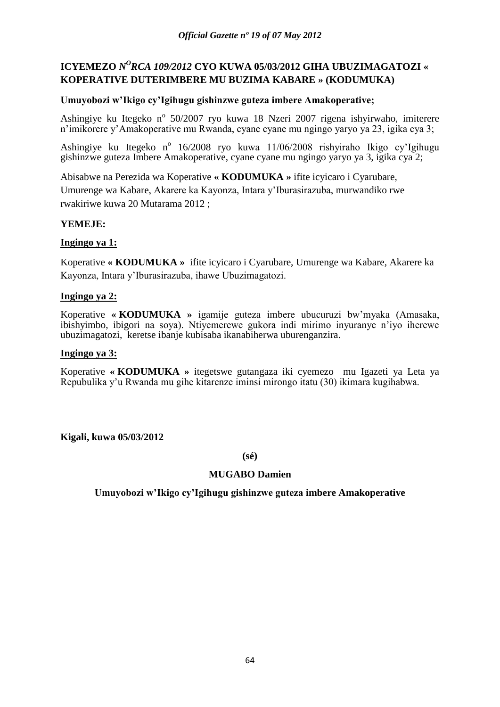## **ICYEMEZO** *N <sup>O</sup>RCA 109/2012* **CYO KUWA 05/03/2012 GIHA UBUZIMAGATOZI « KOPERATIVE DUTERIMBERE MU BUZIMA KABARE » (KODUMUKA)**

## **Umuyobozi w'Ikigo cy'Igihugu gishinzwe guteza imbere Amakoperative;**

Ashingiye ku Itegeko nº 50/2007 ryo kuwa 18 Nzeri 2007 rigena ishyirwaho, imiterere n'imikorere y'Amakoperative mu Rwanda, cyane cyane mu ngingo yaryo ya 23, igika cya 3;

Ashingiye ku Itegeko nº 16/2008 ryo kuwa 11/06/2008 rishyiraho Ikigo cy'Igihugu gishinzwe guteza Imbere Amakoperative, cyane cyane mu ngingo yaryo ya 3, igika cya 2;

Abisabwe na Perezida wa Koperative **« KODUMUKA »** ifite icyicaro i Cyarubare, Umurenge wa Kabare, Akarere ka Kayonza, Intara y'Iburasirazuba, murwandiko rwe rwakiriwe kuwa 20 Mutarama 2012 ;

## **YEMEJE:**

## **Ingingo ya 1:**

Koperative **« KODUMUKA »** ifite icyicaro i Cyarubare, Umurenge wa Kabare, Akarere ka Kayonza, Intara y'Iburasirazuba, ihawe Ubuzimagatozi.

### **Ingingo ya 2:**

Koperative **« KODUMUKA »** igamije guteza imbere ubucuruzi bw'myaka (Amasaka, ibishyimbo, ibigori na soya). Ntiyemerewe gukora indi mirimo inyuranye n'iyo iherewe ubuzimagatozi, keretse ibanje kubisaba ikanabiherwa uburenganzira.

### **Ingingo ya 3:**

Koperative **« KODUMUKA »** itegetswe gutangaza iki cyemezo mu Igazeti ya Leta ya Repubulika y'u Rwanda mu gihe kitarenze iminsi mirongo itatu (30) ikimara kugihabwa.

### **Kigali, kuwa 05/03/2012**

**(sé)**

### **MUGABO Damien**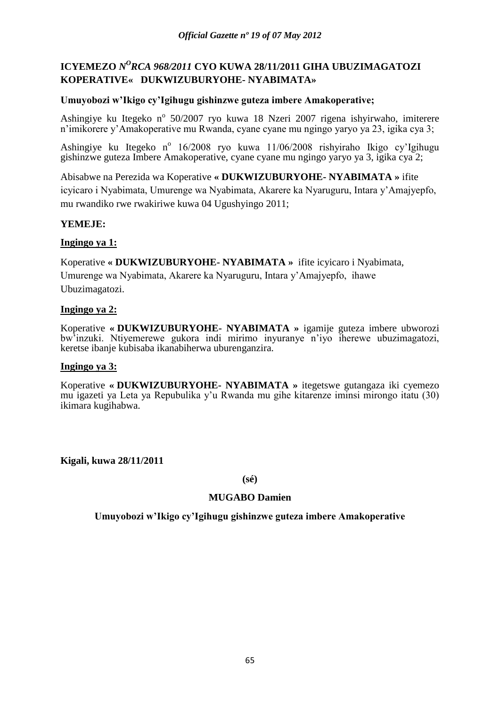## ICYEMEZO *N<sup>O</sup>RCA 968/2011* CYO KUWA 28/11/2011 GIHA UBUZIMAGATOZI **KOPERATIVE« DUKWIZUBURYOHE- NYABIMATA»**

## **Umuyobozi w'Ikigo cy'Igihugu gishinzwe guteza imbere Amakoperative;**

Ashingiye ku Itegeko nº 50/2007 ryo kuwa 18 Nzeri 2007 rigena ishyirwaho, imiterere n'imikorere y'Amakoperative mu Rwanda, cyane cyane mu ngingo yaryo ya 23, igika cya 3;

Ashingiye ku Itegeko nº 16/2008 ryo kuwa 11/06/2008 rishyiraho Ikigo cy'Igihugu gishinzwe guteza Imbere Amakoperative, cyane cyane mu ngingo yaryo ya 3, igika cya 2;

Abisabwe na Perezida wa Koperative **« DUKWIZUBURYOHE- NYABIMATA »** ifite icyicaro i Nyabimata, Umurenge wa Nyabimata, Akarere ka Nyaruguru, Intara y'Amajyepfo, mu rwandiko rwe rwakiriwe kuwa 04 Ugushyingo 2011;

## **YEMEJE:**

## **Ingingo ya 1:**

Koperative **« DUKWIZUBURYOHE- NYABIMATA »** ifite icyicaro i Nyabimata, Umurenge wa Nyabimata, Akarere ka Nyaruguru, Intara y'Amajyepfo, ihawe Ubuzimagatozi.

## **Ingingo ya 2:**

Koperative **« DUKWIZUBURYOHE- NYABIMATA »** igamije guteza imbere ubworozi bw'inzuki. Ntiyemerewe gukora indi mirimo inyuranye n'iyo iherewe ubuzimagatozi, keretse ibanje kubisaba ikanabiherwa uburenganzira.

### **Ingingo ya 3:**

Koperative **« DUKWIZUBURYOHE- NYABIMATA »** itegetswe gutangaza iki cyemezo mu igazeti ya Leta ya Repubulika y'u Rwanda mu gihe kitarenze iminsi mirongo itatu (30) ikimara kugihabwa.

**Kigali, kuwa 28/11/2011**

**(sé)**

### **MUGABO Damien**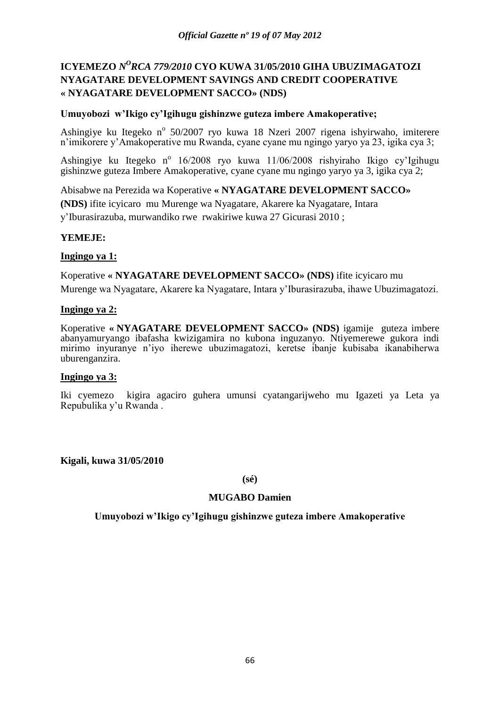## ICYEMEZO *N<sup>O</sup>RCA 779/2010* CYO KUWA 31/05/2010 GIHA UBUZIMAGATOZI **NYAGATARE DEVELOPMENT SAVINGS AND CREDIT COOPERATIVE « NYAGATARE DEVELOPMENT SACCO» (NDS)**

## **Umuyobozi w'Ikigo cy'Igihugu gishinzwe guteza imbere Amakoperative;**

Ashingiye ku Itegeko nº 50/2007 ryo kuwa 18 Nzeri 2007 rigena ishyirwaho, imiterere n'imikorere y'Amakoperative mu Rwanda, cyane cyane mu ngingo yaryo ya 23, igika cya 3;

Ashingiye ku Itegeko nº 16/2008 ryo kuwa 11/06/2008 rishyiraho Ikigo cy'Igihugu gishinzwe guteza Imbere Amakoperative, cyane cyane mu ngingo yaryo ya 3, igika cya 2;

Abisabwe na Perezida wa Koperative **« NYAGATARE DEVELOPMENT SACCO» (NDS)** ifite icyicaro mu Murenge wa Nyagatare, Akarere ka Nyagatare, Intara y'Iburasirazuba, murwandiko rwe rwakiriwe kuwa 27 Gicurasi 2010 ;

## **YEMEJE:**

## **Ingingo ya 1:**

Koperative **« NYAGATARE DEVELOPMENT SACCO» (NDS)** ifite icyicaro mu Murenge wa Nyagatare, Akarere ka Nyagatare, Intara y'Iburasirazuba, ihawe Ubuzimagatozi.

### **Ingingo ya 2:**

Koperative **« NYAGATARE DEVELOPMENT SACCO» (NDS)** igamije guteza imbere abanyamuryango ibafasha kwizigamira no kubona inguzanyo. Ntiyemerewe gukora indi mirimo inyuranye n'iyo iherewe ubuzimagatozi, keretse ibanje kubisaba ikanabiherwa uburenganzira.

### **Ingingo ya 3:**

Iki cyemezo kigira agaciro guhera umunsi cyatangarijweho mu Igazeti ya Leta ya Repubulika y'u Rwanda .

**Kigali, kuwa 31/05/2010**

**(sé)**

### **MUGABO Damien**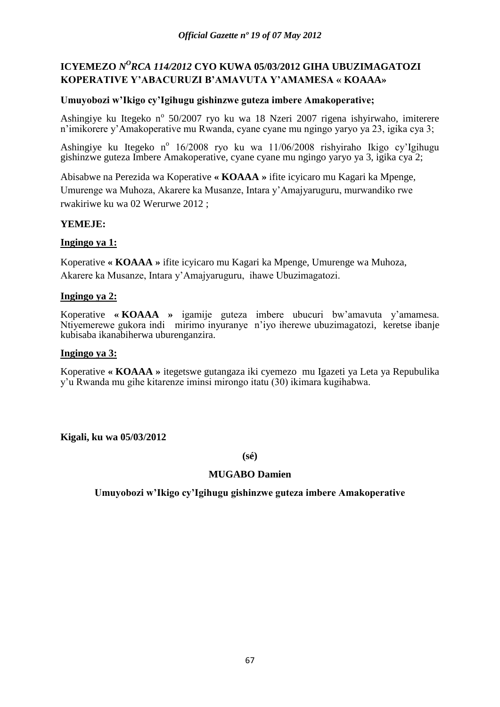## ICYEMEZO *N<sup>O</sup>RCA 114/2012* CYO KUWA 05/03/2012 GIHA UBUZIMAGATOZI **KOPERATIVE Y'ABACURUZI B'AMAVUTA Y'AMAMESA « KOAAA»**

## **Umuyobozi w'Ikigo cy'Igihugu gishinzwe guteza imbere Amakoperative;**

Ashingiye ku Itegeko nº 50/2007 ryo ku wa 18 Nzeri 2007 rigena ishyirwaho, imiterere n'imikorere y'Amakoperative mu Rwanda, cyane cyane mu ngingo yaryo ya 23, igika cya 3;

Ashingiye ku Itegeko nº 16/2008 ryo ku wa 11/06/2008 rishyiraho Ikigo cy'Igihugu gishinzwe guteza Imbere Amakoperative, cyane cyane mu ngingo yaryo ya 3, igika cya 2;

Abisabwe na Perezida wa Koperative **« KOAAA »** ifite icyicaro mu Kagari ka Mpenge, Umurenge wa Muhoza, Akarere ka Musanze, Intara y'Amajyaruguru, murwandiko rwe rwakiriwe ku wa 02 Werurwe 2012 ;

## **YEMEJE:**

## **Ingingo ya 1:**

Koperative **« KOAAA »** ifite icyicaro mu Kagari ka Mpenge, Umurenge wa Muhoza, Akarere ka Musanze, Intara y'Amajyaruguru, ihawe Ubuzimagatozi.

### **Ingingo ya 2:**

Koperative **« KOAAA »** igamije guteza imbere ubucuri bw'amavuta y'amamesa. Ntiyemerewe gukora indi mirimo inyuranye n'iyo iherewe ubuzimagatozi, keretse ibanje kubisaba ikanabiherwa uburenganzira.

### **Ingingo ya 3:**

Koperative **« KOAAA »** itegetswe gutangaza iki cyemezo mu Igazeti ya Leta ya Repubulika y'u Rwanda mu gihe kitarenze iminsi mirongo itatu (30) ikimara kugihabwa.

### **Kigali, ku wa 05/03/2012**

**(sé)**

### **MUGABO Damien**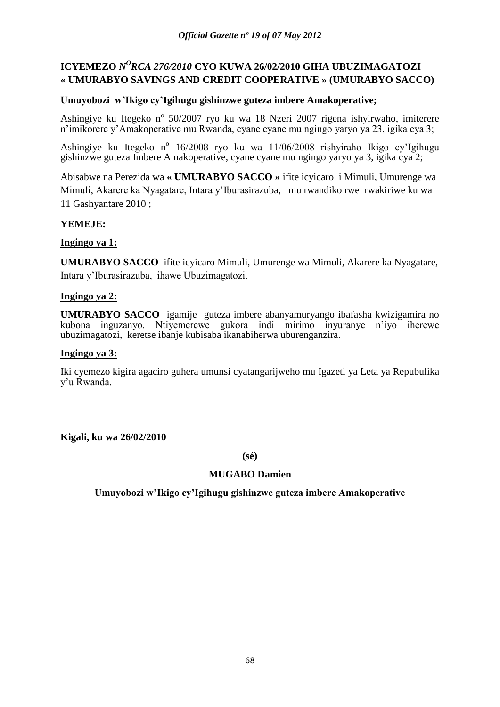## ICYEMEZO *N<sup>O</sup>RCA 276/2010* CYO KUWA 26/02/2010 GIHA UBUZIMAGATOZI **« UMURABYO SAVINGS AND CREDIT COOPERATIVE » (UMURABYO SACCO)**

## **Umuyobozi w'Ikigo cy'Igihugu gishinzwe guteza imbere Amakoperative;**

Ashingiye ku Itegeko nº 50/2007 ryo ku wa 18 Nzeri 2007 rigena ishyirwaho, imiterere n'imikorere y'Amakoperative mu Rwanda, cyane cyane mu ngingo yaryo ya 23, igika cya 3;

Ashingiye ku Itegeko nº 16/2008 ryo ku wa 11/06/2008 rishyiraho Ikigo cy'Igihugu gishinzwe guteza Imbere Amakoperative, cyane cyane mu ngingo yaryo ya 3, igika cya 2;

Abisabwe na Perezida wa **« UMURABYO SACCO »** ifite icyicaro i Mimuli, Umurenge wa Mimuli, Akarere ka Nyagatare, Intara y'Iburasirazuba, mu rwandiko rwe rwakiriwe ku wa 11 Gashyantare 2010 ;

## **YEMEJE:**

## **Ingingo ya 1:**

**UMURABYO SACCO** ifite icyicaro Mimuli, Umurenge wa Mimuli, Akarere ka Nyagatare, Intara y'Iburasirazuba, ihawe Ubuzimagatozi.

### **Ingingo ya 2:**

**UMURABYO SACCO** igamije guteza imbere abanyamuryango ibafasha kwizigamira no kubona inguzanyo. Ntiyemerewe gukora indi mirimo inyuranye n'iyo iherewe ubuzimagatozi, keretse ibanje kubisaba ikanabiherwa uburenganzira.

### **Ingingo ya 3:**

Iki cyemezo kigira agaciro guhera umunsi cyatangarijweho mu Igazeti ya Leta ya Repubulika y'u Rwanda.

### **Kigali, ku wa 26/02/2010**

**(sé)**

### **MUGABO Damien**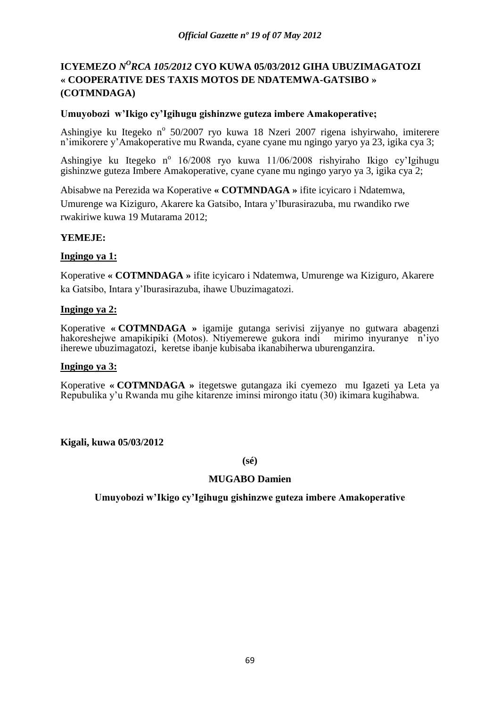## ICYEMEZO *N<sup>O</sup>RCA 105/2012* CYO KUWA 05/03/2012 GIHA UBUZIMAGATOZI **« COOPERATIVE DES TAXIS MOTOS DE NDATEMWA-GATSIBO » (COTMNDAGA)**

## **Umuyobozi w'Ikigo cy'Igihugu gishinzwe guteza imbere Amakoperative;**

Ashingiye ku Itegeko nº 50/2007 ryo kuwa 18 Nzeri 2007 rigena ishyirwaho, imiterere n'imikorere y'Amakoperative mu Rwanda, cyane cyane mu ngingo yaryo ya 23, igika cya 3;

Ashingiye ku Itegeko nº 16/2008 ryo kuwa 11/06/2008 rishyiraho Ikigo cy'Igihugu gishinzwe guteza Imbere Amakoperative, cyane cyane mu ngingo yaryo ya 3, igika cya 2;

Abisabwe na Perezida wa Koperative **« COTMNDAGA »** ifite icyicaro i Ndatemwa, Umurenge wa Kiziguro, Akarere ka Gatsibo, Intara y'Iburasirazuba, mu rwandiko rwe rwakiriwe kuwa 19 Mutarama 2012;

## **YEMEJE:**

## **Ingingo ya 1:**

Koperative **« COTMNDAGA »** ifite icyicaro i Ndatemwa, Umurenge wa Kiziguro, Akarere ka Gatsibo, Intara y'Iburasirazuba, ihawe Ubuzimagatozi.

### **Ingingo ya 2:**

Koperative **« COTMNDAGA »** igamije gutanga serivisi zijyanye no gutwara abagenzi hakoreshejwe amapikipiki (Motos). Ntiyemerewe gukora indi mirimo inyuranye n'iyo iherewe ubuzimagatozi, keretse ibanje kubisaba ikanabiherwa uburenganzira.

### **Ingingo ya 3:**

Koperative **« COTMNDAGA »** itegetswe gutangaza iki cyemezo mu Igazeti ya Leta ya Repubulika y'u Rwanda mu gihe kitarenze iminsi mirongo itatu (30) ikimara kugihabwa.

**Kigali, kuwa 05/03/2012**

**(sé)**

### **MUGABO Damien**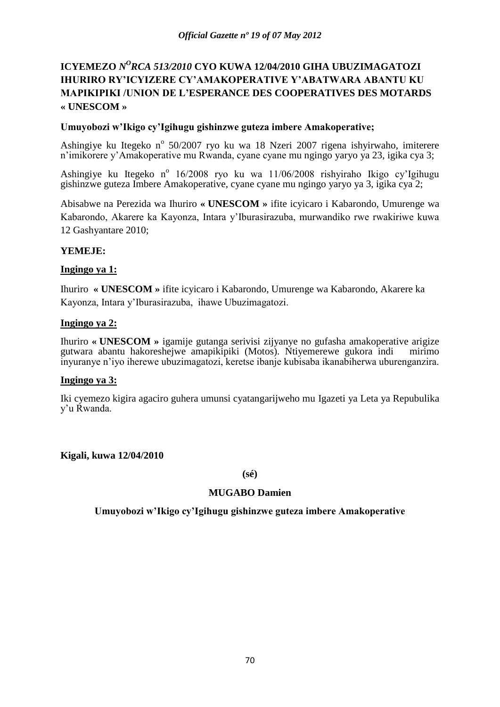## ICYEMEZO *N<sup>O</sup>RCA 513/2010* CYO KUWA 12/04/2010 GIHA UBUZIMAGATOZI **IHURIRO RY'ICYIZERE CY'AMAKOPERATIVE Y'ABATWARA ABANTU KU MAPIKIPIKI /UNION DE L'ESPERANCE DES COOPERATIVES DES MOTARDS « UNESCOM »**

### **Umuyobozi w'Ikigo cy'Igihugu gishinzwe guteza imbere Amakoperative;**

Ashingiye ku Itegeko n<sup>o</sup> 50/2007 ryo ku wa 18 Nzeri 2007 rigena ishyirwaho, imiterere n'imikorere y'Amakoperative mu Rwanda, cyane cyane mu ngingo yaryo ya 23, igika cya 3;

Ashingiye ku Itegeko nº 16/2008 ryo ku wa 11/06/2008 rishyiraho Ikigo cy'Igihugu gishinzwe guteza Imbere Amakoperative, cyane cyane mu ngingo yaryo ya 3, igika cya 2;

Abisabwe na Perezida wa Ihuriro **« UNESCOM »** ifite icyicaro i Kabarondo, Umurenge wa Kabarondo, Akarere ka Kayonza, Intara y'Iburasirazuba, murwandiko rwe rwakiriwe kuwa 12 Gashyantare 2010;

### **YEMEJE:**

### **Ingingo ya 1:**

Ihuriro **« UNESCOM »** ifite icyicaro i Kabarondo, Umurenge wa Kabarondo, Akarere ka Kayonza, Intara y'Iburasirazuba, ihawe Ubuzimagatozi.

### **Ingingo ya 2:**

Ihuriro **« UNESCOM »** igamije gutanga serivisi zijyanye no gufasha amakoperative arigize gutwara abantu hakoreshejwe amapikipiki (Motos). Ntiyemerewe gukora indi mirimo inyuranye n'iyo iherewe ubuzimagatozi, keretse ibanje kubisaba ikanabiherwa uburenganzira.

### **Ingingo ya 3:**

Iki cyemezo kigira agaciro guhera umunsi cyatangarijweho mu Igazeti ya Leta ya Repubulika y'u Rwanda.

**Kigali, kuwa 12/04/2010**

**(sé)**

### **MUGABO Damien**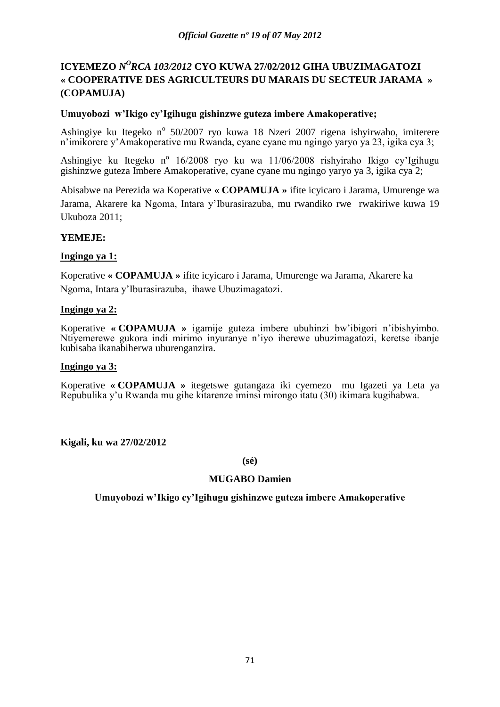## ICYEMEZO *N<sup>O</sup>RCA 103/2012* CYO KUWA 27/02/2012 GIHA UBUZIMAGATOZI **« COOPERATIVE DES AGRICULTEURS DU MARAIS DU SECTEUR JARAMA » (COPAMUJA)**

## **Umuyobozi w'Ikigo cy'Igihugu gishinzwe guteza imbere Amakoperative;**

Ashingiye ku Itegeko nº 50/2007 ryo kuwa 18 Nzeri 2007 rigena ishyirwaho, imiterere n'imikorere y'Amakoperative mu Rwanda, cyane cyane mu ngingo yaryo ya 23, igika cya 3;

Ashingiye ku Itegeko nº 16/2008 ryo ku wa 11/06/2008 rishyiraho Ikigo cy'Igihugu gishinzwe guteza Imbere Amakoperative, cyane cyane mu ngingo yaryo ya 3, igika cya 2;

Abisabwe na Perezida wa Koperative **« COPAMUJA »** ifite icyicaro i Jarama, Umurenge wa Jarama, Akarere ka Ngoma, Intara y'Iburasirazuba, mu rwandiko rwe rwakiriwe kuwa 19 Ukuboza 2011;

### **YEMEJE:**

## **Ingingo ya 1:**

Koperative **« COPAMUJA »** ifite icyicaro i Jarama, Umurenge wa Jarama, Akarere ka Ngoma, Intara y'Iburasirazuba, ihawe Ubuzimagatozi.

### **Ingingo ya 2:**

Koperative **« COPAMUJA »** igamije guteza imbere ubuhinzi bw'ibigori n'ibishyimbo. Ntiyemerewe gukora indi mirimo inyuranye n'iyo iherewe ubuzimagatozi, keretse ibanje kubisaba ikanabiherwa uburenganzira.

### **Ingingo ya 3:**

Koperative **« COPAMUJA »** itegetswe gutangaza iki cyemezo mu Igazeti ya Leta ya Repubulika y'u Rwanda mu gihe kitarenze iminsi mirongo itatu (30) ikimara kugihabwa.

**Kigali, ku wa 27/02/2012**

**(sé)**

### **MUGABO Damien**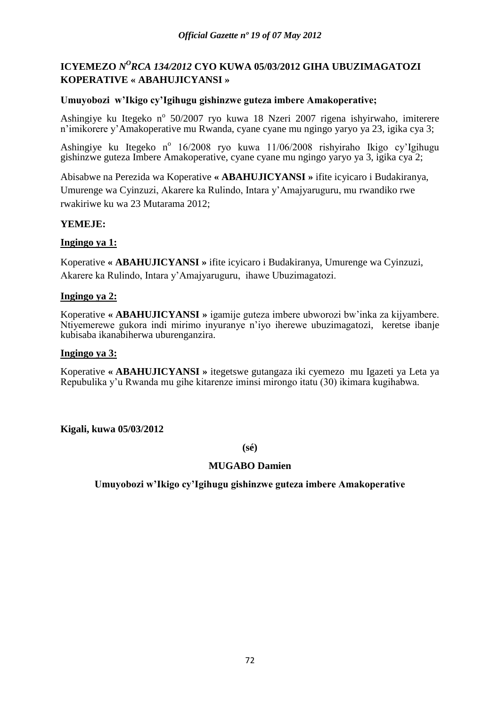## ICYEMEZO *N<sup>O</sup>RCA 134/2012* CYO KUWA 05/03/2012 GIHA UBUZIMAGATOZI **KOPERATIVE « ABAHUJICYANSI »**

## **Umuyobozi w'Ikigo cy'Igihugu gishinzwe guteza imbere Amakoperative;**

Ashingiye ku Itegeko nº 50/2007 ryo kuwa 18 Nzeri 2007 rigena ishyirwaho, imiterere n'imikorere y'Amakoperative mu Rwanda, cyane cyane mu ngingo yaryo ya 23, igika cya 3;

Ashingiye ku Itegeko nº 16/2008 ryo kuwa 11/06/2008 rishyiraho Ikigo cy'Igihugu gishinzwe guteza Imbere Amakoperative, cyane cyane mu ngingo yaryo ya 3, igika cya 2;

Abisabwe na Perezida wa Koperative **« ABAHUJICYANSI »** ifite icyicaro i Budakiranya, Umurenge wa Cyinzuzi, Akarere ka Rulindo, Intara y'Amajyaruguru, mu rwandiko rwe rwakiriwe ku wa 23 Mutarama 2012;

## **YEMEJE:**

## **Ingingo ya 1:**

Koperative **« ABAHUJICYANSI »** ifite icyicaro i Budakiranya, Umurenge wa Cyinzuzi, Akarere ka Rulindo, Intara y'Amajyaruguru, ihawe Ubuzimagatozi.

### **Ingingo ya 2:**

Koperative **« ABAHUJICYANSI »** igamije guteza imbere ubworozi bw'inka za kijyambere. Ntiyemerewe gukora indi mirimo inyuranye n'iyo iherewe ubuzimagatozi, keretse ibanje kubisaba ikanabiherwa uburenganzira.

### **Ingingo ya 3:**

Koperative **« ABAHUJICYANSI »** itegetswe gutangaza iki cyemezo mu Igazeti ya Leta ya Repubulika y'u Rwanda mu gihe kitarenze iminsi mirongo itatu (30) ikimara kugihabwa.

### **Kigali, kuwa 05/03/2012**

**(sé)**

### **MUGABO Damien**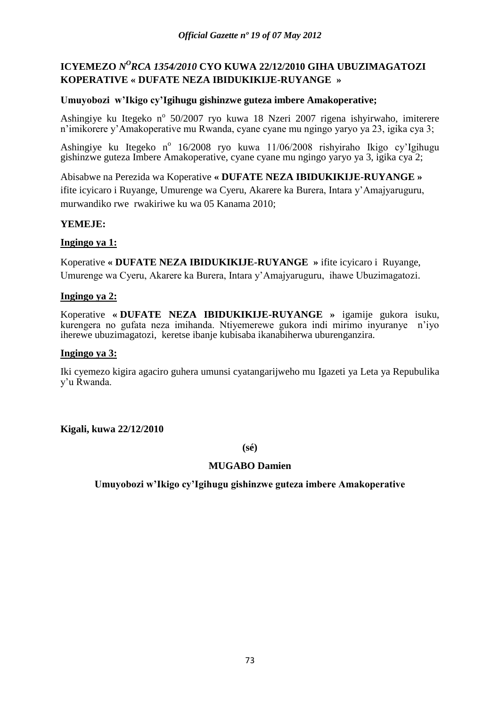# ICYEMEZO *N<sup>O</sup>RCA 1354/2010* CYO KUWA 22/12/2010 GIHA UBUZIMAGATOZI **KOPERATIVE « DUFATE NEZA IBIDUKIKIJE-RUYANGE »**

## **Umuyobozi w'Ikigo cy'Igihugu gishinzwe guteza imbere Amakoperative;**

Ashingiye ku Itegeko nº 50/2007 ryo kuwa 18 Nzeri 2007 rigena ishyirwaho, imiterere n'imikorere y'Amakoperative mu Rwanda, cyane cyane mu ngingo yaryo ya 23, igika cya 3;

Ashingiye ku Itegeko nº 16/2008 ryo kuwa 11/06/2008 rishyiraho Ikigo cy'Igihugu gishinzwe guteza Imbere Amakoperative, cyane cyane mu ngingo yaryo ya 3, igika cya 2;

Abisabwe na Perezida wa Koperative **« DUFATE NEZA IBIDUKIKIJE-RUYANGE »**  ifite icyicaro i Ruyange, Umurenge wa Cyeru, Akarere ka Burera, Intara y'Amajyaruguru, murwandiko rwe rwakiriwe ku wa 05 Kanama 2010;

## **YEMEJE:**

## **Ingingo ya 1:**

Koperative **« DUFATE NEZA IBIDUKIKIJE-RUYANGE »** ifite icyicaro i Ruyange, Umurenge wa Cyeru, Akarere ka Burera, Intara y'Amajyaruguru, ihawe Ubuzimagatozi.

## **Ingingo ya 2:**

Koperative **« DUFATE NEZA IBIDUKIKIJE-RUYANGE »** igamije gukora isuku, kurengera no gufata neza imihanda. Ntiyemerewe gukora indi mirimo inyuranye n'iyo iherewe ubuzimagatozi, keretse ibanje kubisaba ikanabiherwa uburenganzira.

## **Ingingo ya 3:**

Iki cyemezo kigira agaciro guhera umunsi cyatangarijweho mu Igazeti ya Leta ya Repubulika y'u Rwanda.

**Kigali, kuwa 22/12/2010**

**(sé)**

## **MUGABO Damien**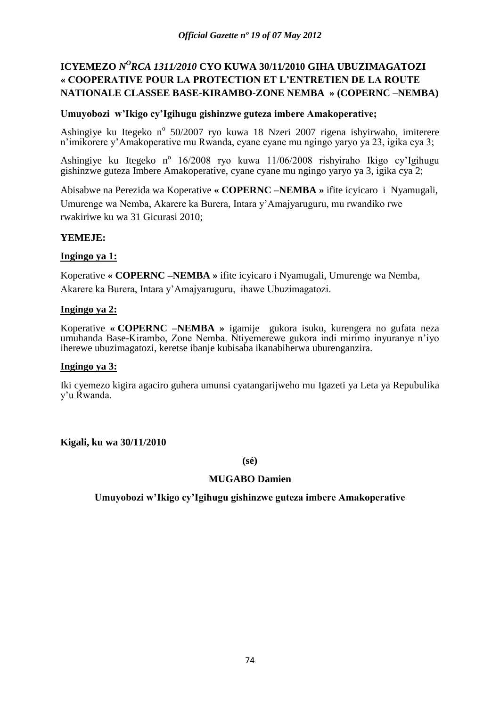# ICYEMEZO *N<sup>O</sup>RCA 1311/2010* CYO KUWA 30/11/2010 GIHA UBUZIMAGATOZI **« COOPERATIVE POUR LA PROTECTION ET L'ENTRETIEN DE LA ROUTE NATIONALE CLASSEE BASE-KIRAMBO-ZONE NEMBA » (COPERNC –NEMBA)**

## **Umuyobozi w'Ikigo cy'Igihugu gishinzwe guteza imbere Amakoperative;**

Ashingiye ku Itegeko nº 50/2007 ryo kuwa 18 Nzeri 2007 rigena ishyirwaho, imiterere n'imikorere y'Amakoperative mu Rwanda, cyane cyane mu ngingo yaryo ya 23, igika cya 3;

Ashingiye ku Itegeko nº 16/2008 ryo kuwa 11/06/2008 rishyiraho Ikigo cy'Igihugu gishinzwe guteza Imbere Amakoperative, cyane cyane mu ngingo yaryo ya 3, igika cya 2;

Abisabwe na Perezida wa Koperative **« COPERNC –NEMBA »** ifite icyicaro i Nyamugali, Umurenge wa Nemba, Akarere ka Burera, Intara y'Amajyaruguru, mu rwandiko rwe rwakiriwe ku wa 31 Gicurasi 2010;

## **YEMEJE:**

## **Ingingo ya 1:**

Koperative **« COPERNC –NEMBA »** ifite icyicaro i Nyamugali, Umurenge wa Nemba, Akarere ka Burera, Intara y'Amajyaruguru, ihawe Ubuzimagatozi.

## **Ingingo ya 2:**

Koperative **« COPERNC –NEMBA »** igamije gukora isuku, kurengera no gufata neza umuhanda Base-Kirambo, Zone Nemba. Ntiyemerewe gukora indi mirimo inyuranye n'iyo iherewe ubuzimagatozi, keretse ibanje kubisaba ikanabiherwa uburenganzira.

## **Ingingo ya 3:**

Iki cyemezo kigira agaciro guhera umunsi cyatangarijweho mu Igazeti ya Leta ya Repubulika y'u Rwanda.

**Kigali, ku wa 30/11/2010**

**(sé)**

## **MUGABO Damien**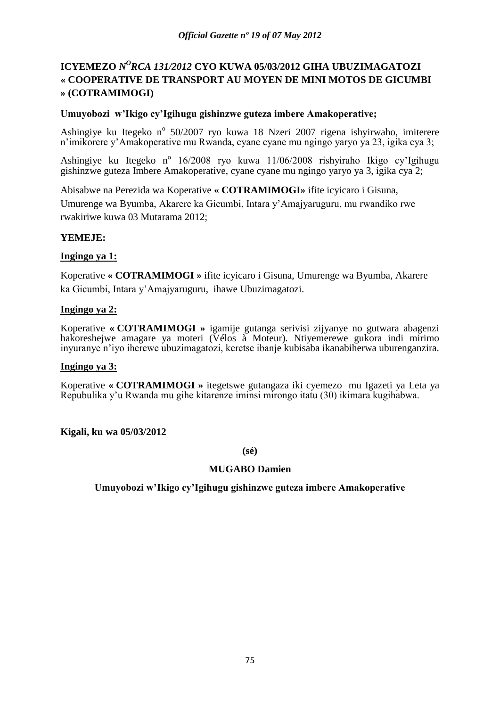# ICYEMEZO *N<sup>O</sup>RCA 131/2012* CYO KUWA 05/03/2012 GIHA UBUZIMAGATOZI **« COOPERATIVE DE TRANSPORT AU MOYEN DE MINI MOTOS DE GICUMBI » (COTRAMIMOGI)**

## **Umuyobozi w'Ikigo cy'Igihugu gishinzwe guteza imbere Amakoperative;**

Ashingiye ku Itegeko nº 50/2007 ryo kuwa 18 Nzeri 2007 rigena ishyirwaho, imiterere n'imikorere y'Amakoperative mu Rwanda, cyane cyane mu ngingo yaryo ya 23, igika cya 3;

Ashingiye ku Itegeko nº 16/2008 ryo kuwa 11/06/2008 rishyiraho Ikigo cy'Igihugu gishinzwe guteza Imbere Amakoperative, cyane cyane mu ngingo yaryo ya 3, igika cya 2;

Abisabwe na Perezida wa Koperative **« COTRAMIMOGI»** ifite icyicaro i Gisuna, Umurenge wa Byumba, Akarere ka Gicumbi, Intara y'Amajyaruguru, mu rwandiko rwe rwakiriwe kuwa 03 Mutarama 2012;

## **YEMEJE:**

## **Ingingo ya 1:**

Koperative **« COTRAMIMOGI »** ifite icyicaro i Gisuna, Umurenge wa Byumba, Akarere ka Gicumbi, Intara y'Amajyaruguru, ihawe Ubuzimagatozi.

## **Ingingo ya 2:**

Koperative **« COTRAMIMOGI »** igamije gutanga serivisi zijyanye no gutwara abagenzi hakoreshejwe amagare ya moteri (Vélos à Moteur). Ntiyemerewe gukora indi mirimo inyuranye n'iyo iherewe ubuzimagatozi, keretse ibanje kubisaba ikanabiherwa uburenganzira.

## **Ingingo ya 3:**

Koperative **« COTRAMIMOGI »** itegetswe gutangaza iki cyemezo mu Igazeti ya Leta ya Repubulika y'u Rwanda mu gihe kitarenze iminsi mirongo itatu (30) ikimara kugihabwa.

## **Kigali, ku wa 05/03/2012**

**(sé)**

## **MUGABO Damien**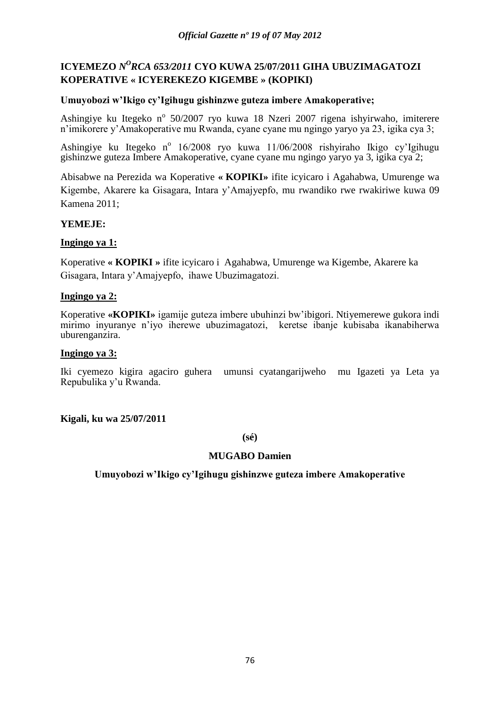# ICYEMEZO *N<sup>O</sup>RCA 653/2011* CYO KUWA 25/07/2011 GIHA UBUZIMAGATOZI **KOPERATIVE « ICYEREKEZO KIGEMBE » (KOPIKI)**

## **Umuyobozi w'Ikigo cy'Igihugu gishinzwe guteza imbere Amakoperative;**

Ashingiye ku Itegeko nº 50/2007 ryo kuwa 18 Nzeri 2007 rigena ishyirwaho, imiterere n'imikorere y'Amakoperative mu Rwanda, cyane cyane mu ngingo yaryo ya 23, igika cya 3;

Ashingiye ku Itegeko nº 16/2008 ryo kuwa 11/06/2008 rishyiraho Ikigo cy'Igihugu gishinzwe guteza Imbere Amakoperative, cyane cyane mu ngingo yaryo ya 3, igika cya 2;

Abisabwe na Perezida wa Koperative **« KOPIKI»** ifite icyicaro i Agahabwa, Umurenge wa Kigembe, Akarere ka Gisagara, Intara y'Amajyepfo, mu rwandiko rwe rwakiriwe kuwa 09 Kamena 2011;

## **YEMEJE:**

## **Ingingo ya 1:**

Koperative **« KOPIKI »** ifite icyicaro i Agahabwa, Umurenge wa Kigembe, Akarere ka Gisagara, Intara y'Amajyepfo, ihawe Ubuzimagatozi.

## **Ingingo ya 2:**

Koperative **«KOPIKI»** igamije guteza imbere ubuhinzi bw'ibigori. Ntiyemerewe gukora indi mirimo inyuranye n'iyo iherewe ubuzimagatozi, keretse ibanje kubisaba ikanabiherwa uburenganzira.

## **Ingingo ya 3:**

Iki cyemezo kigira agaciro guhera umunsi cyatangarijweho mu Igazeti ya Leta ya Repubulika y'u Rwanda.

## **Kigali, ku wa 25/07/2011**

**(sé)**

## **MUGABO Damien**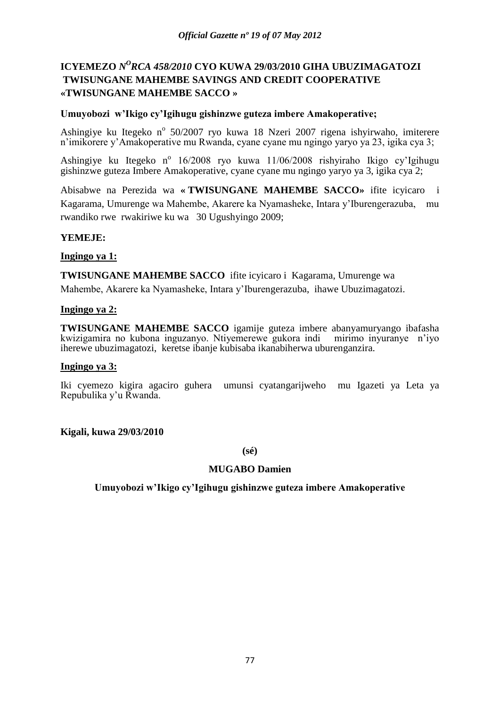# ICYEMEZO *N<sup>O</sup>RCA 458/2010* CYO KUWA 29/03/2010 GIHA UBUZIMAGATOZI **TWISUNGANE MAHEMBE SAVINGS AND CREDIT COOPERATIVE «TWISUNGANE MAHEMBE SACCO »**

## **Umuyobozi w'Ikigo cy'Igihugu gishinzwe guteza imbere Amakoperative;**

Ashingiye ku Itegeko nº 50/2007 ryo kuwa 18 Nzeri 2007 rigena ishyirwaho, imiterere n'imikorere y'Amakoperative mu Rwanda, cyane cyane mu ngingo yaryo ya 23, igika cya 3;

Ashingiye ku Itegeko nº 16/2008 ryo kuwa 11/06/2008 rishyiraho Ikigo cy'Igihugu gishinzwe guteza Imbere Amakoperative, cyane cyane mu ngingo yaryo ya 3, igika cya 2;

Abisabwe na Perezida wa **« TWISUNGANE MAHEMBE SACCO»** ifite icyicaro i Kagarama, Umurenge wa Mahembe, Akarere ka Nyamasheke, Intara y'Iburengerazuba, mu rwandiko rwe rwakiriwe ku wa 30 Ugushyingo 2009;

## **YEMEJE:**

## **Ingingo ya 1:**

**TWISUNGANE MAHEMBE SACCO** ifite icyicaro i Kagarama, Umurenge wa Mahembe, Akarere ka Nyamasheke, Intara y'Iburengerazuba, ihawe Ubuzimagatozi.

## **Ingingo ya 2:**

**TWISUNGANE MAHEMBE SACCO** igamije guteza imbere abanyamuryango ibafasha kwizigamira no kubona inguzanyo. Ntiyemerewe gukora indi mirimo inyuranye n'iyo iherewe ubuzimagatozi, keretse ibanje kubisaba ikanabiherwa uburenganzira.

## **Ingingo ya 3:**

Iki cyemezo kigira agaciro guhera umunsi cyatangarijweho mu Igazeti ya Leta ya Repubulika y'u Rwanda.

## **Kigali, kuwa 29/03/2010**

**(sé)**

## **MUGABO Damien**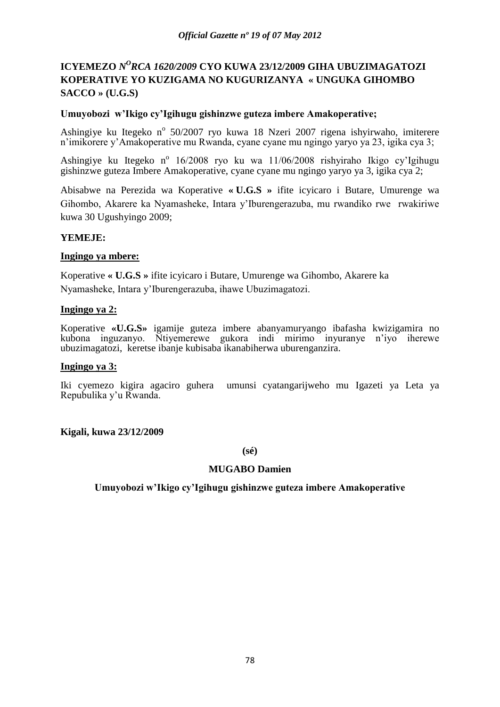# ICYEMEZO *N<sup>O</sup>RCA 1620/2009* CYO KUWA 23/12/2009 GIHA UBUZIMAGATOZI **KOPERATIVE YO KUZIGAMA NO KUGURIZANYA « UNGUKA GIHOMBO SACCO » (U.G.S)**

## **Umuyobozi w'Ikigo cy'Igihugu gishinzwe guteza imbere Amakoperative;**

Ashingiye ku Itegeko nº 50/2007 ryo kuwa 18 Nzeri 2007 rigena ishyirwaho, imiterere n'imikorere y'Amakoperative mu Rwanda, cyane cyane mu ngingo yaryo ya 23, igika cya 3;

Ashingiye ku Itegeko nº 16/2008 ryo ku wa 11/06/2008 rishyiraho Ikigo cy'Igihugu gishinzwe guteza Imbere Amakoperative, cyane cyane mu ngingo yaryo ya 3, igika cya 2;

Abisabwe na Perezida wa Koperative **« U.G.S »** ifite icyicaro i Butare, Umurenge wa Gihombo, Akarere ka Nyamasheke, Intara y'Iburengerazuba, mu rwandiko rwe rwakiriwe kuwa 30 Ugushyingo 2009;

## **YEMEJE:**

## **Ingingo ya mbere:**

Koperative **« U.G.S »** ifite icyicaro i Butare, Umurenge wa Gihombo, Akarere ka Nyamasheke, Intara y'Iburengerazuba, ihawe Ubuzimagatozi.

## **Ingingo ya 2:**

Koperative **«U.G.S»** igamije guteza imbere abanyamuryango ibafasha kwizigamira no kubona inguzanyo. Ntiyemerewe gukora indi mirimo inyuranye n'iyo iherewe ubuzimagatozi, keretse ibanje kubisaba ikanabiherwa uburenganzira.

## **Ingingo ya 3:**

Iki cyemezo kigira agaciro guhera umunsi cyatangarijweho mu Igazeti ya Leta ya Repubulika y'u Rwanda.

## **Kigali, kuwa 23/12/2009**

**(sé)**

## **MUGABO Damien**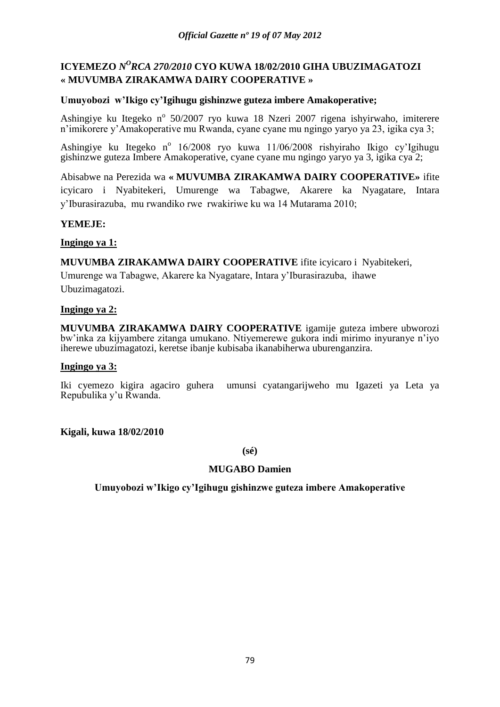# ICYEMEZO *N<sup>O</sup>RCA 270/2010* CYO KUWA 18/02/2010 GIHA UBUZIMAGATOZI **« MUVUMBA ZIRAKAMWA DAIRY COOPERATIVE »**

## **Umuyobozi w'Ikigo cy'Igihugu gishinzwe guteza imbere Amakoperative;**

Ashingiye ku Itegeko nº 50/2007 ryo kuwa 18 Nzeri 2007 rigena ishyirwaho, imiterere n'imikorere y'Amakoperative mu Rwanda, cyane cyane mu ngingo yaryo ya 23, igika cya 3;

Ashingiye ku Itegeko nº 16/2008 ryo kuwa 11/06/2008 rishyiraho Ikigo cy'Igihugu gishinzwe guteza Imbere Amakoperative, cyane cyane mu ngingo yaryo ya 3, igika cya 2;

Abisabwe na Perezida wa **« MUVUMBA ZIRAKAMWA DAIRY COOPERATIVE»** ifite icyicaro i Nyabitekeri, Umurenge wa Tabagwe, Akarere ka Nyagatare, Intara y'Iburasirazuba, mu rwandiko rwe rwakiriwe ku wa 14 Mutarama 2010;

## **YEMEJE:**

## **Ingingo ya 1:**

**MUVUMBA ZIRAKAMWA DAIRY COOPERATIVE** ifite icyicaro i Nyabitekeri,

Umurenge wa Tabagwe, Akarere ka Nyagatare, Intara y'Iburasirazuba, ihawe Ubuzimagatozi.

## **Ingingo ya 2:**

**MUVUMBA ZIRAKAMWA DAIRY COOPERATIVE** igamije guteza imbere ubworozi bw'inka za kijyambere zitanga umukano. Ntiyemerewe gukora indi mirimo inyuranye n'iyo iherewe ubuzimagatozi, keretse ibanje kubisaba ikanabiherwa uburenganzira.

## **Ingingo ya 3:**

Iki cyemezo kigira agaciro guhera umunsi cyatangarijweho mu Igazeti ya Leta ya Repubulika y'u Rwanda.

## **Kigali, kuwa 18/02/2010**

**(sé)**

## **MUGABO Damien**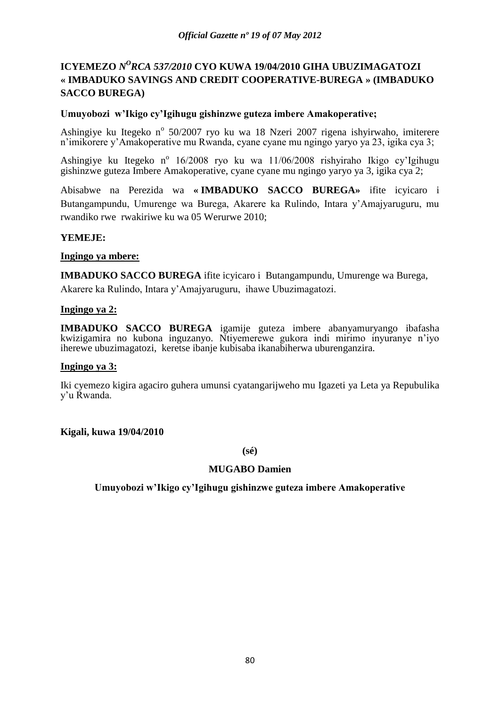# ICYEMEZO *N<sup>O</sup>RCA 537/2010* CYO KUWA 19/04/2010 GIHA UBUZIMAGATOZI **« IMBADUKO SAVINGS AND CREDIT COOPERATIVE-BUREGA » (IMBADUKO SACCO BUREGA)**

## **Umuyobozi w'Ikigo cy'Igihugu gishinzwe guteza imbere Amakoperative;**

Ashingiye ku Itegeko nº 50/2007 ryo ku wa 18 Nzeri 2007 rigena ishyirwaho, imiterere n'imikorere y'Amakoperative mu Rwanda, cyane cyane mu ngingo yaryo ya 23, igika cya 3;

Ashingiye ku Itegeko nº 16/2008 ryo ku wa 11/06/2008 rishyiraho Ikigo cy'Igihugu gishinzwe guteza Imbere Amakoperative, cyane cyane mu ngingo yaryo ya 3, igika cya 2;

Abisabwe na Perezida wa **« IMBADUKO SACCO BUREGA»** ifite icyicaro i Butangampundu, Umurenge wa Burega, Akarere ka Rulindo, Intara y'Amajyaruguru, mu rwandiko rwe rwakiriwe ku wa 05 Werurwe 2010;

## **YEMEJE:**

## **Ingingo ya mbere:**

**IMBADUKO SACCO BUREGA** ifite icyicaro i Butangampundu, Umurenge wa Burega, Akarere ka Rulindo, Intara y'Amajyaruguru, ihawe Ubuzimagatozi.

## **Ingingo ya 2:**

**IMBADUKO SACCO BUREGA** igamije guteza imbere abanyamuryango ibafasha kwizigamira no kubona inguzanyo. Ntiyemerewe gukora indi mirimo inyuranye n'iyo iherewe ubuzimagatozi, keretse ibanje kubisaba ikanabiherwa uburenganzira.

## **Ingingo ya 3:**

Iki cyemezo kigira agaciro guhera umunsi cyatangarijweho mu Igazeti ya Leta ya Repubulika y'u Rwanda.

## **Kigali, kuwa 19/04/2010**

**(sé)**

## **MUGABO Damien**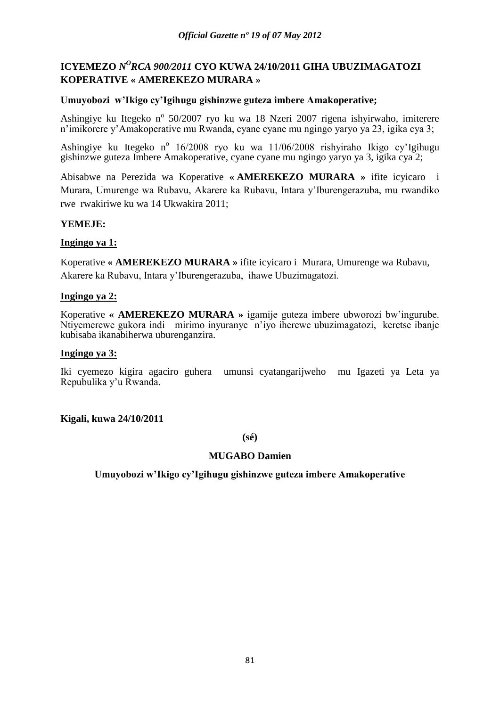# ICYEMEZO *N<sup>O</sup>RCA 900/2011* CYO KUWA 24/10/2011 GIHA UBUZIMAGATOZI **KOPERATIVE « AMEREKEZO MURARA »**

## **Umuyobozi w'Ikigo cy'Igihugu gishinzwe guteza imbere Amakoperative;**

Ashingiye ku Itegeko nº 50/2007 ryo ku wa 18 Nzeri 2007 rigena ishyirwaho, imiterere n'imikorere y'Amakoperative mu Rwanda, cyane cyane mu ngingo yaryo ya 23, igika cya 3;

Ashingiye ku Itegeko nº 16/2008 ryo ku wa 11/06/2008 rishyiraho Ikigo cy'Igihugu gishinzwe guteza Imbere Amakoperative, cyane cyane mu ngingo yaryo ya 3, igika cya 2;

Abisabwe na Perezida wa Koperative **« AMEREKEZO MURARA »** ifite icyicaro i Murara, Umurenge wa Rubavu, Akarere ka Rubavu, Intara y'Iburengerazuba, mu rwandiko rwe rwakiriwe ku wa 14 Ukwakira 2011;

## **YEMEJE:**

## **Ingingo ya 1:**

Koperative **« AMEREKEZO MURARA »** ifite icyicaro i Murara, Umurenge wa Rubavu, Akarere ka Rubavu, Intara y'Iburengerazuba, ihawe Ubuzimagatozi.

## **Ingingo ya 2:**

Koperative **« AMEREKEZO MURARA »** igamije guteza imbere ubworozi bw'ingurube. Ntiyemerewe gukora indi mirimo inyuranye n'iyo iherewe ubuzimagatozi, keretse ibanje kubisaba ikanabiherwa uburenganzira.

## **Ingingo ya 3:**

Iki cyemezo kigira agaciro guhera umunsi cyatangarijweho mu Igazeti ya Leta ya Repubulika y'u Rwanda.

## **Kigali, kuwa 24/10/2011**

**(sé)**

## **MUGABO Damien**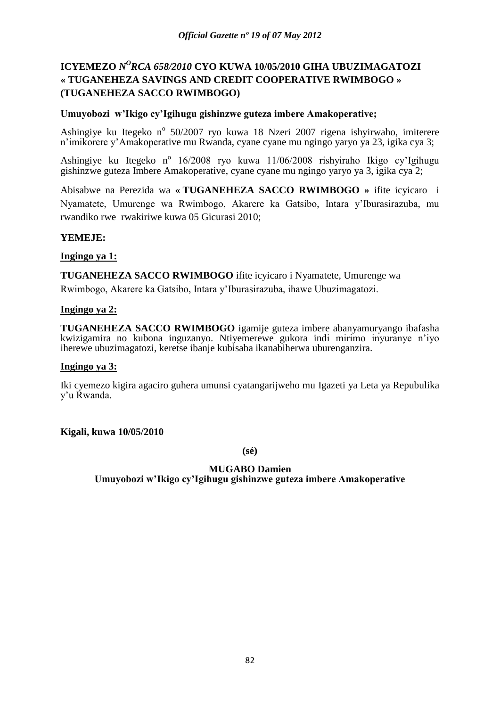# ICYEMEZO *N<sup>O</sup>RCA 658/2010* CYO KUWA 10/05/2010 GIHA UBUZIMAGATOZI **« TUGANEHEZA SAVINGS AND CREDIT COOPERATIVE RWIMBOGO » (TUGANEHEZA SACCO RWIMBOGO)**

## **Umuyobozi w'Ikigo cy'Igihugu gishinzwe guteza imbere Amakoperative;**

Ashingiye ku Itegeko nº 50/2007 ryo kuwa 18 Nzeri 2007 rigena ishyirwaho, imiterere n'imikorere y'Amakoperative mu Rwanda, cyane cyane mu ngingo yaryo ya 23, igika cya 3;

Ashingiye ku Itegeko nº 16/2008 ryo kuwa 11/06/2008 rishyiraho Ikigo cy'Igihugu gishinzwe guteza Imbere Amakoperative, cyane cyane mu ngingo yaryo ya 3, igika cya 2;

Abisabwe na Perezida wa **« TUGANEHEZA SACCO RWIMBOGO »** ifite icyicaro i Nyamatete, Umurenge wa Rwimbogo, Akarere ka Gatsibo, Intara y'Iburasirazuba, mu rwandiko rwe rwakiriwe kuwa 05 Gicurasi 2010;

## **YEMEJE:**

## **Ingingo ya 1:**

**TUGANEHEZA SACCO RWIMBOGO** ifite icyicaro i Nyamatete, Umurenge wa Rwimbogo, Akarere ka Gatsibo, Intara y'Iburasirazuba, ihawe Ubuzimagatozi.

## **Ingingo ya 2:**

**TUGANEHEZA SACCO RWIMBOGO** igamije guteza imbere abanyamuryango ibafasha kwizigamira no kubona inguzanyo. Ntiyemerewe gukora indi mirimo inyuranye n'iyo iherewe ubuzimagatozi, keretse ibanje kubisaba ikanabiherwa uburenganzira.

## **Ingingo ya 3:**

Iki cyemezo kigira agaciro guhera umunsi cyatangarijweho mu Igazeti ya Leta ya Repubulika y'u Rwanda.

## **Kigali, kuwa 10/05/2010**

**(sé)**

## **MUGABO Damien**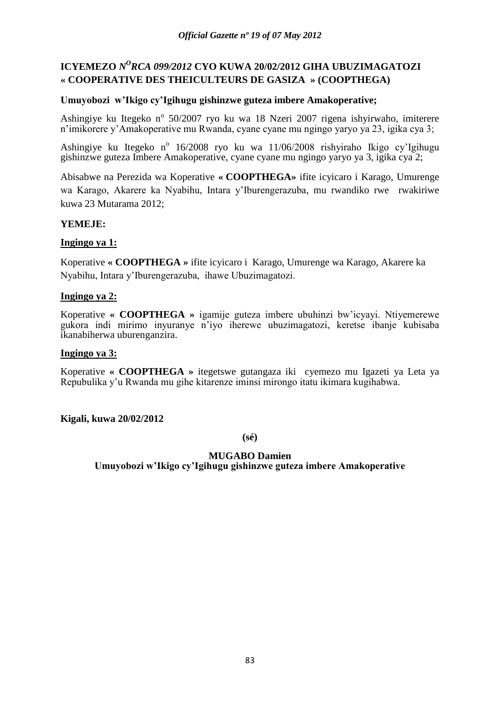# ICYEMEZO *N<sup>O</sup>RCA 099/2012* CYO KUWA 20/02/2012 GIHA UBUZIMAGATOZI **« COOPERATIVE DES THEICULTEURS DE GASIZA » (COOPTHEGA)**

## **Umuyobozi w'Ikigo cy'Igihugu gishinzwe guteza imbere Amakoperative;**

Ashingiye ku Itegeko nº 50/2007 ryo ku wa 18 Nzeri 2007 rigena ishyirwaho, imiterere n'imikorere y'Amakoperative mu Rwanda, cyane cyane mu ngingo yaryo ya 23, igika cya 3;

Ashingiye ku Itegeko nº 16/2008 ryo ku wa 11/06/2008 rishyiraho Ikigo cy'Igihugu gishinzwe guteza Imbere Amakoperative, cyane cyane mu ngingo yaryo ya 3, igika cya 2;

Abisabwe na Perezida wa Koperative **« COOPTHEGA»** ifite icyicaro i Karago, Umurenge wa Karago, Akarere ka Nyabihu, Intara y'Iburengerazuba, mu rwandiko rwe rwakiriwe kuwa 23 Mutarama 2012;

## **YEMEJE:**

## **Ingingo ya 1:**

Koperative **« COOPTHEGA »** ifite icyicaro i Karago, Umurenge wa Karago, Akarere ka Nyabihu, Intara y'Iburengerazuba, ihawe Ubuzimagatozi.

## **Ingingo ya 2:**

Koperative **« COOPTHEGA »** igamije guteza imbere ubuhinzi bw'icyayi. Ntiyemerewe gukora indi mirimo inyuranye n'iyo iherewe ubuzimagatozi, keretse ibanje kubisaba ikanabiherwa uburenganzira.

## **Ingingo ya 3:**

Koperative **« COOPTHEGA »** itegetswe gutangaza iki cyemezo mu Igazeti ya Leta ya Repubulika y'u Rwanda mu gihe kitarenze iminsi mirongo itatu ikimara kugihabwa.

## **Kigali, kuwa 20/02/2012**

**(sé)**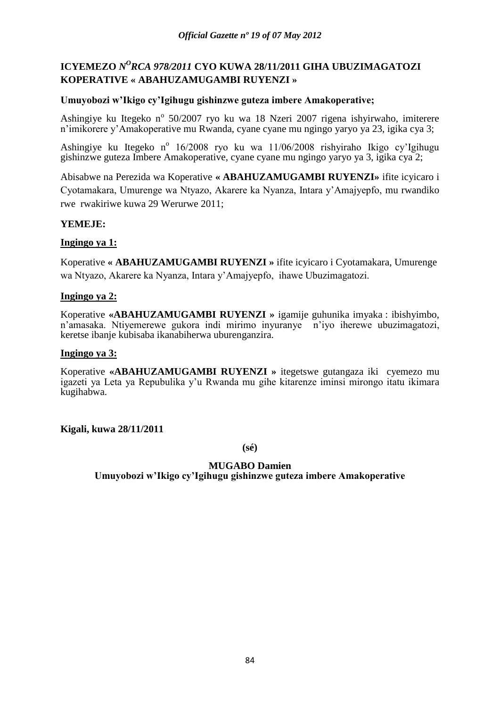# ICYEMEZO *N<sup>O</sup>RCA 978/2011* CYO KUWA 28/11/2011 GIHA UBUZIMAGATOZI **KOPERATIVE « ABAHUZAMUGAMBI RUYENZI »**

## **Umuyobozi w'Ikigo cy'Igihugu gishinzwe guteza imbere Amakoperative;**

Ashingiye ku Itegeko nº 50/2007 ryo ku wa 18 Nzeri 2007 rigena ishyirwaho, imiterere n'imikorere y'Amakoperative mu Rwanda, cyane cyane mu ngingo yaryo ya 23, igika cya 3;

Ashingiye ku Itegeko nº 16/2008 ryo ku wa 11/06/2008 rishyiraho Ikigo cy'Igihugu gishinzwe guteza Imbere Amakoperative, cyane cyane mu ngingo yaryo ya 3, igika cya 2;

Abisabwe na Perezida wa Koperative **« ABAHUZAMUGAMBI RUYENZI»** ifite icyicaro i Cyotamakara, Umurenge wa Ntyazo, Akarere ka Nyanza, Intara y'Amajyepfo, mu rwandiko rwe rwakiriwe kuwa 29 Werurwe 2011;

## **YEMEJE:**

## **Ingingo ya 1:**

Koperative **« ABAHUZAMUGAMBI RUYENZI »** ifite icyicaro i Cyotamakara, Umurenge wa Ntyazo, Akarere ka Nyanza, Intara y'Amajyepfo, ihawe Ubuzimagatozi.

## **Ingingo ya 2:**

Koperative **«ABAHUZAMUGAMBI RUYENZI »** igamije guhunika imyaka : ibishyimbo, n'amasaka. Ntiyemerewe gukora indi mirimo inyuranye n'iyo iherewe ubuzimagatozi, keretse ibanje kubisaba ikanabiherwa uburenganzira.

## **Ingingo ya 3:**

Koperative **«ABAHUZAMUGAMBI RUYENZI »** itegetswe gutangaza iki cyemezo mu igazeti ya Leta ya Repubulika y'u Rwanda mu gihe kitarenze iminsi mirongo itatu ikimara kugihabwa.

**Kigali, kuwa 28/11/2011**

**(sé)**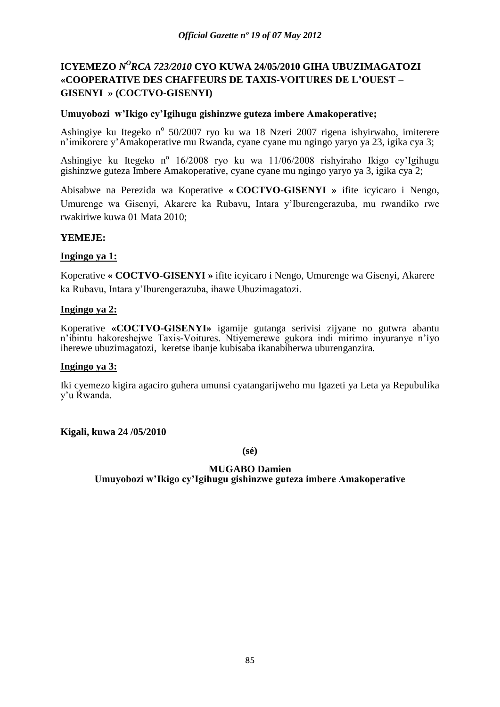# ICYEMEZO *N<sup>O</sup>RCA 723/2010* CYO KUWA 24/05/2010 GIHA UBUZIMAGATOZI **«COOPERATIVE DES CHAFFEURS DE TAXIS-VOITURES DE L'OUEST – GISENYI » (COCTVO-GISENYI)**

## **Umuyobozi w'Ikigo cy'Igihugu gishinzwe guteza imbere Amakoperative;**

Ashingiye ku Itegeko nº 50/2007 ryo ku wa 18 Nzeri 2007 rigena ishyirwaho, imiterere n'imikorere y'Amakoperative mu Rwanda, cyane cyane mu ngingo yaryo ya 23, igika cya 3;

Ashingiye ku Itegeko nº 16/2008 ryo ku wa 11/06/2008 rishyiraho Ikigo cy'Igihugu gishinzwe guteza Imbere Amakoperative, cyane cyane mu ngingo yaryo ya 3, igika cya 2;

Abisabwe na Perezida wa Koperative **« COCTVO-GISENYI »** ifite icyicaro i Nengo, Umurenge wa Gisenyi, Akarere ka Rubavu, Intara y'Iburengerazuba, mu rwandiko rwe rwakiriwe kuwa 01 Mata 2010;

## **YEMEJE:**

## **Ingingo ya 1:**

Koperative **« COCTVO-GISENYI »** ifite icyicaro i Nengo, Umurenge wa Gisenyi, Akarere ka Rubavu, Intara y'Iburengerazuba, ihawe Ubuzimagatozi.

## **Ingingo ya 2:**

Koperative **«COCTVO-GISENYI»** igamije gutanga serivisi zijyane no gutwra abantu n'ibintu hakoreshejwe Taxis-Voitures. Ntiyemerewe gukora indi mirimo inyuranye n'iyo iherewe ubuzimagatozi, keretse ibanje kubisaba ikanabiherwa uburenganzira.

## **Ingingo ya 3:**

Iki cyemezo kigira agaciro guhera umunsi cyatangarijweho mu Igazeti ya Leta ya Repubulika y'u Rwanda.

## **Kigali, kuwa 24 /05/2010**

**(sé)**

## **MUGABO Damien**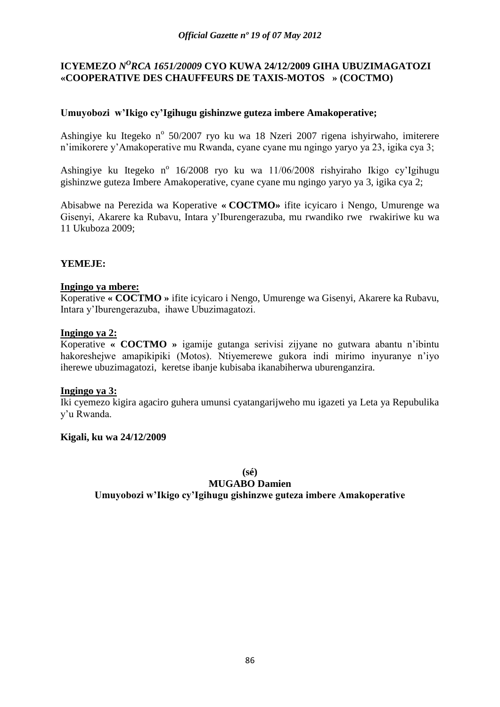## ICYEMEZO *N<sup>O</sup>RCA 1651/20009* CYO KUWA 24/12/2009 GIHA UBUZIMAGATOZI **«COOPERATIVE DES CHAUFFEURS DE TAXIS-MOTOS » (COCTMO)**

## **Umuyobozi w'Ikigo cy'Igihugu gishinzwe guteza imbere Amakoperative;**

Ashingiye ku Itegeko nº 50/2007 ryo ku wa 18 Nzeri 2007 rigena ishyirwaho, imiterere n'imikorere y'Amakoperative mu Rwanda, cyane cyane mu ngingo yaryo ya 23, igika cya 3;

Ashingiye ku Itegeko nº 16/2008 ryo ku wa 11/06/2008 rishyiraho Ikigo cy'Igihugu gishinzwe guteza Imbere Amakoperative, cyane cyane mu ngingo yaryo ya 3, igika cya 2;

Abisabwe na Perezida wa Koperative **« COCTMO»** ifite icyicaro i Nengo, Umurenge wa Gisenyi, Akarere ka Rubavu, Intara y'Iburengerazuba, mu rwandiko rwe rwakiriwe ku wa 11 Ukuboza 2009;

## **YEMEJE:**

## **Ingingo ya mbere:**

Koperative **« COCTMO »** ifite icyicaro i Nengo, Umurenge wa Gisenyi, Akarere ka Rubavu, Intara y'Iburengerazuba, ihawe Ubuzimagatozi.

#### **Ingingo ya 2:**

Koperative **« COCTMO »** igamije gutanga serivisi zijyane no gutwara abantu n'ibintu hakoreshejwe amapikipiki (Motos). Ntiyemerewe gukora indi mirimo inyuranye n'iyo iherewe ubuzimagatozi, keretse ibanje kubisaba ikanabiherwa uburenganzira.

## **Ingingo ya 3:**

Iki cyemezo kigira agaciro guhera umunsi cyatangarijweho mu igazeti ya Leta ya Repubulika y'u Rwanda.

## **Kigali, ku wa 24/12/2009**

**(sé)**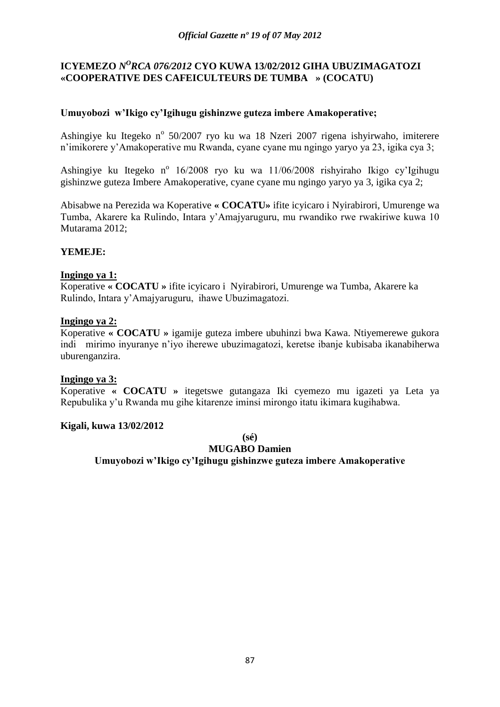## ICYEMEZO *N<sup>O</sup>RCA 076/2012* CYO KUWA 13/02/2012 GIHA UBUZIMAGATOZI **«COOPERATIVE DES CAFEICULTEURS DE TUMBA » (COCATU)**

## **Umuyobozi w'Ikigo cy'Igihugu gishinzwe guteza imbere Amakoperative;**

Ashingiye ku Itegeko nº 50/2007 ryo ku wa 18 Nzeri 2007 rigena ishyirwaho, imiterere n'imikorere y'Amakoperative mu Rwanda, cyane cyane mu ngingo yaryo ya 23, igika cya 3;

Ashingiye ku Itegeko nº 16/2008 ryo ku wa 11/06/2008 rishyiraho Ikigo cy'Igihugu gishinzwe guteza Imbere Amakoperative, cyane cyane mu ngingo yaryo ya 3, igika cya 2;

Abisabwe na Perezida wa Koperative **« COCATU»** ifite icyicaro i Nyirabirori, Umurenge wa Tumba, Akarere ka Rulindo, Intara y'Amajyaruguru, mu rwandiko rwe rwakiriwe kuwa 10 Mutarama 2012;

## **YEMEJE:**

## **Ingingo ya 1:**

Koperative **« COCATU »** ifite icyicaro i Nyirabirori, Umurenge wa Tumba, Akarere ka Rulindo, Intara y'Amajyaruguru, ihawe Ubuzimagatozi.

## **Ingingo ya 2:**

Koperative **« COCATU »** igamije guteza imbere ubuhinzi bwa Kawa. Ntiyemerewe gukora indi mirimo inyuranye n'iyo iherewe ubuzimagatozi, keretse ibanje kubisaba ikanabiherwa uburenganzira.

## **Ingingo ya 3:**

Koperative **« COCATU »** itegetswe gutangaza Iki cyemezo mu igazeti ya Leta ya Repubulika y'u Rwanda mu gihe kitarenze iminsi mirongo itatu ikimara kugihabwa.

## **Kigali, kuwa 13/02/2012**

**(sé)**

## **MUGABO Damien**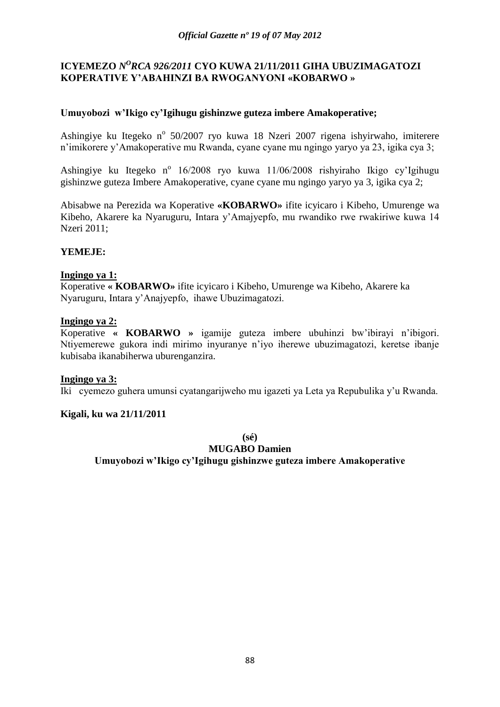## **ICYEMEZO** *N<sup>O</sup>RCA 926/2011* CYO KUWA 21/11/2011 GIHA UBUZIMAGATOZI **KOPERATIVE Y'ABAHINZI BA RWOGANYONI «KOBARWO »**

## **Umuyobozi w'Ikigo cy'Igihugu gishinzwe guteza imbere Amakoperative;**

Ashingiye ku Itegeko nº 50/2007 ryo kuwa 18 Nzeri 2007 rigena ishyirwaho, imiterere n'imikorere y'Amakoperative mu Rwanda, cyane cyane mu ngingo yaryo ya 23, igika cya 3;

Ashingiye ku Itegeko nº 16/2008 ryo kuwa 11/06/2008 rishyiraho Ikigo cy'Igihugu gishinzwe guteza Imbere Amakoperative, cyane cyane mu ngingo yaryo ya 3, igika cya 2;

Abisabwe na Perezida wa Koperative **«KOBARWO»** ifite icyicaro i Kibeho, Umurenge wa Kibeho, Akarere ka Nyaruguru, Intara y'Amajyepfo, mu rwandiko rwe rwakiriwe kuwa 14 Nzeri 2011;

## **YEMEJE:**

## **Ingingo ya 1:**

Koperative **« KOBARWO»** ifite icyicaro i Kibeho, Umurenge wa Kibeho, Akarere ka Nyaruguru, Intara y'Anajyepfo, ihawe Ubuzimagatozi.

#### **Ingingo ya 2:**

Koperative **« KOBARWO »** igamije guteza imbere ubuhinzi bw'ibirayi n'ibigori. Ntiyemerewe gukora indi mirimo inyuranye n'iyo iherewe ubuzimagatozi, keretse ibanje kubisaba ikanabiherwa uburenganzira.

## **Ingingo ya 3:**

Iki cyemezo guhera umunsi cyatangarijweho mu igazeti ya Leta ya Repubulika y'u Rwanda.

## **Kigali, ku wa 21/11/2011**

**(sé)**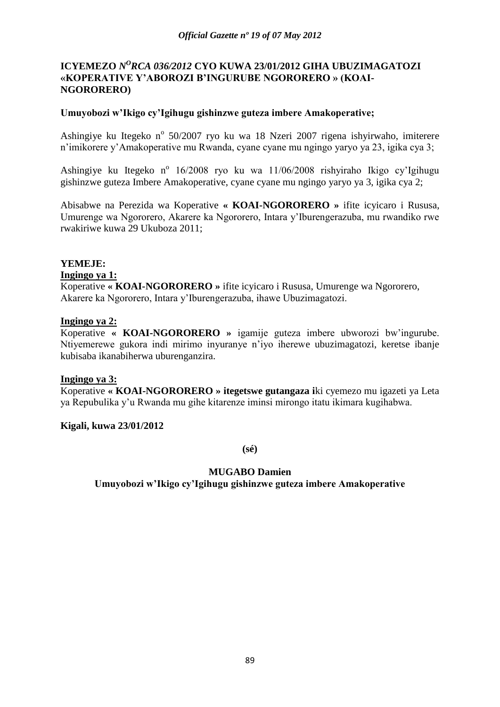## ICYEMEZO *N<sup>O</sup>RCA 036/2012* CYO KUWA 23/01/2012 GIHA UBUZIMAGATOZI **«KOPERATIVE Y'ABOROZI B'INGURUBE NGORORERO » (KOAI-NGORORERO)**

## **Umuyobozi w'Ikigo cy'Igihugu gishinzwe guteza imbere Amakoperative;**

Ashingiye ku Itegeko nº 50/2007 ryo ku wa 18 Nzeri 2007 rigena ishyirwaho, imiterere n'imikorere y'Amakoperative mu Rwanda, cyane cyane mu ngingo yaryo ya 23, igika cya 3;

Ashingiye ku Itegeko nº 16/2008 ryo ku wa 11/06/2008 rishyiraho Ikigo cy'Igihugu gishinzwe guteza Imbere Amakoperative, cyane cyane mu ngingo yaryo ya 3, igika cya 2;

Abisabwe na Perezida wa Koperative **« KOAI-NGORORERO »** ifite icyicaro i Rususa, Umurenge wa Ngororero, Akarere ka Ngororero, Intara y'Iburengerazuba, mu rwandiko rwe rwakiriwe kuwa 29 Ukuboza 2011;

## **YEMEJE:**

## **Ingingo ya 1:**

Koperative **« KOAI-NGORORERO »** ifite icyicaro i Rususa, Umurenge wa Ngororero, Akarere ka Ngororero, Intara y'Iburengerazuba, ihawe Ubuzimagatozi.

## **Ingingo ya 2:**

Koperative **« KOAI-NGORORERO »** igamije guteza imbere ubworozi bw'ingurube. Ntiyemerewe gukora indi mirimo inyuranye n'iyo iherewe ubuzimagatozi, keretse ibanje kubisaba ikanabiherwa uburenganzira.

## **Ingingo ya 3:**

Koperative **« KOAI-NGORORERO » itegetswe gutangaza i**ki cyemezo mu igazeti ya Leta ya Repubulika y'u Rwanda mu gihe kitarenze iminsi mirongo itatu ikimara kugihabwa.

## **Kigali, kuwa 23/01/2012**

**(sé)**

## **MUGABO Damien**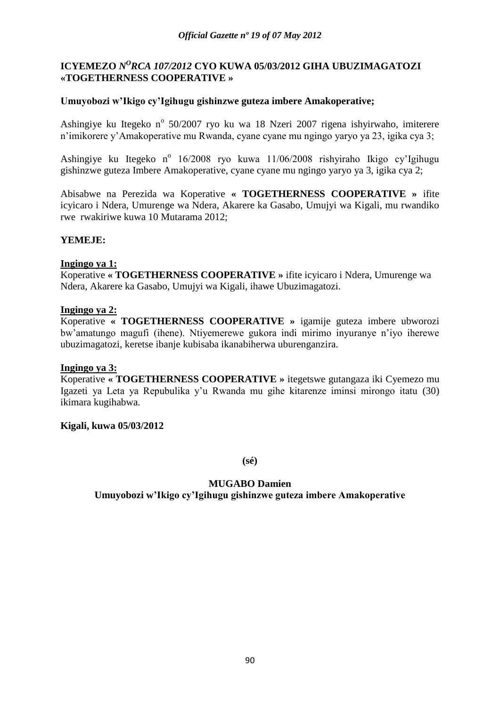## ICYEMEZO *N<sup>O</sup>RCA 107/2012* CYO KUWA 05/03/2012 GIHA UBUZIMAGATOZI **«TOGETHERNESS COOPERATIVE »**

## **Umuyobozi w'Ikigo cy'Igihugu gishinzwe guteza imbere Amakoperative;**

Ashingiye ku Itegeko nº 50/2007 ryo ku wa 18 Nzeri 2007 rigena ishyirwaho, imiterere n'imikorere y'Amakoperative mu Rwanda, cyane cyane mu ngingo yaryo ya 23, igika cya 3;

Ashingiye ku Itegeko nº 16/2008 ryo kuwa 11/06/2008 rishyiraho Ikigo cy'Igihugu gishinzwe guteza Imbere Amakoperative, cyane cyane mu ngingo yaryo ya 3, igika cya 2;

Abisabwe na Perezida wa Koperative **« TOGETHERNESS COOPERATIVE »** ifite icyicaro i Ndera, Umurenge wa Ndera, Akarere ka Gasabo, Umujyi wa Kigali, mu rwandiko rwe rwakiriwe kuwa 10 Mutarama 2012;

## **YEMEJE:**

## **Ingingo ya 1:**

Koperative **« TOGETHERNESS COOPERATIVE »** ifite icyicaro i Ndera, Umurenge wa Ndera, Akarere ka Gasabo, Umujyi wa Kigali, ihawe Ubuzimagatozi.

## **Ingingo ya 2:**

Koperative **« TOGETHERNESS COOPERATIVE »** igamije guteza imbere ubworozi bw'amatungo magufi (ihene). Ntiyemerewe gukora indi mirimo inyuranye n'iyo iherewe ubuzimagatozi, keretse ibanje kubisaba ikanabiherwa uburenganzira.

## **Ingingo ya 3:**

Koperative **« TOGETHERNESS COOPERATIVE »** itegetswe gutangaza iki Cyemezo mu Igazeti ya Leta ya Repubulika y'u Rwanda mu gihe kitarenze iminsi mirongo itatu (30) ikimara kugihabwa.

## **Kigali, kuwa 05/03/2012**

**(sé)**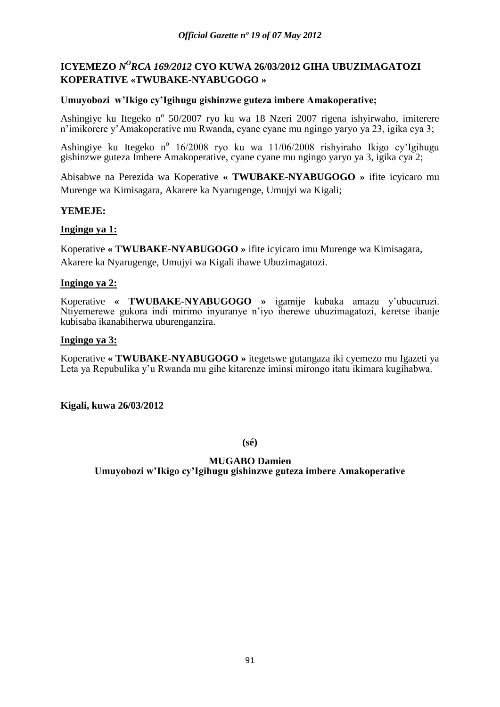# ICYEMEZO *N<sup>O</sup>RCA 169/2012* CYO KUWA 26/03/2012 GIHA UBUZIMAGATOZI **KOPERATIVE «TWUBAKE-NYABUGOGO »**

## **Umuyobozi w'Ikigo cy'Igihugu gishinzwe guteza imbere Amakoperative;**

Ashingiye ku Itegeko nº 50/2007 ryo ku wa 18 Nzeri 2007 rigena ishyirwaho, imiterere n'imikorere y'Amakoperative mu Rwanda, cyane cyane mu ngingo yaryo ya 23, igika cya 3;

Ashingiye ku Itegeko nº 16/2008 ryo ku wa 11/06/2008 rishyiraho Ikigo cy'Igihugu gishinzwe guteza Imbere Amakoperative, cyane cyane mu ngingo yaryo ya 3, igika cya 2;

Abisabwe na Perezida wa Koperative **« TWUBAKE-NYABUGOGO »** ifite icyicaro mu Murenge wa Kimisagara, Akarere ka Nyarugenge, Umujyi wa Kigali;

## **YEMEJE:**

## **Ingingo ya 1:**

Koperative **« TWUBAKE-NYABUGOGO »** ifite icyicaro imu Murenge wa Kimisagara, Akarere ka Nyarugenge, Umujyi wa Kigali ihawe Ubuzimagatozi.

## **Ingingo ya 2:**

Koperative **« TWUBAKE-NYABUGOGO »** igamije kubaka amazu y'ubucuruzi. Ntiyemerewe gukora indi mirimo inyuranye n'iyo iherewe ubuzimagatozi, keretse ibanje kubisaba ikanabiherwa uburenganzira.

## **Ingingo ya 3:**

Koperative **« TWUBAKE-NYABUGOGO »** itegetswe gutangaza iki cyemezo mu Igazeti ya Leta ya Repubulika y'u Rwanda mu gihe kitarenze iminsi mirongo itatu ikimara kugihabwa.

**Kigali, kuwa 26/03/2012**

**(sé)**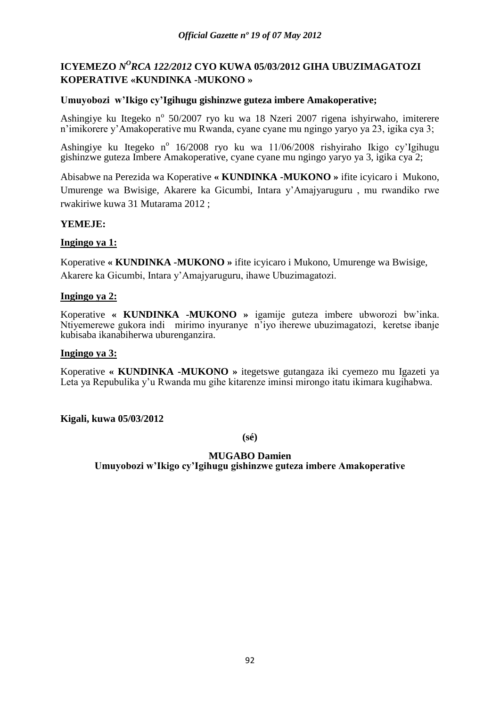# ICYEMEZO *N<sup>O</sup>RCA 122/2012* CYO KUWA 05/03/2012 GIHA UBUZIMAGATOZI **KOPERATIVE «KUNDINKA -MUKONO »**

## **Umuyobozi w'Ikigo cy'Igihugu gishinzwe guteza imbere Amakoperative;**

Ashingiye ku Itegeko nº 50/2007 ryo ku wa 18 Nzeri 2007 rigena ishyirwaho, imiterere n'imikorere y'Amakoperative mu Rwanda, cyane cyane mu ngingo yaryo ya 23, igika cya 3;

Ashingiye ku Itegeko nº 16/2008 ryo ku wa 11/06/2008 rishyiraho Ikigo cy'Igihugu gishinzwe guteza Imbere Amakoperative, cyane cyane mu ngingo yaryo ya 3, igika cya 2;

Abisabwe na Perezida wa Koperative **« KUNDINKA -MUKONO »** ifite icyicaro i Mukono, Umurenge wa Bwisige, Akarere ka Gicumbi, Intara y'Amajyaruguru , mu rwandiko rwe rwakiriwe kuwa 31 Mutarama 2012 ;

## **YEMEJE:**

## **Ingingo ya 1:**

Koperative **« KUNDINKA -MUKONO »** ifite icyicaro i Mukono, Umurenge wa Bwisige, Akarere ka Gicumbi, Intara y'Amajyaruguru, ihawe Ubuzimagatozi.

## **Ingingo ya 2:**

Koperative **« KUNDINKA -MUKONO »** igamije guteza imbere ubworozi bw'inka. Ntiyemerewe gukora indi mirimo inyuranye n'iyo iherewe ubuzimagatozi, keretse ibanje kubisaba ikanabiherwa uburenganzira.

## **Ingingo ya 3:**

Koperative **« KUNDINKA -MUKONO »** itegetswe gutangaza iki cyemezo mu Igazeti ya Leta ya Repubulika y'u Rwanda mu gihe kitarenze iminsi mirongo itatu ikimara kugihabwa.

## **Kigali, kuwa 05/03/2012**

**(sé)**